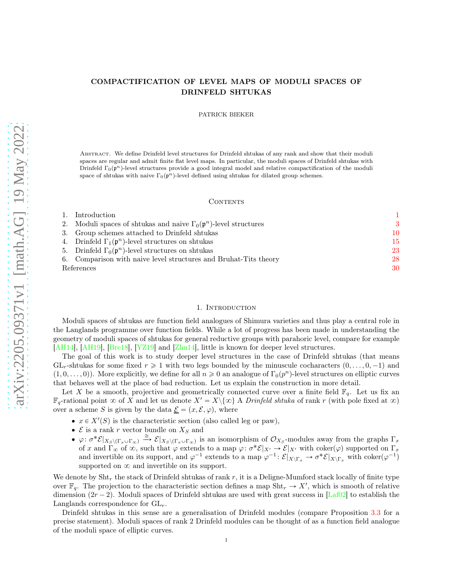## COMPACTIFICATION OF LEVEL MAPS OF MODULI SPACES OF DRINFELD SHTUKAS

PATRICK BIEKER

ABSTRACT. We define Drinfeld level structures for Drinfeld shtukas of any rank and show that their moduli spaces are regular and admit finite flat level maps. In particular, the moduli spaces of Drinfeld shtukas with Drinfeld  $\Gamma_0(\mathfrak{p}^n)$ -level structures provide a good integral model and relative compactification of the moduli space of shtukas with naive  $\Gamma_0(p^n)$ -level defined using shtukas for dilated group schemes.

#### CONTENTS

|            | 1. Introduction                                                                    |    |
|------------|------------------------------------------------------------------------------------|----|
|            | 2. Moduli spaces of shtukas and naive $\Gamma_0(\mathfrak{p}^n)$ -level structures | -3 |
|            | 3. Group schemes attached to Drinfeld shtukas                                      | 10 |
|            | 4. Drinfeld $\Gamma_1(\mathfrak{p}^n)$ -level structures on shtukas                | 15 |
|            | 5. Drinfeld $\Gamma_0(\mathfrak{p}^n)$ -level structures on shtukas                | 23 |
|            | 6. Comparison with naive level structures and Bruhat-Tits theory                   | 28 |
| References |                                                                                    | 30 |

#### 1. INTRODUCTION

<span id="page-0-0"></span>Moduli spaces of shtukas are function field analogues of Shimura varieties and thus play a central role in the Langlands programme over function fields. While a lot of progress has been made in understanding the geometry of moduli spaces of shtukas for general reductive groups with parahoric level, compare for example [\[AH14\]](#page-29-1), [\[AH19](#page-29-2)], [\[Bre18](#page-30-0)], [\[YZ19](#page-31-0)] and [\[Zhu14\]](#page-31-1), little is known for deeper level structures.

The goal of this work is to study deeper level structures in the case of Drinfeld shtukas (that means  $GL_r$ -shtukas for some fixed  $r \geq 1$  with two legs bounded by the minuscule cocharacters  $(0, \ldots, 0, -1)$  and  $(1, 0, \ldots, 0)$ . More explicitly, we define for all  $n \geq 0$  an analogue of  $\Gamma_0(p^n)$ -level structures on elliptic curves that behaves well at the place of bad reduction. Let us explain the construction in more detail.

Let X be a smooth, projective and geometrically connected curve over a finite field  $\mathbb{F}_q$ . Let us fix an  $\mathbb{F}_q$ -rational point  $\infty$  of X and let us denote  $X' = X \setminus \{ \infty \}$  A Drinfeld shtuka of rank r (with pole fixed at  $\infty$ ) over a scheme S is given by the data  $\underline{\mathcal{E}} = (x, \mathcal{E}, \varphi)$ , where

- $x \in X'(S)$  is the characteristic section (also called leg or paw),
- $\mathcal E$  is a rank r vector bundle on  $X_S$  and
- $\phi: \sigma^* \mathcal{E}|_{X_S \setminus (\Gamma_x \cup \Gamma_\infty)} \stackrel{\cong}{\longrightarrow} \mathcal{E}|_{X_S \setminus (\Gamma_x \cup \Gamma_\infty)}$  is an isomorphism of  $\mathcal{O}_{X_S}$ -modules away from the graphs  $\Gamma_x$ of x and  $\Gamma_{\infty}$  of  $\infty$ , such that  $\varphi$  extends to a map  $\varphi: \sigma^* \mathcal{E}|_{X'} \to \mathcal{E}|_{X'}$  with coker $(\varphi)$  supported on  $\Gamma_x$ and invertible on its support, and  $\varphi^{-1}$  extends to a map  $\varphi^{-1} : \mathcal{E}|_{X\backslash \Gamma_x} \to \sigma^* \mathcal{E}|_{X\backslash \Gamma_x}$  with coker $(\varphi^{-1})$ supported on  $\infty$  and invertible on its support.

We denote by  $\text{Sht}_r$  the stack of Drinfeld shtukas of rank r, it is a Deligne-Mumford stack locally of finite type over  $\mathbb{F}_q$ . The projection to the characteristic section defines a map Sht<sub>r</sub>  $\rightarrow X'$ , which is smooth of relative dimension  $(2r - 2)$ . Moduli spaces of Drinfeld shtukas are used with great success in [\[Laf02\]](#page-30-1) to establish the Langlands correspondence for  $GL_r$ .

Drinfeld shtukas in this sense are a generalisation of Drinfeld modules (compare Proposition [3.3](#page-10-0) for a precise statement). Moduli spaces of rank 2 Drinfeld modules can be thought of as a function field analogue of the moduli space of elliptic curves.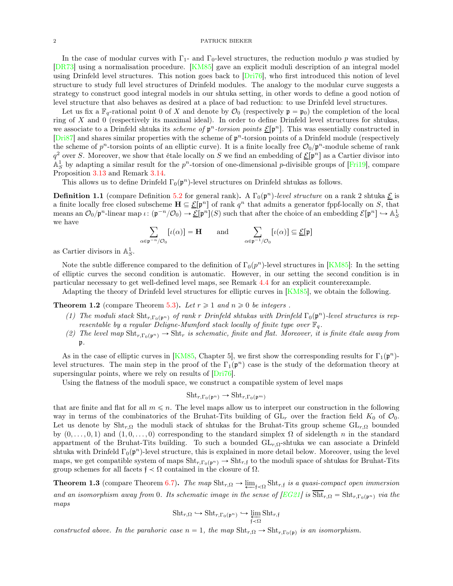In the case of modular curves with  $\Gamma_1$ - and  $\Gamma_0$ -level structures, the reduction modulo p was studied by [\[DR73\]](#page-30-2) using a normalisation procedure. [\[KM85\]](#page-30-3) gave an explicit moduli description of an integral model using Drinfeld level structures. This notion goes back to [\[Dri76\]](#page-30-4), who first introduced this notion of level structure to study full level structures of Drinfeld modules. The analogy to the modular curve suggests a strategy to construct good integral models in our shtuka setting, in other words to define a good notion of level structure that also behaves as desired at a place of bad reduction: to use Drinfeld level structures.

Let us fix a  $\mathbb{F}_q$ -rational point 0 of X and denote by  $\mathcal{O}_0$  (respectively  $\mathfrak{p} = \mathfrak{p}_0$ ) the completion of the local ring of X and 0 (respectively its maximal ideal). In order to define Drinfeld level structures for shtukas, we associate to a Drinfeld shtuka its *scheme of*  $\mathfrak{p}^n$ -torsion points  $\underline{\mathcal{E}}[\mathfrak{p}^n]$ . This was essentially constructed in  $[Dri87]$  $[Dri87]$  and shares similar properties with the scheme of  $p<sup>n</sup>$ -torsion points of a Drinfeld module (respectively the scheme of  $p^n$ -torsion points of an elliptic curve). It is a finite locally free  $\mathcal{O}_0/p^n$ -module scheme of rank  $q^2$  over S. Moreover, we show that étale locally on S we find an embedding of  $\underline{\mathcal{E}}[\mathfrak{p}^n]$  as a Cartier divisor into  $\mathbb{A}^1_S$  by adapting a similar result for the  $p^n$ -torsion of one-dimensional p-divisible groups of [\[Fri19\]](#page-30-6), compare Proposition [3.13](#page-13-0) and Remark [3.14.](#page-13-1)

This allows us to define Drinfeld  $\Gamma_0(\mathfrak{p}^n)$ -level structures on Drinfeld shtukas as follows.

**Definition 1.1** (compare Definition [5.2](#page-24-0) for general rank). A  $\Gamma_0(\mathfrak{p}^n)$ -level structure on a rank 2 shtuka  $\underline{\mathcal{E}}$  is a finite locally free closed subscheme  $\mathbf{H} \subseteq \mathcal{E}[\mathfrak{p}^n]$  of rank  $q^n$  that admits a generator fppf-locally on S, that means an  $\mathcal{O}_0/\mathfrak{p}^n$ -linear map  $\iota: (\mathfrak{p}^{-n}/\mathcal{O}_0) \to \underline{\mathcal{E}}[\mathfrak{p}^n](S)$  such that after the choice of an embedding  $\mathcal{E}[\mathfrak{p}^n] \hookrightarrow \mathbb{A}^1_S$ we have

$$
\sum_{\alpha \in \mathfrak{p}^{-n}/\mathcal{O}_0} [\iota(\alpha)] = \mathbf{H} \quad \text{and} \quad \sum_{\alpha \in \mathfrak{p}^{-1}/\mathcal{O}_0} [\iota(\alpha)] \subseteq \underline{\mathcal{E}}[\mathfrak{p}]
$$

as Cartier divisors in  $\mathbb{A}^1_S$ .

Note the subtle difference compared to the definition of  $\Gamma_0(p^n)$ -level structures in [\[KM85](#page-30-3)]: In the setting of elliptic curves the second condition is automatic. However, in our setting the second condition is in particular necessary to get well-defined level maps, see Remark [4.4](#page-16-0) for an explicit counterexample.

Adapting the theory of Drinfeld level structures for elliptic curves in [\[KM85](#page-30-3)], we obtain the following.

**Theorem 1.2** (compare Theorem [5.3\)](#page-24-1). Let  $r \geq 1$  and  $n \geq 0$  be integers.

- (1) The moduli stack  $\text{Sht}_{r,\Gamma_0(\mathfrak{p}^n)}$  of rank r Drinfeld shtukas with Drinfeld  $\Gamma_0(\mathfrak{p}^n)$ -level structures is representable by a regular Deligne-Mumford stack locally of finite type over  $\mathbb{F}_q$ .
- (2) The level map  $\text{Sht}_{r,\Gamma_0(p^n)} \to \text{Sht}_r$  is schematic, finite and flat. Moreover, it is finite étale away from p.

As in the case of elliptic curves in [\[KM85,](#page-30-3) Chapter 5], we first show the corresponding results for  $\Gamma_1(\mathfrak{p}^n)$ level structures. The main step in the proof of the  $\Gamma_1(\mathfrak{p}^n)$  case is the study of the deformation theory at supersingular points, where we rely on results of  $[Dri76]$ .

Using the flatness of the moduli space, we construct a compatible system of level maps

$$
Sht_{r,\Gamma_0(\mathfrak{p}^n)} \to Sht_{r,\Gamma_0(\mathfrak{p}^m)}
$$

that are finite and flat for all  $m \leq n$ . The level maps allow us to interpret our construction in the following way in terms of the combinatorics of the Bruhat-Tits building of  $GL_r$  over the fraction field  $K_0$  of  $\mathcal{O}_0$ . Let us denote by  $\text{Sht}_{r,\Omega}$  the moduli stack of shtukas for the Bruhat-Tits group scheme  $\text{GL}_{r,\Omega}$  bounded by  $(0, \ldots, 0, 1)$  and  $(1, 0, \ldots, 0)$  corresponding to the standard simplex  $\Omega$  of sidelength n in the standard appartment of the Bruhat-Tits building. To such a bounded  $GL_{r,\Omega}$ -shtuka we can associate a Drinfeld shtuka with Drinfeld  $\Gamma_0(\mathfrak{p}^n)$ -level structure, this is explained in more detail below. Moreover, using the level maps, we get compatible system of maps  $\text{Sht}_{r,\Gamma_0(\mathfrak{p}^n)} \to \text{Sht}_{r,\mathfrak{f}}$  to the moduli space of shtukas for Bruhat-Tits group schemes for all facets  $f < \Omega$  contained in the closure of  $\Omega$ .

<span id="page-1-0"></span>**Theorem 1.3** (compare Theorem [6.7\)](#page-29-3). The map  $\text{Sht}_{r,\Omega} \to \underleftarrow{\lim}_{f \prec \Omega} \text{Sht}_{r,f}$  is a quasi-compact open immersion and an isomorphism away from 0. Its schematic image in the sense of  $[EG21]$  is  $\text{Sht}_{r,\Omega} = \text{Sht}_{r,\Gamma_0(p^n)}$  via the maps

$$
\textnormal{Sht}_{r,\Omega} \hookrightarrow \textnormal{Sht}_{r,\Gamma_0(\mathfrak{p}^n)} \hookrightarrow \varprojlim_{\mathfrak{f}\prec\Omega} \textnormal{Sht}_{r,\mathfrak{f}}
$$

constructed above. In the parahoric case  $n = 1$ , the map  $\text{Sht}_{r,\Omega} \to \text{Sht}_{r,\Gamma_0(\mathfrak{p})}$  is an isomorphism.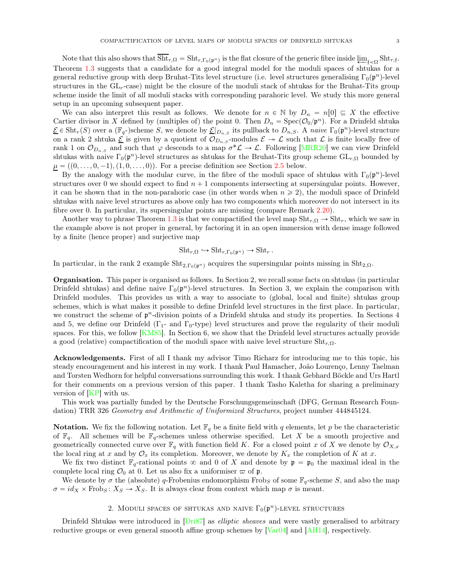Note that this also shows that  $\text{Sht}_{r,\Omega} = \text{Sht}_{r,\Gamma_0(\mathfrak{p}^n)}$  is the flat closure of the generic fibre inside  $\varprojlim_{\mathfrak{f}\prec\Omega} \text{Sht}_{r,\mathfrak{f}}$ . Theorem [1.3](#page-1-0) suggests that a candidate for a good integral model for the moduli spaces of shtukas for a general reductive group with deep Bruhat-Tits level structure (i.e. level structures generalising  $\Gamma_0(\mathfrak{p}^n)$ -level structures in the  $GL<sub>r</sub>$ -case) might be the closure of the moduli stack of shtukas for the Bruhat-Tits group scheme inside the limit of all moduli stacks with corresponding parahoric level. We study this more general setup in an upcoming subsequent paper.

We can also interpret this result as follows. We denote for  $n \in \mathbb{N}$  by  $D_n = n[0] \subseteq X$  the effective Cartier divisor in X defined by (multiples of) the point 0. Then  $D_n = \text{Spec}(\mathcal{O}_0/\mathfrak{p}^n)$ . For a Drinfeld shtuka  $\underline{\mathcal{E}} \in \text{Sht}_r(S)$  over a  $(\mathbb{F}_q-)$ scheme S, we denote by  $\underline{\mathcal{E}}|_{D_{n,S}}$  its pullback to  $D_{n,S}$ . A naive  $\Gamma_0(\mathfrak{p}^n)$ -level structure on a rank 2 shtuka  $\underline{\mathcal{E}}$  is given by a quotient of  $\mathcal{O}_{D_n,s}$ -modules  $\mathcal{E} \to \mathcal{L}$  such that  $\mathcal{L}$  is finite locally free of rank 1 on  $\mathcal{O}_{D_{n,S}}$  and such that  $\varphi$  descends to a map  $\sigma^*\mathcal{L} \to \mathcal{L}$ . Following [\[MRR20\]](#page-31-2) we can view Drinfeld shtukas with naive  $\Gamma_0(\mathfrak{p}^n)$ -level structures as shtukas for the Bruhat-Tits group scheme  $\mathrm{GL}_{r,\Omega}$  bounded by  $\underline{\mu} = ((0, \ldots, 0, -1), (1, 0, \ldots, 0)).$  For a precise definition see Section [2.5](#page-7-0) below.

By the analogy with the modular curve, in the fibre of the moduli space of shtukas with  $\Gamma_0(\mathfrak{p}^n)$ -level structures over 0 we should expect to find  $n + 1$  components intersecting at supersingular points. However, it can be shown that in the non-parahoric case (in other words when  $n \geq 2$ ), the moduli space of Drinfeld shtukas with naive level structures as above only has two components which moreover do not intersect in its fibre over 0. In particular, its supersingular points are missing (compare Remark [2.20\)](#page-9-1).

Another way to phrase Theorem [1.3](#page-1-0) is that we compactified the level map  $\text{Sht}_{r,\Omega} \to \text{Sht}_{r}$ , which we saw in the example above is not proper in general, by factoring it in an open immersion with dense image followed by a finite (hence proper) and surjective map

$$
Sht_{r,\Omega} \hookrightarrow Sht_{r,\Gamma_0(\mathfrak{p}^n)} \to Sht_r.
$$

In particular, in the rank 2 example  $\text{Sht}_{2,\Gamma_0(\mathfrak{p}^n)}$  acquires the supersingular points missing in  $\text{Sht}_{2,\Omega}$ .

Organisation. This paper is organised as follows. In Section 2, we recall some facts on shtukas (in particular Drinfeld shtukas) and define naive  $\Gamma_0(\mathfrak{p}^n)$ -level structures. In Section 3, we explain the comparison with Drinfeld modules. This provides us with a way to associate to (global, local and finite) shtukas group schemes, which is what makes it possible to define Drinfeld level structures in the first place. In particular, we construct the scheme of  $p<sup>n</sup>$ -division points of a Drinfeld shtuka and study its properties. In Sections 4 and 5, we define our Drinfeld  $(\Gamma_1$ - and  $\Gamma_0$ -type) level structures and prove the regularity of their moduli spaces. For this, we follow [\[KM85\]](#page-30-3). In Section 6, we show that the Drinfeld level structures actually provide a good (relative) compactification of the moduli space with naive level structure  $\text{Sht}_{r,\Omega}$ .

Acknowledgements. First of all I thank my advisor Timo Richarz for introducing me to this topic, his steady encouragement and his interest in my work. I thank Paul Hamacher, João Lourenço, Lenny Taelman and Torsten Wedhorn for helpful conversations surrounding this work. I thank Gebhard Böckle and Urs Hartl for their comments on a previous version of this paper. I thank Tasho Kaletha for sharing a preliminary version of  $[KP]$  with us.

This work was partially funded by the Deutsche Forschungsgemeinschaft (DFG, German Research Foundation) TRR 326 Geometry and Arithmetic of Uniformized Structures, project number 444845124.

**Notation.** We fix the following notation. Let  $\mathbb{F}_q$  be a finite field with q elements, let p be the characteristic of  $\mathbb{F}_q$ . All schemes will be  $\mathbb{F}_q$ -schemes unless otherwise specified. Let X be a smooth projective and geometrically connected curve over  $\mathbb{F}_q$  with function field K. For a closed point x of X we denote by  $\mathcal{O}_{X,x}$ the local ring at x and by  $\mathcal{O}_x$  its completion. Moreover, we denote by  $K_x$  the completion of K at x.

We fix two distinct  $\mathbb{F}_q$ -rational points  $\infty$  and 0 of X and denote by  $\mathfrak{p} = \mathfrak{p}_0$  the maximal ideal in the complete local ring  $\mathcal{O}_0$  at 0. Let us also fix a uniformiser  $\varpi$  of  $\mathfrak{p}$ .

<span id="page-2-0"></span>We denote by  $\sigma$  the (absolute) q-Frobenius endomorphism Frobs of some  $\mathbb{F}_q$ -scheme S, and also the map  $\sigma = id_X \times \text{Frob}_S : X_S \to X_S$ . It is always clear from context which map  $\sigma$  is meant.

# 2. MODULI SPACES OF SHTUKAS AND NAIVE  $\Gamma_0(\mathfrak{p}^n)$ -LEVEL STRUCTURES

Drinfeld Shtukas were introduced in [\[Dri87\]](#page-30-5) as *elliptic sheaves* and were vastly generalised to arbitrary reductive groups or even general smooth affine group schemes by [\[Var04\]](#page-31-3) and [\[AH14\]](#page-29-1), respectively.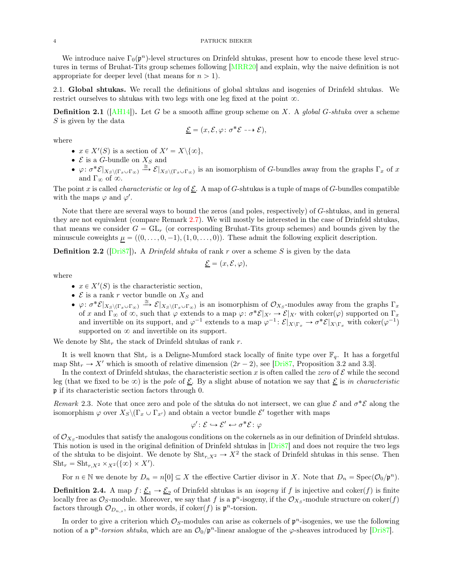We introduce naive  $\Gamma_0(\mathfrak{p}^n)$ -level structures on Drinfeld shtukas, present how to encode these level structures in terms of Bruhat-Tits group schemes following [\[MRR20](#page-31-2)] and explain, why the naive definition is not appropriate for deeper level (that means for  $n > 1$ ).

2.1. Global shtukas. We recall the definitions of global shtukas and isogenies of Drinfeld shtukas. We restrict ourselves to shtukas with two legs with one leg fixed at the point  $\infty$ .

**Definition 2.1** ([\[AH14\]](#page-29-1)). Let G be a smooth affine group scheme on X. A global G-shtuka over a scheme  $S$  is given by the data

$$
\underline{\mathcal{E}} = (x, \mathcal{E}, \varphi \colon \sigma^* \mathcal{E} \dashrightarrow \mathcal{E}),
$$

where

- $x \in X'(S)$  is a section of  $X' = X \setminus \{\infty\},\$
- $\bullet \,$   ${\mathcal E}$  is a  $G\text{-bundle}$  on  $X_S$  and
- $\phi: \sigma^* \mathcal{E}|_{X_S \setminus (\Gamma_x \cup \Gamma_\infty)} \stackrel{\cong}{\to} \mathcal{E}|_{X_S \setminus (\Gamma_x \cup \Gamma_\infty)}$  is an isomorphism of G-bundles away from the graphs  $\Gamma_x$  of x and  $\Gamma_{\infty}$  of  $\infty$ .

The point x is called *characteristic* or leg of  $\mathcal{E}$ . A map of G-shtukas is a tuple of maps of G-bundles compatible with the maps  $\varphi$  and  $\varphi'$ .

Note that there are several ways to bound the zeros (and poles, respectively) of G-shtukas, and in general they are not equivalent (compare Remark [2.7\)](#page-4-0). We will mostly be interested in the case of Drinfeld shtukas, that means we consider  $G = GL_r$  (or corresponding Bruhat-Tits group schemes) and bounds given by the minuscule coweights  $\mu = ((0, \ldots, 0, -1), (1, 0, \ldots, 0))$ . These admit the following explicit description.

**Definition 2.2** ( $[Dri87]$ ). A *Drinfeld shtuka* of rank r over a scheme S is given by the data

$$
\underline{\mathcal{E}} = (x, \mathcal{E}, \varphi),
$$

where

- $x \in X'(S)$  is the characteristic section,
- $\mathcal E$  is a rank r vector bundle on  $X_S$  and
- $\phi: \sigma^* \mathcal{E}|_{X_S \setminus (\Gamma_x \cup \Gamma_\infty)} \stackrel{\cong}{\longrightarrow} \mathcal{E}|_{X_S \setminus (\Gamma_x \cup \Gamma_\infty)}$  is an isomorphism of  $\mathcal{O}_{X_S}$ -modules away from the graphs  $\Gamma_x$ of x and  $\Gamma_{\infty}$  of  $\infty$ , such that  $\varphi$  extends to a map  $\varphi: \sigma^* \mathcal{E}|_{X'} \to \mathcal{E}|_{X'}$  with coker $(\varphi)$  supported on  $\Gamma_x$ and invertible on its support, and  $\varphi^{-1}$  extends to a map  $\varphi^{-1} : \mathcal{E}|_{X\backslash \Gamma_x} \to \sigma^* \mathcal{E}|_{X\backslash \Gamma_x}$  with coker $(\varphi^{-1})$ supported on  $\infty$  and invertible on its support.

We denote by  $\text{Sht}_r$  the stack of Drinfeld shtukas of rank r.

It is well known that Sht<sub>r</sub> is a Deligne-Mumford stack locally of finite type over  $\mathbb{F}_q$ . It has a forgetful map  $\text{Sht}_r \to X'$  which is smooth of relative dimension  $(2r - 2)$ , see [\[Dri87](#page-30-5), Proposition 3.2 and 3.3].

In the context of Drinfeld shtukas, the characteristic section x is often called the zero of  $\mathcal E$  while the second leg (that we fixed to be  $\infty$ ) is the pole of  $\underline{\mathcal{E}}$ . By a slight abuse of notation we say that  $\underline{\mathcal{E}}$  is in characteristic p if its characteristic section factors through 0.

<span id="page-3-0"></span>Remark 2.3. Note that once zero and pole of the shtuka do not intersect, we can glue  $\mathcal E$  and  $\sigma^*\mathcal E$  along the isomorphism  $\varphi$  over  $X_S \backslash (\Gamma_x \cup \Gamma_{x'})$  and obtain a vector bundle  $\mathcal{E}'$  together with maps

$$
\varphi' \colon \mathcal{E} \hookrightarrow \mathcal{E}' \hookleftarrow \sigma^* \mathcal{E} \colon \varphi
$$

of  $\mathcal{O}_{X_S}$ -modules that satisfy the analogous conditions on the cokernels as in our definition of Drinfeld shtukas. This notion is used in the original definition of Drinfeld shtukas in [\[Dri87\]](#page-30-5) and does not require the two legs of the shtuka to be disjoint. We denote by  $\text{Sht}_{r,X^2} \to X^2$  the stack of Drinfeld shtukas in this sense. Then  $\text{Sht}_r = \text{Sht}_{r,X^2} \times_{X^2} (\{\infty\} \times X').$ 

For  $n \in \mathbb{N}$  we denote by  $D_n = n[0] \subseteq X$  the effective Cartier divisor in X. Note that  $D_n = \text{Spec}(\mathcal{O}_0/\mathfrak{p}^n)$ .

**Definition 2.4.** A map  $f: \underline{\mathcal{E}}_1 \to \underline{\mathcal{E}}_2$  of Drinfeld shtukas is an *isogeny* if f is injective and coker(f) is finite locally free as  $\mathcal{O}_S$ -module. Moreover, we say that f is a  $\mathfrak{p}^n$ -isogeny, if the  $\mathcal{O}_{X_S}$ -module structure on coker $(f)$ factors through  $\mathcal{O}_{D_{n,s}}$ , in other words, if coker $(f)$  is  $\mathfrak{p}^n$ -torsion.

In order to give a criterion which  $\mathcal{O}_S$ -modules can arise as cokernels of  $\mathfrak{p}^n$ -isogenies, we use the following notion of a  $p^n$ -torsion shtuka, which are an  $\mathcal{O}_0/p^n$ -linear analogue of the  $\varphi$ -sheaves introduced by [\[Dri87\]](#page-30-5).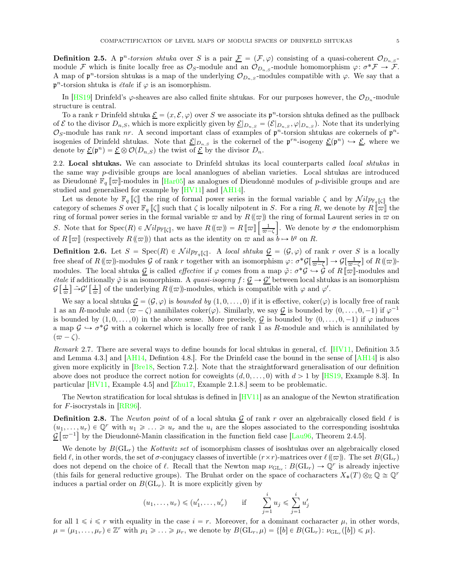**Definition 2.5.** A  $\mathfrak{p}^n$ -torsion shtuka over S is a pair  $\underline{\mathcal{F}} = (\mathcal{F}, \varphi)$  consisting of a quasi-coherent  $\mathcal{O}_{D_n, \mathcal{S}}$ module F which is finite locally free as  $\mathcal{O}_S$ -module and an  $\mathcal{O}_{D_{n,S}}$ -module homomorphism  $\varphi: \sigma^* \mathcal{F} \to \mathcal{F}$ . A map of  $\mathfrak{p}^n$ -torsion shtukas is a map of the underlying  $\mathcal{O}_{D_{n,S}}$ -modules compatible with  $\varphi$ . We say that a  $\mathfrak{p}^n$ -torsion shtuka is *étale* if  $\varphi$  is an isomorphism.

In [\[HS19](#page-30-9)] Drinfeld's  $\varphi$ -sheaves are also called finite shtukas. For our purposes however, the  $\mathcal{O}_{D_n}$ -module structure is central.

To a rank r Drinfeld shtuka  $\underline{\mathcal{E}} = (x, \mathcal{E}, \varphi)$  over S we associate its  $\mathfrak{p}^n$ -torsion shtuka defined as the pullback of  $\mathcal E$  to the divisor  $D_{n,S}$ , which is more explicitly given by  $\underline{\mathcal E}|_{D_{n,S}} = (\mathcal E|_{D_{n,S}}, \varphi|_{D_{n,S}})$ . Note that its underlying O<sub>S</sub>-module has rank nr. A second important class of examples of  $\mathfrak{p}^n$ -torsion shtukas are cokernels of  $\mathfrak{p}^n$ isogenies of Drinfeld shtukas. Note that  $\underline{\mathcal{E}}|_{D_{n,S}}$  is the cokernel of the  $\mathfrak{p}^{rn}$ -isogeny  $\underline{\mathcal{E}}(\mathfrak{p}^n) \hookrightarrow \underline{\mathcal{E}}$ , where we denote by  $\underline{\mathcal{E}}(\mathfrak{p}^n) = \underline{\mathcal{E}} \otimes \mathcal{O}(D_{n,S})$  the twist of  $\underline{\mathcal{E}}$  by the divisor  $D_n$ .

2.2. Local shtukas. We can associate to Drinfeld shtukas its local counterparts called *local shtukas* in the same way p-divisible groups are local ananlogues of abelian varieties. Local shtukas are introduced as Dieudonné  $\mathbb{F}_q \llbracket \varpi \rrbracket$ -modules in  $[\text{Har05}]$  as analogues of Dieudonné modules of p-divisible groups and are studied and generalised for example by [\[HV11](#page-30-11)] and [\[AH14](#page-29-1)].

Let us denote by  $\mathbb{F}_q [\zeta]$  the ring of formal power series in the formal variable  $\zeta$  and by  $\mathcal{N}ilp_{\mathbb{F}_q[\zeta]}$  the category of schemes S over  $\mathbb{F}_q$   $\llbracket \zeta \rrbracket$  such that  $\zeta$  is locally nilpotent in S. For a ring R, we denote by  $R$   $\llbracket \varpi \rrbracket$  the ring of formal power series in the formal variable  $\varpi$  and by  $R(\varpi)$  the ring of formal Laurent series in  $\varpi$  on S. Note that for  $Spec(R) \in Nilp_{\mathbb{F}[\zeta]},$  we have  $R(\omega) = R[\omega] [\frac{1}{\omega}]$ .  $\overline{\omega}-\zeta$ . We denote by  $\sigma$  the endomorphism of  $R[\![\varpi]\!]$  (respectively  $R(\!(\varpi)\!)$ ) that acts as the identity on  $\varpi$  and as  $b \mapsto b^q$  on  $R$ .

**Definition 2.6.** Let  $S = \text{Spec}(R) \in \mathcal{N}ilp_{\mathbb{F}_q[\zeta]}$ . A local shtuka  $\mathcal{G} = (\mathcal{G}, \varphi)$  of rank r over S is a locally free sheaf of  $R(\omega)$ -modules G of rank r together with an isomorphism  $\varphi: \sigma^*\mathcal{G}[\frac{1}{\omega}]$  $\frac{1}{\overline{\omega}-\zeta}$   $\rightarrow$   $\mathcal{G}[\frac{1}{\overline{\omega}-}$  $\frac{1}{\varpi-\zeta}$  of  $R(\!(\varpi)\!)$ modules. The local shtuka  $\mathcal{G}$  is called *effective* if  $\varphi$  comes from a map  $\tilde{\varphi}$ :  $\sigma^* \mathcal{G} \hookrightarrow \tilde{\mathcal{G}}$  of  $R[\![\varpi]\!]$ -modules and *étale* if additionally  $\tilde{\varphi}$  is an isomorphism. A *quasi-isogeny*  $f : \mathcal{G} \to \mathcal{G}'$  between local shtukas is an isomorphism  $\mathcal{G}$   $\left[\frac{1}{2}\right]$  $\frac{1}{\varpi}$   $\frac{1}{\varpi}$   $\frac{1}{\varpi}$  $\frac{1}{\varpi}$  of the underlying  $R(\varpi)$ -modules, which is compatible with  $\varphi$  and  $\varphi'$ .

We say a local shtuka  $\underline{\mathcal{G}} = (\mathcal{G}, \varphi)$  is *bounded by*  $(1, 0, \ldots, 0)$  if it is effective, coker $(\varphi)$  is locally free of rank 1 as an R-module and  $(\overline{\omega} - \zeta)$  annihilates coker $(\varphi)$ . Similarly, we say  $\mathcal G$  is bounded by  $(0, \ldots, 0, -1)$  if  $\varphi^{-1}$ is bounded by  $(1, 0, \ldots, 0)$  in the above sense. More precisely, G is bounded by  $(0, \ldots, 0, -1)$  if  $\varphi$  induces a map  $\mathcal{G} \hookrightarrow \sigma^* \mathcal{G}$  with a cokernel which is locally free of rank  $\overline{1}$  as R-module and which is annihilated by  $(\varpi - \zeta).$ 

<span id="page-4-0"></span>Remark 2.7. There are several ways to define bounds for local shtukas in general, cf. [\[HV11,](#page-30-11) Definition 3.5 and Lemma 4.3.] and [\[AH14,](#page-29-1) Defintion 4.8.]. For the Drinfeld case the bound in the sense of [\[AH14](#page-29-1)] is also given more explicitly in  $[Bre18, Section 7.2.]$ . Note that the straightforward generalisation of our definition above does not produce the correct notion for coweights  $(d, 0, \ldots, 0)$  with  $d > 1$  by [\[HS19,](#page-30-9) Example 8.3]. In particular [\[HV11,](#page-30-11) Example 4.5] and [\[Zhu17,](#page-31-4) Example 2.1.8.] seem to be problematic.

The Newton stratification for local shtukas is defined in [\[HV11](#page-30-11)] as an analogue of the Newton stratification for  $F$ -isocrystals in [\[RR96\]](#page-31-5).

**Definition 2.8.** The Newton point of of a local shtuka  $\mathcal{G}$  of rank r over an algebraically closed field  $\ell$  is  $(u_1, \ldots, u_r) \in \mathbb{Q}^r$  with  $u_1 \geq \ldots \geq u_r$  and the  $u_i$  are the slopes associated to the corresponding isoshtuka  $\mathcal{G}[\varpi^{-1}]$  by the Dieudonné-Manin classification in the function field case [\[Lau96,](#page-30-12) Theorem 2.4.5].

We denote by  $B(\mathrm{GL}_r)$  the Kottwitz set of isomorphism classes of isoshtukas over an algebraically closed field  $\ell$ , in other words, the set of  $\sigma$ -conjugacy classes of invertible  $(r \times r)$ -matrices over  $\ell(\varpi)$ . The set  $B(\mathrm{GL}_r)$ does not depend on the choice of  $\ell$ . Recall that the Newton map  $\nu_{GL_r}: B(GL_r) \to \mathbb{Q}^r$  is already injective (this fails for general reductive groups). The Bruhat order on the space of cocharacters  $X_*(T) \otimes_{\mathbb{Z}} \mathbb{Q} \cong \mathbb{Q}^r$ induces a partial order on  $B(\mathrm{GL}_r)$ . It is more explicitly given by

$$
(u_1, ..., u_r) \leq (u'_1, ..., u'_r)
$$
 if  $\sum_{j=1}^i u_j \leq \sum_{j=1}^i u'_j$ 

for all  $1 \leq i \leq r$  with equality in the case  $i = r$ . Moreover, for a dominant cocharacter  $\mu$ , in other words,  $\mu = (\mu_1, \dots, \mu_r) \in \mathbb{Z}^r$  with  $\mu_1 \geq \dots \geq \mu_r$ , we denote by  $B(\mathrm{GL}_r, \mu) = \{ [b] \in B(\mathrm{GL}_r) : \nu_{\mathrm{GL}_r}([b]) \leq \mu \}.$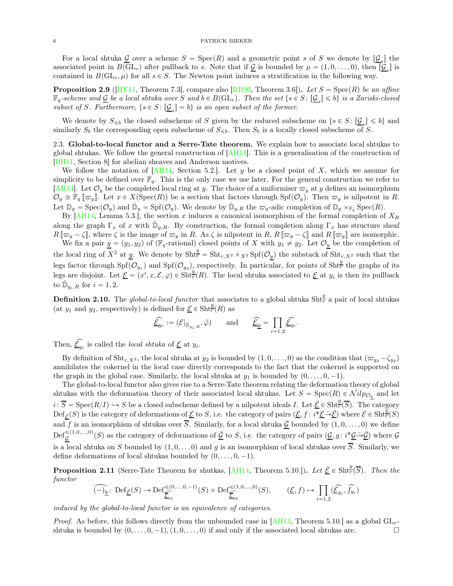For a local shtuka  $\underline{G}$  over a scheme  $S = \text{Spec}(R)$  and a geometric point s of S we denote by  $[\underline{\mathcal{G}}_s]$  the associated point in  $B(\mathrm{GL}_r)$  after pullback to s. Note that if  $\underline{\mathcal{G}}$  is bounded by  $\mu = (1, 0, \ldots, 0)$ , then  $[\underline{\mathcal{G}}_s]$  is contained in  $B(\mathrm{GL}_r, \mu)$  for all  $s \in S$ . The Newton point induces a stratification in the following way.

**Proposition 2.9** ([\[HV11](#page-30-11), Theorem 7.3], compare also [\[RR96](#page-31-5), Theorem 3.6]). Let  $S = \text{Spec}(R)$  be an affine  $\mathbb{F}_q$ -scheme and  $\underline{\mathcal{G}}$  be a local shtuka over S and  $b \in B(\mathrm{GL}_r)$ . Then the set  $\{s \in S \colon [\underline{\mathcal{G}}_s] \leqslant b\}$  is a Zariski-closed subset of S. Furthermore,  $\{s \in S : \underline{\mathcal{G}}_s\} = b\}$  is an open subset of the former.

We denote by  $S_{\leq b}$  the closed subscheme of S given by the reduced subscheme on  $\{s \in S : [\underline{\mathcal{G}}_s] \leq b\}$  and similarly  $S_b$  the corresponding open subscheme of  $S_{\leq b}$ . Then  $S_b$  is a locally closed subscheme of S.

2.3. Global-to-local functor and a Serre-Tate theorem. We explain how to associate local shtukas to global shtukas. We follow the general construction of [\[AH14](#page-29-1)]. This is a generalisation of the construction of [\[BH11](#page-30-13), Section 8] for abelian sheaves and Anderson motives.

We follow the notation of  $[AH14, Section 5.2].$  Let y be a closed point of X, which we assume for simplicity to be defined over  $\mathbb{F}_q$ . This is the only case we use later. For the general construction we refer to [\[AH14\]](#page-29-1). Let  $\mathcal{O}_y$  be the completed local ring at y. The choice of a uniformiser  $\varpi_y$  at y defines an isomorphism  $\mathcal{O}_y \cong \mathbb{F}_q \left[ \varpi_y \right]$ . Let  $x \in X(\text{Spec}(R))$  be a section that factors through  $\text{Spf}(\mathcal{O}_y)$ . Then  $\varpi_y$  is nilpotent in R. Let  $\mathbb{D}_y = \text{Spec}(\mathcal{O}_y)$  and  $\hat{\mathbb{D}}_y = \text{Spf}(\mathcal{O}_y)$ . We denote by  $\hat{\mathbb{D}}_{y,R}$  the  $\varpi_y$ -adic completion of  $\mathbb{D}_y \times_{\mathbb{F}_q} \text{Spec}(R)$ .

By [\[AH14,](#page-29-1) Lemma 5.3.], the section x induces a canonical isomorphism of the formal completion of  $X_R$ along the graph  $\Gamma_x$  of x with  $\hat{\mathbb{D}}_{y,R}$ . By construction, the formal completion along  $\Gamma_x$  has structure sheaf  $R[\![\varpi_y-\zeta]\!]$ , where  $\zeta$  is the image of  $\varpi_y$  in R. As  $\zeta$  is nilpotent in R,  $R[\![\varpi_y-\zeta]\!]$  and  $R[\![\varpi_y]\!]$  are isomorphic.

We fix a pair  $y = (y_1, y_2)$  of ( $\mathbb{F}_q$ -rational) closed points of X with  $y_1 \neq y_2$ . Let  $\mathcal{O}_y$  be the completion of the local ring of  $X^2$  at y. We denote by  $\text{Sht}_{r}^y = \text{Sht}_{r,X^2} \times_{X^2} \text{Spf}(\mathcal{O}_y)$  the substack of  $\text{Sht}_{r,X^2}$  such that the legs factor through  $\text{Spf}(\mathcal{O}_{y_1})$  and  $\text{Spf}(\mathcal{O}_{y_2})$ , respectively. In particular, for points of  $\text{Sht}_T^y$  the graphs of its legs are disjoint. Let  $\underline{\mathcal{E}} = (x', x, \mathcal{E}, \varphi) \in \overline{\text{Sht}_{r}^{y}(R)}$ . The local shtuka associated to  $\underline{\mathcal{E}}$  at  $y_i$  is then its pullback to  $\hat{\mathbb{D}}_{y_i,R}$  for  $i = 1,2$ .

**Definition 2.10.** The global-to-local functor that associates to a global shtuka Sht $\frac{y}{r}$  a pair of local shtukas (at  $y_1$  and  $y_2$ , respectively) is defined for  $\underline{\mathcal{E}} \in \text{Sht}_{\overline{r}}^{\mathcal{Y}}(R)$  as

$$
\widehat{\underline{\mathcal{E}}}_{y_i} := (\mathcal{E}|_{\hat{\mathbb{D}}_{y_i,R}}, \tilde{\varphi}) \quad \text{and} \quad \widehat{\underline{\mathcal{E}}}_{\underline{y}} = \prod_{i=1,2} \widehat{\underline{\mathcal{E}}}_{y_i}
$$

.

Then,  $\underline{\mathcal{E}}_{y_i}$  is called the *local shtuka* of  $\underline{\mathcal{E}}$  at  $y_i$ .

By definition of Sht<sub>r,X<sup>2</sup></sub>, the local shtuka at  $y_2$  is bounded by  $(1, 0, \ldots, 0)$  as the condition that  $(\varpi_{y_2} - \zeta_{y_2})$ annihilates the cokernel in the local case directly corresponds to the fact that the cokernel is supported on the graph in the global case. Similarly, the local shtuka at  $y_1$  is bounded by  $(0, \ldots, 0, -1)$ .

The global-to-local functor also gives rise to a Serre-Tate theorem relating the deformation theory of global shtukas with the deformation theory of their associated local shtukas. Let  $S = \text{Spec}(R) \in \mathcal{N}ilp_{\mathcal{O}_y}$  and let  $i: \overline{S} = \text{Spec}(R/I) \hookrightarrow S$  be a closed subscheme defined by a nilpotent ideals I. Let  $\underline{\overline{E}} \in \text{Sht}_{\overline{r}}^{\frac{1}{2}}(\overline{S})$ . The category  $\text{Def}_{\bar{\mathcal{E}}}(S)$  is the category of deformations of  $\underline{\mathcal{E}}$  to S, i.e. the category of pairs  $(\underline{\mathcal{E}}, f : i^* \underline{\mathcal{E}} \rightarrow \overline{\mathcal{E}})$  where  $\mathcal{E} \in \text{Sht}_{\overline{r}}^{\overline{y}}(S)$ and f is an isomorphism of shtukas over  $\overline{S}$ . Similarly, for a local shtuka  $\overline{G}$  bounded by  $(1, 0, \ldots, 0)$  we define  $\mathrm{Def}_{\bar{\mathcal{G}}}^{\leq (1,0,\ldots,0)}(S)$  as the category of deformations of  $\underline{\bar{\mathcal{G}}}$  to S, i.e. the category of pairs  $(\underline{\mathcal{G}}, g : i^*\underline{\mathcal{G}} \tilde{\rightarrow} \underline{\bar{\mathcal{G}}})$  where  $\mathcal{G}$ is a local shtuka on S bounded by  $(1, 0, \ldots, 0)$  and g is an isomorphism of local shtukas over  $\overline{S}$ . Similarly, we define deformations of local shtukas bounded by  $(0, \ldots, 0, -1)$ .

<span id="page-5-0"></span>**Proposition 2.11** (Serre-Tate Theorem for shutkas, [\[AH14,](#page-29-1) Theorem 5.10.]). Let  $\underline{\bar{\mathcal{E}}} \in \text{Sht}_{\overline{r}}^{\underline{y}}(\overline{S})$ . Then the functor

$$
\widehat{(-)_{\underline{y}}} \colon \operatorname{Def}_{\underline{\mathcal{E}}}(S) \to \operatorname{Def}_{\widehat{\underline{\mathcal{E}}}_{y_1}}^{\leq (0,\ldots,0,-1)}(S) \times \operatorname{Def}_{\widehat{\underline{\mathcal{E}}}_{y_2}}^{\leq (1,0,\ldots,0)}(S), \qquad (\underline{\mathcal{E}},f) \mapsto \prod_{i=1,2}(\widehat{\underline{\mathcal{E}}}_{y_i},\widehat{f_{y_i}})
$$

induced by the global-to-local functor is an equivalence of categories.

*Proof.* As before, this follows directly from the unbounded case in [\[AH14,](#page-29-1) Theorem 5.10.] as a global  $GL_r$ shtuka is bounded by  $(0, \ldots, 0, -1), (1, 0, \ldots, 0)$  if and only if the associated local shtukas are.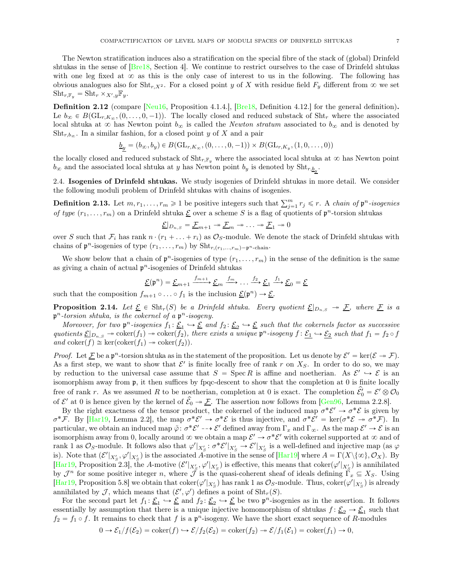The Newton stratification induces also a stratification on the special fibre of the stack of (global) Drinfeld shtukas in the sense of [\[Bre18,](#page-30-0) Section 4]. We continue to restrict ourselves to the case of Drinfeld shtukas with one leg fixed at  $\infty$  as this is the only case of interest to us in the following. The following has obvious analogues also for  $\text{Sht}_{r,X^2}$ . For a closed point y of X with residue field  $F_y$  different from  $\infty$  we set  $\text{Sht}_{r,\mathbb{F}_y} = \text{Sht}_r \times_{X',y} \mathbb{F}_y.$ 

Definition 2.12 (compare [\[Neu16](#page-31-6), Proposition 4.1.4.], [\[Bre18,](#page-30-0) Definition 4.12.] for the general definition). Le  $b_{\infty} \in B(\mathrm{GL}_{r,K_{\infty}}, (0, \ldots, 0, -1)).$  The locally closed and reduced substack of Sht<sub>r</sub> where the associated local shtuka at  $\infty$  has Newton point  $b_{\infty}$  is called the *Newton stratum* associated to  $b_{\infty}$  and is denoted by  $Sht_{r,b_{\infty}}$ . In a similar fashion, for a closed point y of X and a pair

$$
\underline{b_y} = (b_{\infty}, b_y) \in B(\mathrm{GL}_{r, K_{\infty}}, (0, \ldots, 0, -1)) \times B(\mathrm{GL}_{r, K_y}, (1, 0, \ldots, 0))
$$

the locally closed and reduced substack of  $\text{Sht}_{r,\mathbb{F}_y}$  where the associated local shtuka at  $\infty$  has Newton point  $b_{\infty}$  and the associated local shtuka at y has Newton point  $b_y$  is denoted by  $\text{Sht}_{r, b_y}$ .

2.4. Isogenies of Drinfeld shtukas. We study isogenies of Drinfeld shtukas in more detail. We consider the following moduli problem of Drinfeld shtukas with chains of isogenies.

**Definition 2.13.** Let  $m, r_1, \ldots, r_m \geq 1$  be positive integers such that  $\sum_{j=1}^m r_j \leq r$ . A *chain of*  $\mathfrak{p}^n$ -isogenies of type  $(r_1, \ldots, r_m)$  on a Drinfeld shtuka  $\underline{\mathcal{E}}$  over a scheme S is a flag of quotients of  $\mathfrak{p}^n$ -torsion shtukas

$$
\underline{\mathcal{E}}|_{D_{n,S}} = \underline{\mathcal{F}}_{m+1} \twoheadrightarrow \underline{\mathcal{F}}_m \twoheadrightarrow \ldots \twoheadrightarrow \underline{\mathcal{F}}_1 \twoheadrightarrow 0
$$

over S such that  $\mathcal{F}_i$  has rank  $n \cdot (r_1 + \ldots + r_i)$  as  $\mathcal{O}_S$ -module. We denote the stack of Drinfeld shtukas with chains of  $\mathfrak{p}^n$ -isogenies of type  $(r_1, \ldots, r_m)$  by  $\text{Sht}_{r,(r_1,\ldots,r_m)-\mathfrak{p}^n\text{-chain}}$ .

We show below that a chain of  $\mathfrak{p}^n$ -isogenies of type  $(r_1, \ldots, r_m)$  in the sense of the definition is the same as giving a chain of actual  $\mathfrak{p}^n$ -isogenies of Drinfeld shtukas

$$
\underline{\mathcal{E}}(\mathfrak{p}^n) = \underline{\mathcal{E}}_{m+1} \xrightarrow{f_{m+1}} \underline{\mathcal{E}}_m \xrightarrow{f_m} \dots \xrightarrow{f_2} \underline{\mathcal{E}}_1 \xrightarrow{f_1} \underline{\mathcal{E}}_0 = \underline{\mathcal{E}}
$$

such that the composition  $f_{m+1} \circ \ldots \circ f_1$  is the inclusion  $\underline{\mathcal{E}}(\mathfrak{p}^n) \to \underline{\mathcal{E}}$ .

<span id="page-6-0"></span>**Proposition 2.14.** Let  $\underline{\mathcal{E}} \in \text{Sht}_r(S)$  be a Drinfeld shtuka. Every quotient  $\underline{\mathcal{E}}|_{D_{n,S}} \to \underline{\mathcal{F}}$ , where  $\underline{\mathcal{F}}$  is a  $p<sup>n</sup>$ -torsion shtuka, is the cokernel of a  $p<sup>n</sup>$ -isogeny.

Moreover, for two  $\mathfrak{p}^n$ -isogenies  $f_1: \underline{\mathcal{E}}_1 \hookrightarrow \underline{\mathcal{E}}$  and  $f_2: \underline{\mathcal{E}}_2 \hookrightarrow \underline{\mathcal{E}}$  such that the cokernels factor as successive quotients  $\underline{\mathcal{E}}|_{D_{n,S}} \to \text{coker}(f_1) \to \text{coker}(f_2)$ , there exists a unique  $\mathfrak{p}^n$ -isogeny  $f : \underline{\mathcal{E}}_1 \to \underline{\mathcal{E}}_2$  such that  $f_1 = f_2 \circ f$ and coker $(f) \cong \ker(\text{coker}(f_1) \rightarrow \text{coker}(f_2)).$ 

*Proof.* Let  $\underline{\mathcal{F}}$  be a  $\mathfrak{p}^n$ -torsion shtuka as in the statement of the proposition. Let us denote by  $\mathcal{E}' = \ker(\mathcal{E} \to \mathcal{F})$ . As a first step, we want to show that  $\mathcal{E}'$  is finite locally free of rank r on  $X_S$ . In order to do so, we may by reduction to the universal case assume that  $S = \text{Spec } R$  is affine and noetherian. As  $\mathcal{E}' \hookrightarrow \mathcal{E}$  is an isomorphism away from p, it then suffices by fpqc-descent to show that the completion at 0 is finite locally free of rank r. As we assumed R to be noetherian, completion at 0 is exact. The completion  $\mathcal{E}'_0 = \mathcal{E}' \otimes \mathcal{O}_0$ of  $\mathcal{E}'$  at 0 is hence given by the kernel of  $\widehat{\mathcal{E}}_0 \twoheadrightarrow \underline{\mathcal{F}}$ . The assertion now follows from [\[Gen96,](#page-30-14) Lemma 2.2.8].

By the right exactness of the tensor product, the cokernel of the induced map  $\sigma^* \mathcal{E}' \to \sigma^* \mathcal{E}$  is given by  $\sigma^* \mathcal{F}$ . By [\[Har19,](#page-30-15) Lemma 2.2], the map  $\sigma^* \mathcal{E}' \to \sigma^* \mathcal{E}$  is thus injective, and  $\sigma^* \mathcal{E}' = \ker(\sigma^* \mathcal{E} \to \sigma^* \mathcal{F})$ . In particular, we obtain an induced map  $\tilde{\varphi}$ :  $\sigma^* \mathcal{E}' \dashrightarrow \mathcal{E}'$  defined away from  $\Gamma_x$  and  $\Gamma_\infty$ . As the map  $\mathcal{E}' \to \mathcal{E}$  is an isomorphism away from 0, locally around  $\infty$  we obtain a map  $\mathcal{E}' \to \sigma^* \mathcal{E}'$  with cokernel supported at  $\infty$  and of rank 1 as  $\mathcal{O}_S$ -module. It follows also that  $\varphi'|_{X'_S} : \sigma^* \mathcal{E}'|_{X'_S} \to \mathcal{E}'|_{X'_S}$  is a well-defined and injective map (as  $\varphi$ is). Note that  $(\mathcal{E}'|_{X_S'}, \varphi'|_{X_S'})$  is the associated A-motive in the sense of  $[\text{Har}19]$  where  $A = \Gamma(X \setminus {\{\infty\}}, \mathcal{O}_X)$ . By [\[Har19](#page-30-15), Proposition 2.3], the A-motive  $(\mathcal{E}'|_{X'_{\mathcal{S}}}, \varphi'|_{X'_{\mathcal{S}}})$  is effective, this means that  $\text{coker}(\varphi'|_{X'_{\mathcal{S}}})$  is annihilated by  $\mathcal{J}^n$  for some positive integer n, where  $\tilde{\mathcal{J}}$  is the quasi-coherent sheaf of ideals defining  $\tilde{\Gamma}_x \subseteq X_S$ . Using [\[Har19](#page-30-15), Proposition 5.8] we obtain that  $\text{coker}(\varphi'|_{X_S'})$  has rank 1 as  $\mathcal{O}_S$ -module. Thus,  $\text{coker}(\varphi'|_{X_S'})$  is already annihilated by  $\mathcal{J}$ , which means that  $(\mathcal{E}', \varphi')$  defines a point of  $\text{Sht}_r(S)$ .

For the second part let  $f_1: \underline{\mathcal{E}}_1 \hookrightarrow \underline{\mathcal{E}}$  and  $f_2: \underline{\mathcal{E}}_2 \hookrightarrow \underline{\mathcal{E}}$  be two  $\mathfrak{p}^n$ -isogenies as in the assertion. It follows essentially by assumption that there is a unique injective homomorphism of shtukas  $f: \underline{\mathcal{E}}_2 \to \underline{\mathcal{E}}_1$  such that  $f_2 = f_1 \circ f$ . It remains to check that f is a  $\mathfrak{p}^n$ -isogeny. We have the short exact sequence of R-modules

$$
0 \to \mathcal{E}_1/f(\mathcal{E}_2) = \text{coker}(f) \hookrightarrow \mathcal{E}/f_2(\mathcal{E}_2) = \text{coker}(f_2) \to \mathcal{E}/f_1(\mathcal{E}_1) = \text{coker}(f_1) \to 0,
$$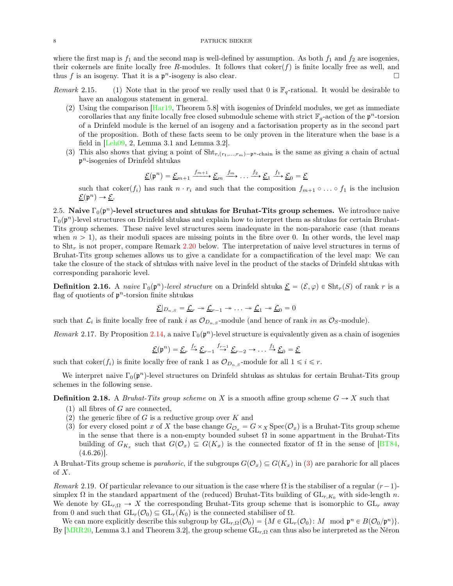where the first map is  $f_1$  and the second map is well-defined by assumption. As both  $f_1$  and  $f_2$  are isogenies, their cokernels are finite locally free R-modules. It follows that  $coker(f)$  is finite locally free as well, and thus f is an isogeny. That it is a  $\mathfrak{p}^n$ -isogeny is also clear.

- Remark 2.15. (1) Note that in the proof we really used that 0 is  $\mathbb{F}_q$ -rational. It would be desirable to have an analogous statement in general.
	- (2) Using the comparison [\[Har19,](#page-30-15) Theorem 5.8] with isogenies of Drinfeld modules, we get as immediate corollaries that any finite locally free closed submodule scheme with strict  $\mathbb{F}_q$ -action of the  $p^n$ -torsion of a Drinfeld module is the kernel of an isogeny and a factorisation property as in the second part of the proposition. Both of these facts seem to be only proven in the literature when the base is a field in [\[Leh09,](#page-31-7) 2, Lemma 3.1 and Lemma 3.2].
	- (3) This also shows that giving a point of  $\text{Sht}_{r,(r_1,...,r_m)-p^n\text{-chain}}$  is the same as giving a chain of actual p <sup>n</sup>-isogenies of Drinfeld shtukas

$$
\underline{\mathcal{E}}(\mathfrak{p}^n) = \underline{\mathcal{E}}_{m+1} \xrightarrow{f_{m+1}} \underline{\mathcal{E}}_m \xrightarrow{f_m} \dots \xrightarrow{f_2} \underline{\mathcal{E}}_1 \xrightarrow{f_1} \underline{\mathcal{E}}_0 = \underline{\mathcal{E}}
$$

such that coker $(f_i)$  has rank  $n \cdot r_i$  and such that the composition  $f_{m+1} \circ \ldots \circ f_1$  is the inclusion  $\underline{\mathcal{E}}(\mathfrak{p}^n) \to \underline{\mathcal{E}}.$ 

<span id="page-7-0"></span>2.5. Naive  $\Gamma_0(\mathfrak{p}^n)$ -level structures and shtukas for Bruhat-Tits group schemes. We introduce naive  $\Gamma_0(\mathfrak{p}^n)$ -level structures on Drinfeld shtukas and explain how to interpret them as shtukas for certain Bruhat-Tits group schemes. These naive level structures seem inadequate in the non-parahoric case (that means when  $n > 1$ , as their moduli spaces are missing points in the fibre over 0. In other words, the level map to Sht<sub>r</sub> is not proper, compare Remark [2.20](#page-9-1) below. The interpretation of naive level structures in terms of Bruhat-Tits group schemes allows us to give a candidate for a compactification of the level map: We can take the closure of the stack of shtukas with naive level in the product of the stacks of Drinfeld shtukas with corresponding parahoric level.

<span id="page-7-2"></span>**Definition 2.16.** A naive  $\Gamma_0(\mathfrak{p}^n)$ -level structure on a Drinfeld shtuka  $\underline{\mathcal{E}} = (\mathcal{E}, \varphi) \in \text{Sht}_r(S)$  of rank r is a flag of quotients of  $p<sup>n</sup>$ -torsion finite shtukas

$$
\underline{\mathcal{E}}|_{D_{n,S}} = \underline{\mathcal{L}}_r \twoheadrightarrow \underline{\mathcal{L}}_{r-1} \twoheadrightarrow \ldots \twoheadrightarrow \underline{\mathcal{L}}_1 \twoheadrightarrow \underline{\mathcal{L}}_0 = 0
$$

such that  $\mathcal{L}_i$  is finite locally free of rank i as  $\mathcal{O}_{D_{n,S}}$ -module (and hence of rank in as  $\mathcal{O}_S$ -module).

Remark 2.17. By Proposition [2.14,](#page-6-0) a naive  $\Gamma_0(\mathfrak{p}^n)$ -level structure is equivalently given as a chain of isogenies

$$
\underline{\mathcal{E}}(\mathfrak{p}^n) = \underline{\mathcal{E}}_r \stackrel{f_r}{\rightarrow} \underline{\mathcal{E}}_{r-1} \stackrel{f_{r-1}}{\rightarrow} \underline{\mathcal{E}}_{r-2} \rightarrow \dots \stackrel{f_1}{\rightarrow} \underline{\mathcal{E}}_0 = \underline{\mathcal{E}}
$$

such that coker $(f_i)$  is finite locally free of rank 1 as  $\mathcal{O}_{D_n, S}$ -module for all  $1 \leq i \leq r$ .

We interpret naive  $\Gamma_0(\mathfrak{p}^n)$ -level structures on Drinfeld shtukas as shtukas for certain Bruhat-Tits group schemes in the following sense.

**Definition 2.18.** A *Bruhat-Tits group scheme* on X is a smooth affine group scheme  $G \to X$  such that

- (1) all fibres of  $G$  are connected,
- <span id="page-7-1"></span>(2) the generic fibre of G is a reductive group over K and
- (3) for every closed point x of X the base change  $G_{\mathcal{O}_x} = G \times_X \text{Spec}(\mathcal{O}_x)$  is a Bruhat-Tits group scheme in the sense that there is a non-empty bounded subset  $\Omega$  in some appartment in the Bruhat-Tits building of  $G_{K_x}$  such that  $G(\mathcal{O}_x) \subseteq G(K_x)$  is the connected fixator of  $\Omega$  in the sense of [\[BT84](#page-30-16),  $(4.6.26)$ ].

A Bruhat-Tits group scheme is *parahoric*, if the subgroups  $G(\mathcal{O}_x) \subseteq G(K_x)$  in [\(3\)](#page-7-1) are parahoric for all places  $\mathrm{of}~X.$ 

<span id="page-7-3"></span>Remark 2.19. Of particular relevance to our situation is the case where  $\Omega$  is the stabiliser of a regular  $(r-1)$ simplex  $\Omega$  in the standard appartment of the (reduced) Bruhat-Tits building of  $GL_{r,K_0}$  with side-length n. We denote by  $GL_{r,\Omega} \to X$  the corresponding Bruhat-Tits group scheme that is isomorphic to  $GL_r$  away from 0 and such that  $GL_r(\mathcal{O}_0) \subseteq GL_r(K_0)$  is the connected stabiliser of  $\Omega$ .

We can more explicitly describe this subgroup by  $\mathrm{GL}_{r,\Omega}(\mathcal{O}_0) = \{M \in \mathrm{GL}_r(\mathcal{O}_0): M \mod \mathfrak{p}^n \in B(\mathcal{O}_0/\mathfrak{p}^n)\}.$ By [\[MRR20](#page-31-2), Lemma 3.1 and Theorem 3.2], the group scheme  $GL_{r,\Omega}$  can thus also be interpreted as the Néron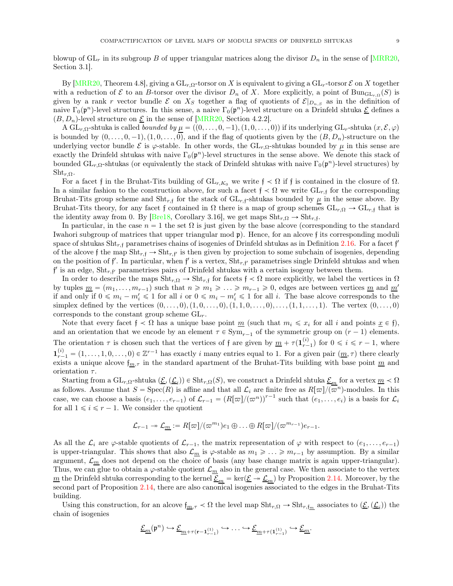blowup of  $GL_r$  in its subgroup B of upper triangular matrices along the divisor  $D_n$  in the sense of [\[MRR20](#page-31-2), Section 3.1].

By  $[MRR20, Theorem 4.8],$  giving a  $GL_{r,\Omega}$ -torsor on X is equivalent to giving a  $GL_r$ -torsor  $\mathcal E$  on X together with a reduction of  $\mathcal E$  to an B-torsor over the divisor  $D_n$  of X. More explicitly, a point of  $\text{Bun}_{\text{GL}_r,\Omega}(S)$  is given by a rank r vector bundle  $\mathcal E$  on  $X_S$  together a flag of quotients of  $\mathcal E|_{D_{n,S}}$  as in the definition of naive  $\Gamma_0(\mathfrak{p}^n)$ -level structures. In this sense, a naive  $\Gamma_0(\mathfrak{p}^n)$ -level structure on a Drinfeld shtuka  $\underline{\mathcal{E}}$  defines a  $(B, D_n)$ -level structure on  $\underline{\mathcal{E}}$  in the sense of [\[MRR20](#page-31-2), Section 4.2.2].

A  $GL_{r,\Omega}$ -shtuka is called *bounded by*  $\mu = ((0, \ldots, 0, -1), (1, 0, \ldots, 0))$  if its underlying  $GL_r$ -shtuka  $(x, \mathcal{E}, \varphi)$ is bounded by  $(0, \ldots, 0, -1), (1, 0, \ldots, 0)$ , and if the flag of quotients given by the  $(B, D_n)$ -structure on the underlying vector bundle E is  $\varphi$ -stable. In other words, the GL<sub>r,Ω</sub>-shtukas bounded by  $\mu$  in this sense are exactly the Drinfeld shtukas with naive  $\Gamma_0(\mathfrak{p}^n)$ -level structures in the sense above. We denote this stack of bounded  $GL_{r,\Omega}$ -shtukas (or equivalently the stack of Drinfeld shtukas with naive  $\Gamma_0(\mathfrak{p}^n)$ -level structures) by  $\text{Sht}_{r,\Omega}$ .

For a facet f in the Bruhat-Tits building of  $GL_{r,K_0}$  we write  $f \prec \Omega$  if f is contained in the closure of  $\Omega$ . In a similar fashion to the construction above, for such a facet  $f \prec \Omega$  we write  $GL_{r,f}$  for the corresponding Bruhat-Tits group scheme and  $\text{Sht}_{r,\mathfrak{f}}$  for the stack of  $\text{GL}_{r,\mathfrak{f}}$ -shtukas bounded by  $\mu$  in the sense above. By Bruhat-Tits theory, for any facet f contained in  $\Omega$  there is a map of group schemes  $GL_{r,\Omega} \to GL_{r,f}$  that is the identity away from 0. By [\[Bre18,](#page-30-0) Corollary 3.16], we get maps  $\text{Sht}_{r,\Omega} \to \text{Sht}_{r,\mathfrak{f}}$ .

In particular, in the case  $n = 1$  the set  $\Omega$  is just given by the base alcove (corresponding to the standard Iwahori subgroup of matrices that upper triangular mod p). Hence, for an alcove f its corresponding moduli space of shtukas  $\text{Sht}_{r,\mathfrak{f}}$  parametrises chains of isogenies of Drinfeld shtukas as in Definition [2.16.](#page-7-2) For a facet  $\mathfrak{f}'$ of the alcove f the map  $\text{Sht}_{r,f} \to \text{Sht}_{r,f'}$  is then given by projection to some subchain of isogenies, depending on the position of  $f'$ . In particular, when  $f'$  is a vertex,  $\text{Sht}_{r,f'}$  parametrises single Drinfeld shtukas and when f' is an edge,  $\text{Sht}_{r,f'}$  parametrises pairs of Drinfeld shtukas with a certain isogeny between them.

In order to describe the maps  $\text{Sht}_{r,\Omega} \to \text{Sht}_{r,\mathfrak{f}}$  for facets  $\mathfrak{f} \prec \Omega$  more explicitly, we label the vertices in  $\Omega$ by tuples  $\underline{m} = (m_1, \ldots, m_{r-1})$  such that  $n \geq m_1 \geq \ldots \geq m_{r-1} \geq 0$ , edges are between vertices  $\underline{m}$  and  $\underline{m}'$ if and only if  $0 \leq m_i - m'_i \leq 1$  for all  $i$  or  $0 \leq m_i - m'_i \leq 1$  for all i. The base alcove corresponds to the simplex defined by the vertices  $(0, \ldots, 0), (1, 0, \ldots, 0), (1, 1, 0, \ldots, 0), \ldots, (1, 1, \ldots, 1)$ . The vertex  $(0, \ldots, 0)$ corresponds to the constant group scheme  $GL_r$ .

Note that every facet  $f \prec \Omega$  has a unique base point  $\underline{m}$  (such that  $m_i \leq x_i$  for all i and points  $\underline{x} \in f$ ), and an orientation that we encode by an element  $\tau \in \text{Sym}_{r-1}$  of the symmetric group on  $(r-1)$  elements. The orientation  $\tau$  is chosen such that the vertices of f are given by  $\underline{m} + \tau(\mathbf{1}_{r-1}^{(i)})$  for  $0 \leqslant i \leqslant r-1$ , where  $\mathbf{1}_{r-1}^{(i)} = (1, \ldots, 1, 0, \ldots, 0) \in \mathbb{Z}^{r-1}$  has exactly i many entries equal to 1. For a given pair  $(\underline{m}, \tau)$  there clearly exists a unique alcove  $f_{m,\tau}$  in the standard apartment of the Bruhat-Tits building with base point  $\underline{m}$  and orientation  $\tau$ .

Starting from a  $\text{GL}_{r,\Omega}$ -shtuka  $(\underline{\mathcal{E}},(\underline{\mathcal{L}}_i)) \in \text{Sht}_{r,\Omega}(S)$ , we construct a Drinfeld shtuka  $\underline{\mathcal{E}}_m$  for a vertex  $\underline{m} \prec \Omega$ as follows. Assume that  $S = \operatorname{Spec}(R)$  is affine and that all  $\mathcal{L}_i$  are finite free as  $R[\varpi]/(\overline{\varpi}^n)$ -modules. In this case, we can choose a basis  $(e_1, \ldots, e_{r-1})$  of  $\mathcal{L}_{r-1} = (R[\varpi]/(\varpi^n))^{r-1}$  such that  $(e_1, \ldots, e_i)$  is a basis for  $\mathcal{L}_i$ for all  $1 \leq i \leq r - 1$ . We consider the quotient

$$
\mathcal{L}_{r-1} \twoheadrightarrow \mathcal{L}_{\underline{m}} := R[\varpi]/(\varpi^{m_1})e_1 \oplus \ldots \oplus R[\varpi]/(\varpi^{m_{r-1}})e_{r-1}.
$$

As all the  $\mathcal{L}_i$  are  $\varphi$ -stable quotients of  $\mathcal{L}_{r-1}$ , the matrix representation of  $\varphi$  with respect to  $(e_1, \ldots, e_{r-1})$ is upper-triangular. This shows that also  $\mathcal{L}_m$  is  $\varphi$ -stable as  $m_1 \geq \ldots \geq m_{r-1}$  by assumption. By a similar argument,  $\mathcal{L}_m$  does not depend on the choice of basis (any base change matrix is again upper-triangular). Thus, we can glue to obtain a  $\varphi$ -stable quotient  $\mathcal{L}_m$  also in the general case. We then associate to the vertex <u>m</u> the Drinfeld shtuka corresponding to the kernel  $\underline{\mathcal{E}}_m = \ker(\underline{\mathcal{E}} \twoheadrightarrow \underline{\mathcal{L}}_m)$  by Proposition [2.14.](#page-6-0) Moreover, by the second part of Proposition [2.14,](#page-6-0) there are also canonical isogenies associated to the edges in the Bruhat-Tits building.

Using this construction, for an alcove  $f_{m,\tau} < \Omega$  the level map  $\text{Sht}_{r,\Omega} \to \text{Sht}_{r,\tilde{f}_m}$  associates to  $(\underline{\mathcal{E}},(\underline{\mathcal{L}}_i))$  the chain of isogenies

$$
\underline{\mathcal{E}_m}(\mathfrak{p}^n)\hookrightarrow \underline{\mathcal{E}_{m+\tau(\mathbf{r-1}_{r-1}^{(1)})}}\hookrightarrow\ldots\hookrightarrow \underline{\mathcal{E}_{m+\tau(\mathbf{1}_{r-1}^{(1)})}}\hookrightarrow \underline{\mathcal{E}_m}.
$$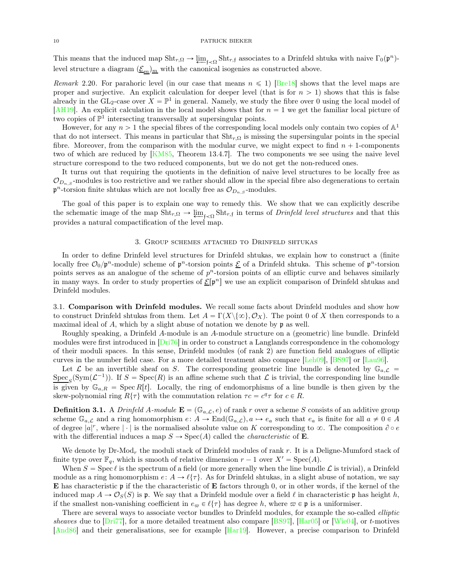This means that the induced map  $\text{Sht}_{r,\Omega} \to \underleftarrow{\lim}_{f \prec \Omega} \text{Sht}_{r,f}$  associates to a Drinfeld shtuka with naive  $\Gamma_0(\mathfrak{p}^n)$ level structure a diagram  $(\underline{\mathcal{E}}_m)_m$  with the canonical isogenies as constructed above.

<span id="page-9-1"></span>Remark 2.20. For parahoric level (in our case that means  $n \leq 1$ ) [\[Bre18](#page-30-0)] shows that the level maps are proper and surjective. An explicit calculation for deeper level (that is for  $n > 1$ ) shows that this is false already in the GL<sub>2</sub>-case over  $X = \mathbb{P}^1$  in general. Namely, we study the fibre over 0 using the local model of [\[AH19\]](#page-29-2). An explicit calculation in the local model shows that for  $n = 1$  we get the familiar local picture of two copies of  $\mathbb{P}^1$  intersecting transversally at supersingular points.

However, for any  $n > 1$  the special fibres of the corresponding local models only contain two copies of  $\mathbb{A}^1$ that do not intersect. This means in particular that  $\text{Sht}_{r,\Omega}$  is missing the supersingular points in the special fibre. Moreover, from the comparison with the modular curve, we might expect to find  $n + 1$ -components two of which are reduced by [\[KM85,](#page-30-3) Theorem 13.4.7]. The two components we see using the naive level structure correspond to the two reduced components, but we do not get the non-reduced ones.

It turns out that requiring the quotients in the definition of naive level structures to be locally free as  $\mathcal{O}_{D_n}$ , s-modules is too restrictive and we rather should allow in the special fibre also degenerations to certain  $\mathfrak{p}^n$ -torsion finite shtukas which are not locally free as  $\mathcal{O}_{D_n, s}$ -modules.

The goal of this paper is to explain one way to remedy this. We show that we can explicitly describe the schematic image of the map  $\text{Sht}_{r,\Omega} \to \underbrace{\lim}_{f \prec \Omega} \text{Sht}_{r,f}$  in terms of *Drinfeld level structures* and that this provides a natural compactification of the level map.

#### 3. Group schemes attached to Drinfeld shtukas

<span id="page-9-0"></span>In order to define Drinfeld level structures for Drinfeld shtukas, we explain how to construct a (finite locally free  $\mathcal{O}_0/\mathfrak{p}^n$ -module) scheme of  $\mathfrak{p}^n$ -torsion points  $\underline{\mathcal{E}}$  of a Drinfeld shtuka. This scheme of  $\mathfrak{p}^n$ -torsion points serves as an analogue of the scheme of  $p<sup>n</sup>$ -torsion points of an elliptic curve and behaves similarly in many ways. In order to study properties of  $\underline{\mathcal{E}}[\mathfrak{p}^n]$  we use an explicit comparison of Drinfeld shtukas and Drinfeld modules.

3.1. Comparison with Drinfeld modules. We recall some facts about Drinfeld modules and show how to construct Drinfeld shtukas from them. Let  $A = \Gamma(X \setminus \{\infty\}, \mathcal{O}_X)$ . The point 0 of X then corresponds to a maximal ideal of  $A$ , which by a slight abuse of notation we denote by  $\mathfrak p$  as well.

Roughly speaking, a Drinfeld A-module is an A-module structure on a (geometric) line bundle. Drinfeld modules were first introduced in  $[Dri76]$  in order to construct a Langlands correspondence in the cohomology of their moduli spaces. In this sense, Drinfeld modules (of rank 2) are function field analogues of elliptic curves in the number field case. For a more detailed treatment also compare [\[Leh09\]](#page-31-7), [\[BS97\]](#page-30-17) or [\[Lau96\]](#page-30-12).

Let  $\mathcal L$  be an invertible sheaf on S. The corresponding geometric line bundle is denoted by  $\mathbb G_{a,\mathcal L}$  =  $Spec_S(Sym(\mathcal{L}^{-1}))$ . If  $S = Spec(R)$  is an affine scheme such that  $\mathcal L$  is trivial, the corresponding line bundle is given by  $\mathbb{G}_{a,R} = \text{Spec } R[t]$ . Locally, the ring of endomorphisms of a line bundle is then given by the skew-polynomial ring  $R\{\tau\}$  with the commutation relation  $\tau c = c^q \tau$  for  $c \in R$ .

**Definition 3.1.** A *Drinfeld A-module*  $\mathbf{E} = (\mathbb{G}_{a,C}, e)$  of rank r over a scheme S consists of an additive group scheme  $\mathbb{G}_{a,\mathcal{L}}$  and a ring homomorphism  $e: A \to \text{End}(\mathbb{G}_{a,\mathcal{L}}), a \mapsto e_a$  such that  $e_a$  is finite for all  $a \neq 0 \in A$ of degree  $|a|^r$ , where  $|\cdot|$  is the normalised absolute value on K corresponding to  $\infty$ . The composition  $\partial \circ e$ with the differential induces a map  $S \to \text{Spec}(A)$  called the *characteristic* of **E**.

We denote by  $Dr\text{-Mod}_r$  the moduli stack of Drinfeld modules of rank r. It is a Deligne-Mumford stack of finite type over  $\mathbb{F}_q$ , which is smooth of relative dimension  $r - 1$  over  $X' = \text{Spec}(A)$ .

When  $S = \text{Spec } \ell$  is the spectrum of a field (or more generally when the line bundle  $\mathcal L$  is trivial), a Drinfeld module as a ring homomorphism  $e: A \to \ell \{\tau\}$ . As for Drinfeld shtukas, in a slight abuse of notation, we say **E** has characteristic **p** if the the characteristic of **E** factors through 0, or in other words, if the kernel of the induced map  $A \to \mathcal{O}_S(S)$  is p. We say that a Drinfeld module over a field  $\ell$  in characteristic p has height h, if the smallest non-vanishing coefficient in  $e_{\varpi} \in \ell\{\tau\}$  has degree h, where  $\varpi \in \mathfrak{p}$  is a uniformiser.

There are several ways to associate vector bundles to Drinfeld modules, for example the so-called *elliptic* sheaves due to  $[Dri77]$ , for a more detailed treatment also compare [\[BS97](#page-30-17)],  $[Har05]$  or [\[Wie04\]](#page-31-8), or t-motives [\[And86](#page-30-19)] and their generalisations, see for example [\[Har19](#page-30-15)]. However, a precise comparison to Drinfeld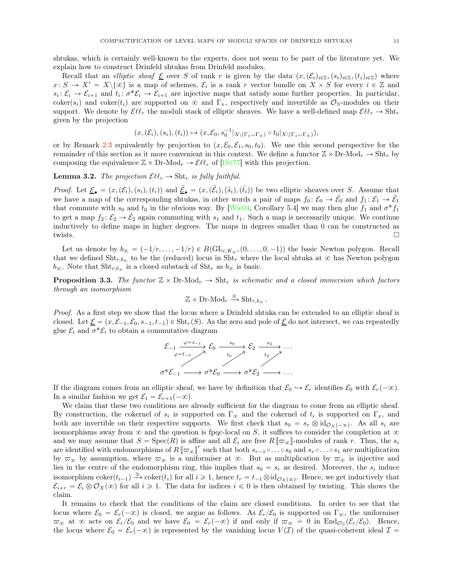shtukas, which is certainly well-known to the experts, does not seem to be part of the literature yet. We explain how to construct Drinfeld shtukas from Drinfeld modules.

Recall that an elliptic sheaf  $\underline{\mathcal{E}}$  over S of rank r is given by the data  $(x,(\mathcal{E}_i)_{i\in\mathbb{Z}},(s_i)_{i\in\mathbb{Z}},(t_i)_{i\in\mathbb{Z}})$  where  $x\colon S \to X' = X\setminus\{\infty\}$  is a map of schemes,  $\mathcal{E}_i$  is a rank r vector bundle on  $X \times S$  for every  $i \in \mathbb{Z}$  and  $s_i: \mathcal{E}_i \to \mathcal{E}_{i+1}$  and  $t_i: \sigma^* \mathcal{E}_i \to \mathcal{E}_{i+1}$  are injective maps that satisfy some further properties. In particular, coker(s<sub>i</sub>) and coker(t<sub>i</sub>) are supported on  $\infty$  and  $\Gamma_x$ , respectively and invertible as  $\mathcal{O}_S$ -modules on their support. We denote by  $\mathcal{E}\ell\ell_r$  the moduli stack of elliptic sheaves. We have a well-defined map  $\mathcal{E}\ell\ell_r \to \text{Sht}_r$ given by the projection

$$
(x,(\mathcal{E}_i),(s_i),(t_i))\mapsto (x,\mathcal{E}_0,s_0^{-1}|_{X\backslash (\Gamma_x\cup\Gamma_\infty)}\circ t_0|_{X\backslash (\Gamma_x\cup\Gamma_\infty)}),
$$

or by Remark [2.3](#page-3-0) equivalently by projection to  $(x, \mathcal{E}_0, \mathcal{E}_1, s_0, t_0)$ . We use this second perspective for the remainder of this section as it more convenient in this context. We define a functor  $\mathbb{Z} \times \text{Dr-Mod}_r \to \text{Sht}_r$  by composing the equivalence  $\mathbb{Z} \times \text{Dr-Mod}_r \to \mathcal{E}\ell\ell_r$  of  $[\text{Dri77}]$  with this projection.

**Lemma 3.2.** The projection  $\mathcal{E}\ell\ell_r \to \text{Sht}_r$  is fully faithful.

*Proof.* Let  $\underline{\mathcal{E}}_{\bullet} = (x, (\mathcal{E}_i), (s_i), (t_i))$  and  $\underline{\tilde{\mathcal{E}}}_{\bullet} = (x, (\tilde{\mathcal{E}}_i), (\tilde{s}_i), (\tilde{t}_i))$  be two elliptic sheaves over S. Assume that we have a map of the corresponding shtukas, in other words a pair of maps  $f_0: \mathcal{E}_0 \to \tilde{\mathcal{E}}_0$  and  $f_1: \mathcal{E}_1 \to \tilde{\mathcal{E}}_1$ that commute with  $s_0$  and  $t_0$  in the obvious way. By [\[Wie04,](#page-31-8) Corollary 5.4] we may then glue  $f_1$  and  $\sigma^* f_1$ to get a map  $f_2: \mathcal{E}_2 \to \tilde{\mathcal{E}}_2$  again commuting with  $s_1$  and  $t_1$ . Such a map is necessarily unique. We continue inductively to define maps in higher degrees. The maps in degrees smaller than 0 can be constructed as twists.

Let us denote by  $b_{\infty} = (-1/r, \ldots, -1/r) \in B(\mathrm{GL}_{r,K_{\infty}}, (0, \ldots, 0, -1))$  the basic Newton polygon. Recall that we defined  $\text{Sht}_{r,b_{\infty}}$  to be the (reduced) locus in  $\text{Sht}_{r}$  where the local shtuka at  $\infty$  has Newton polygon  $b_{\infty}$ . Note that  $\text{Sht}_{r,b_{\infty}}$  is a closed substack of  $\text{Sht}_r$  as  $b_{\infty}$  is basic.

<span id="page-10-0"></span>**Proposition 3.3.** The functor  $\mathbb{Z} \times \text{Dr-Mod}_r \to \text{Sht}_r$  is schematic and a closed immersion which factors through an isomorphism

$$
\mathbb{Z} \times \text{Dr-Mod}_r \xrightarrow{\cong} \text{Sht}_{r,b_{\infty}}.
$$

Proof. As a first step we show that the locus where a Drinfeld shtuka can be extended to an elliptic sheaf is closed. Let  $\underline{\mathcal{E}} = (x, \mathcal{E}_{-1}, \mathcal{E}_0, s_{-1}, t_{-1}) \in \text{Sht}_r(S)$ . As the zero and pole of  $\underline{\mathcal{E}}$  do not intersect, we can repeatedly glue  $\mathcal{E}_i$  and  $\sigma^* \mathcal{E}_i$  to obtain a commutative diagram

$$
\begin{array}{ccc}\n\mathcal{E}_{-1} & \xrightarrow{\varphi=s_{-1}} & \mathcal{E}_{0} & \xrightarrow{s_{0}} & \mathcal{E}_{2} & \xrightarrow{s_{2}} & \dots \\
\downarrow{\varphi=t_{-1}} & & \uparrow{\vdots} & \downarrow{\vdots} & \nearrow & \n\end{array}
$$

If the diagram comes from an elliptic sheaf, we have by definition that  $\mathcal{E}_0 \hookrightarrow \mathcal{E}_r$  identifies  $\mathcal{E}_0$  with  $\mathcal{E}_r(-\infty)$ . In a similar fashion we get  $\mathcal{E}_1 = \mathcal{E}_{r+1}(-\infty)$ .

We claim that these two conditions are already sufficient for the diagram to come from an elliptic sheaf. By construction, the cokernel of  $s_i$  is supported on  $\Gamma_\infty$  and the cokernel of  $t_i$  is supported on  $\Gamma_x$ , and both are invertible on their respective supports. We first check that  $s_0 = s_r \otimes id_{\mathcal{O}_X(-\infty)}$ . As all  $s_i$  are isomorphisms away from  $\infty$  and the question is fpqc-local on S, it suffices to consider the completion at  $\infty$ and we may assume that  $S = \text{Spec}(R)$  is affine and all  $\mathcal{E}_i$  are free  $R[\![\varpi_\infty]\!]$ -modules of rank r. Thus, the  $s_i$ are identified with endomorphisms of  $R[\![\varpi_{\infty}]\!]^r$  such that both  $s_{r-1} \circ \dots \circ s_0$  and  $s_r \circ \dots \circ s_1$  are multiplication by  $\varpi_{\infty}$  by assumption, where  $\varpi_{\infty}$  is a uniformiser at  $\infty$ . But as multiplication by  $\varpi_{\infty}$  is injective and lies in the centre of the endomorphism ring, this implies that  $s_0 = s_r$  as desired. Moreover, the  $s_i$  induce isomorphism coker $(t_{i-1}) \stackrel{\cong}{\longrightarrow} \text{coker}(t_i)$  for all  $i \geq 1$ , hence  $t_r = t_{-1} \otimes \text{id}_{\mathcal{O}_X(\infty)}$ . Hence, we get inductively that  $\mathcal{E}_{i+r} = \mathcal{E}_i \otimes \mathcal{O}_X(\infty)$  for all  $i \geq 1$ . The data for indices  $i \leq 0$  is then obtained by twisting. This shows the claim.

It remains to check that the conditions of the claim are closed conditions. In order to see that the locus where  $\mathcal{E}_0 = \mathcal{E}_r(-\infty)$  is closed, we argue as follows. As  $\mathcal{E}_r/\mathcal{E}_0$  is supported on  $\Gamma_\infty$ , the uniformiser  $\overline{\omega}_{\infty}$  at  $\infty$  acts on  $\mathcal{E}_r/\mathcal{E}_0$  and we have  $\mathcal{E}_0 = \mathcal{E}_r(-\infty)$  if and only if  $\overline{\omega}_{\infty} = 0$  in  $\text{End}_{\mathcal{O}_S}(\mathcal{E}_r/\mathcal{E}_0)$ . Hence, the locus where  $\mathcal{E}_0 = \mathcal{E}_r(-\infty)$  is represented by the vanishing locus  $V(\mathcal{I})$  of the quasi-coherent ideal  $\mathcal{I} =$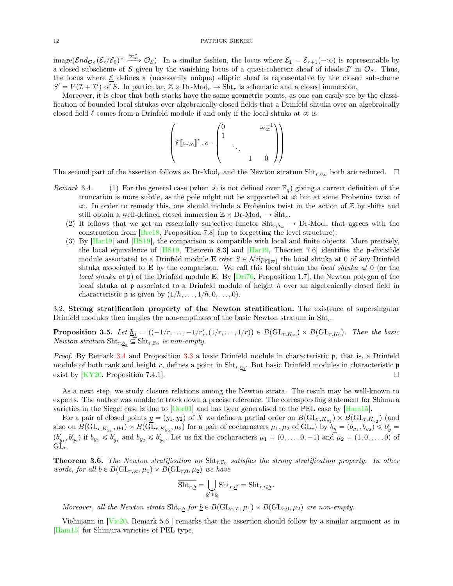image $(\mathcal{E} nd_{\mathcal{O}_S}(\mathcal{E}_r/\mathcal{E}_0)^\vee \xrightarrow{\varpi_\infty} \mathcal{O}_S)$ . In a similar fashion, the locus where  $\mathcal{E}_1 = \mathcal{E}_{r+1}(-\infty)$  is representable by a closed subscheme of S given by the vanishing locus of a quasi-coherent sheaf of ideals  $\mathcal{I}'$  in  $\mathcal{O}_S$ . Thus, the locus where  $\mathcal E$  defines a (necessarily unique) elliptic sheaf is representable by the closed subscheme  $S' = V(\mathcal{I} + \mathcal{I}')$  of S. In particular,  $\mathbb{Z} \times Dr\text{-Mod}_r \to \text{Sht}_r$  is schematic and a closed immersion.

Moreover, it is clear that both stacks have the same geometric points, as one can easily see by the classification of bounded local shtukas over algebraically closed fields that a Drinfeld shtuka over an algebraically closed field  $\ell$  comes from a Drinfeld module if and only if the local shtuka at  $\infty$  is

$$
\left(\ell\left[\left.\pi_{\infty}\right]\right]^{r},\sigma\cdot\begin{pmatrix}0&&&\left.\pi_{\infty}^{-1}\right!\\1&&&\\&\ddots&&\\&&1&0\end{pmatrix}\right)
$$

The second part of the assertion follows as  $Dr\text{-Mod}_r$  and the Newton stratum  $\text{Sht}_{r,b_{\alpha}}$  both are reduced.  $\Box$ 

- <span id="page-11-2"></span><span id="page-11-1"></span>Remark 3.4. (1) For the general case (when  $\infty$  is not defined over  $\mathbb{F}_q$ ) giving a correct definition of the truncation is more subtle, as the pole might not be supported at  $\infty$  but at some Frobenius twist of  $\infty$ . In order to remedy this, one should include a Frobenius twist in the action of  $\mathbb Z$  by shifts and still obtain a well-defined closed immersion  $\mathbb{Z} \times \text{Dr-Mod}_r \to \text{Sht}_r$ .
	- (2) It follows that we get an essentially surjective functor  $\text{Sht}_{r,b_{\infty}} \to \text{Dr-Mod}_r$  that agrees with the construction from [\[Bre18,](#page-30-0) Proposition 7.8] (up to forgetting the level structure).
	- (3) By [\[Har19\]](#page-30-15) and [\[HS19](#page-30-9)], the comparison is compatible with local and finite objects. More precisely, the local equivalence of  $[HS19,$  Theorem 8.3] and  $[Har19,$  Theorem 7.6] identifies the p-divisible module associated to a Drinfeld module **E** over  $S \in \mathcal{N}ilp_{\mathbb{F}[\pi_{\mathbb{F}}]}$  the local shtuka at 0 of any Drinfeld shtuka associated to E by the comparison. We call this local shtuka the local shtuka at 0 (or the *local shtuka at*  $\mathfrak{p}$ ) of the Drinfeld module **E**. By [\[Dri76,](#page-30-4) Proposition 1.7], the Newton polygon of the local shtuka at  $\mathfrak p$  associated to a Drinfeld module of height h over an algebraically closed field in characteristic **p** is given by  $(1/h, \ldots, 1/h, 0, \ldots, 0)$ .

3.2. Strong stratification property of the Newton stratification. The existence of supersingular Drinfeld modules then implies the non-emptiness of the basic Newton stratum in  $\text{Sht}_r$ .

<span id="page-11-0"></span>**Proposition 3.5.** Let  $\underline{b}_0 = ((-1/r, \ldots, -1/r), (1/r, \ldots, 1/r)) \in B(\mathrm{GL}_{r,K_\infty}) \times B(\mathrm{GL}_{r,K_0})$ . Then the basic *Newton stratum*  $\text{Sht}_{r,\underline{b}_0} \subseteq \text{Sht}_{r,\mathbb{F}_0}$  is non-empty.

Proof. By Remark 3.4 and Proposition [3.3](#page-10-0) a basic Drinfeld module in characteristic  $\mathfrak{p}$ , that is, a Drinfeld module of both rank and height r, defines a point in  $\text{Sht}_{r,\underline{b}_0}$ . But basic Drinfeld modules in characteristic p exist by  $[KY20,$  Proposition 7.4.1].

As a next step, we study closure relations among the Newton strata. The result may be well-known to experts. The author was unable to track down a precise reference. The corresponding statement for Shimura varieties in the Siegel case is due to [\[Oor01\]](#page-31-9) and has been generalised to the PEL case by [\[Ham15](#page-30-21)].

For a pair of closed points  $y = (y_1, y_2)$  of X we define a partial order on  $B(\mathrm{GL}_{r, K_{y_1}}) \times B(\mathrm{GL}_{r, K_{y_2}})$  (and also on  $B(\mathrm{GL}_{r,K_{y_1}},\mu_1)\times B(\mathrm{GL}_{r,K_{y_2}},\mu_2)$  for a pair of cocharacters  $\mu_1,\mu_2$  of  $\mathrm{GL}_r$ ) by  $\overline{b_y}=(b_{y_1},b_{y_2})\leqslant b_y'=b_{y_1}$  $(b'_{y_1}, b'_{y_2})$  if  $b_{y_1} \leqslant b'_{y_1}$  and  $b_{y_2} \leqslant b'_{y_2}$ . Let us fix the cocharacters  $\mu_1 = (0, \ldots, 0, -1)$  and  $\mu_2 = (1, 0, \ldots, 0)$  of  $GL_r$ .

<span id="page-11-3"></span>**Theorem 3.6.** The Newton stratification on  $\text{Sht}_{r,\mathbb{F}_0}$  satisfies the strong stratification property. In other words, for all  $\underline{b} \in B(\mathrm{GL}_{r,\infty}, \mu_1) \times B(\mathrm{GL}_{r,0}, \mu_2)$  we have

$$
\overline{{\rm Sht}_{r,\underline{b}}}=\bigcup_{\underline{b}^{\prime}\leq\underline{b}}{\rm Sht}_{r,\underline{b}^{\prime}}={\rm Sht}_{r,\leq\underline{b}}\,.
$$

Moreover, all the Newton strata  $\text{Sht}_{r,\underline{b}}$  for  $\underline{b} \in B(\text{GL}_{r,\infty}, \mu_1) \times B(\text{GL}_{r,0}, \mu_2)$  are non-empty.

Viehmann in [\[Vie20,](#page-31-10) Remark 5.6.] remarks that the assertion should follow by a similar argument as in [\[Ham15\]](#page-30-21) for Shimura varieties of PEL type.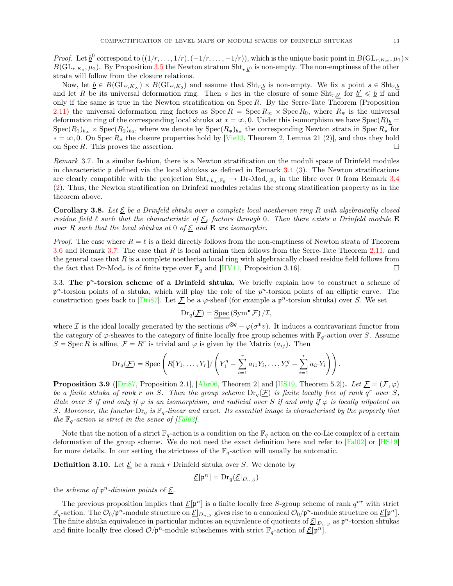*Proof.* Let  $\underline{b}^0$  correspond to  $((1/r, \ldots, 1/r), (-1/r, \ldots, -1/r))$ , which is the unique basic point in  $B(\mathrm{GL}_{r,K_\infty}, \mu_1) \times$  $B(\mathrm{GL}_{r,K_0},\mu_2)$ . By Proposition [3.5](#page-11-0) the Newton stratum  $\mathrm{Sht}_{r,\underline{b}^0}$  is non-empty. The non-emptiness of the other strata will follow from the closure relations.

Now, let  $\underline{b} \in B(\mathrm{GL}_{r,K_\infty}) \times B(\mathrm{GL}_{r,K_0})$  and assume that  $\mathrm{Sht}_{r,\underline{b}}$  is non-empty. We fix a point  $s \in \mathrm{Sht}_{r,\underline{b}}$ and let R be its universal deformation ring. Then s lies in the closure of some  $\text{Sht}_{r,\underline{b'}}$  for  $\underline{b'} \leq \underline{b}$  if and only if the same is true in the Newton stratification on  $Spec R$ . By the Serre-Tate Theorem (Proposition [2.11\)](#page-5-0) the universal deformation ring factors as  $Spec R = Spec R_{\infty} \times Spec R_0$ , where  $R_*$  is the universal deformation ring of the corresponding local shtuka at  $* = \infty, 0$ . Under this isomorphism we have  $Spec(R)_b =$  $Spec(R_1)_{b_\infty}\times Spec(R_2)_{b_0}$ , where we denote by  $Spec(R_*)_{b_*}$  the corresponding Newton strata in Spec  $R_*$  for  $* = \infty, 0$ . On Spec  $R_*$  the closure properties hold by [\[Vie13,](#page-31-11) Theorem 2, Lemma 21 (2)], and thus they hold on Spec R. This proves the assertion.  $\square$ 

<span id="page-12-0"></span>Remark 3.7. In a similar fashion, there is a Newton stratification on the moduli space of Drinfeld modules in characteristic  $\mathfrak p$  defined via the local shtukas as defined in Remark 3.4 [\(3\)](#page-11-1). The Newton stratifications are clearly compatible with the projection  $\text{Sht}_{r,b_{\infty},\mathbb{F}_0} \to \text{Dr-Mod}_{r,\mathbb{F}_0}$  in the fibre over 0 from Remark 3.4 [\(2\)](#page-11-2). Thus, the Newton stratification on Drinfeld modules retains the strong stratification property as in the theorem above.

<span id="page-12-1"></span>**Corollary 3.8.** Let  $\underline{\mathcal{E}}$  be a Drinfeld shtuka over a complete local noetherian ring R with algebraically closed residue field  $\ell$  such that the characteristic of  $\underline{\mathcal{E}}_{\ell}$  factors through 0. Then there exists a Drinfeld module **E** over R such that the local shtukas at 0 of  $\underline{\mathcal{E}}$  and  $\mathbf E$  are isomorphic.

*Proof.* The case where  $R = \ell$  is a field directly follows from the non-emptiness of Newton strata of Theorem [3.6](#page-11-3) and Remark [3.7.](#page-12-0) The case that R is local artinian then follows from the Serre-Tate Theorem [2.11,](#page-5-0) and the general case that  $R$  is a complete noetherian local ring with algebraically closed residue field follows from the fact that Dr-Mod<sub>r</sub> is of finite type over  $\mathbb{F}_q$  and [\[HV11](#page-30-11), Proposition 3.16].

3.3. The  $p<sup>n</sup>$ -torsion scheme of a Drinfeld shtuka. We briefly explain how to construct a scheme of  $p<sup>n</sup>$ -torsion points of a shtuka, which will play the role of the  $p<sup>n</sup>$ -torsion points of an elliptic curve. The construction goes back to  $\boxed{\text{Dri87}}$ . Let  $\cancel{F}$  be a  $\varphi$ -sheaf (for example a  $\mathfrak{p}^n$ -torsion shtuka) over S. We set

$$
\mathrm{Dr}_q(\underline{\mathcal{F}}) = \underline{\mathrm{Spec}} \left( \mathrm{Sym}^{\bullet} \mathcal{F} \right) / \mathcal{I},
$$

where *I* is the ideal locally generated by the sections  $v^{\otimes q} - \varphi(\sigma^*v)$ . It induces a contravariant functor from the category of  $\varphi$ -sheaves to the category of finite locally free group schemes with  $\mathbb{F}_q$ -action over S. Assume  $S = \operatorname{Spec} R$  is affine,  $\mathcal{F} = R^r$  is trivial and  $\varphi$  is given by the Matrix  $(a_{ij})$ . Then

$$
\mathrm{Dr}_q(\underline{\mathcal{F}})=\mathrm{Spec}\left(R[Y_1,\ldots,Y_r]/\left(Y_1^q-\sum_{i=1}^ra_{i1}Y_i,\ldots,Y_r^q-\sum_{i=1}^ra_{ir}Y_i\right)\right).
$$

**Proposition 3.9** ([\[Dri87](#page-30-5), Proposition 2.1], [\[Abr06](#page-29-4), Theorem 2] and [\[HS19,](#page-30-9) Theorem 5.2]). Let  $\mathcal{F} = (\mathcal{F}, \varphi)$ be a finite shtuka of rank r on S. Then the group scheme  $Dr_q(\mathcal{F})$  is finite locally free of rank  $q^r$  over S, étale over S if and only if  $\varphi$  is an isomorphism, and radicial over S if and only if  $\varphi$  is locally nilpotent on S. Moreover, the functor  $Dr_q$  is  $\mathbb{F}_q$ -linear and exact. Its essential image is characterised by the property that the  $\mathbb{F}_q$ -action is strict in the sense of [\[Fal02](#page-30-22)].

Note that the notion of a strict  $\mathbb{F}_q$ -action is a condition on the  $\mathbb{F}_q$  action on the co-Lie complex of a certain deformation of the group scheme. We do not need the exact definition here and refer to [\[Fal02](#page-30-22)] or [\[HS19](#page-30-9)] for more details. In our setting the strictness of the  $\mathbb{F}_q$ -action will usually be automatic.

**Definition 3.10.** Let  $\underline{\mathcal{E}}$  be a rank r Drinfeld shtuka over S. We denote by

$$
\underline{\mathcal{E}}[\mathfrak{p}^n] = \mathrm{Dr}_q(\underline{\mathcal{E}}|_{D_{n,S}})
$$

the *scheme of*  $p^n$ -division points of <u> $\mathcal{E}$ </u>.

The previous proposition implies that  $\underline{\mathcal{E}}[\mathfrak{p}^n]$  is a finite locally free S-group scheme of rank  $q^{nr}$  with strict  $\mathbb{F}_q$ -action. The  $\mathcal{O}_0/\mathfrak{p}^n$ -module structure on  $\underline{\mathcal{E}}|_{D_{n,S}}$  gives rise to a canonical  $\mathcal{O}_0/\mathfrak{p}^n$ -module structure on  $\underline{\mathcal{E}}[\mathfrak{p}^n]$ . The finite shtuka equivalence in particular induces an equivalence of quotients of  $\underline{\mathcal{E}}|_{D_{n,S}}$  as  $\mathfrak{p}^n$ -torsion shtukas and finite locally free closed  $\mathcal{O}/\mathfrak{p}^n$ -module subschemes with strict  $\mathbb{F}_q$ -action of  $\underline{\mathcal{E}}[\mathfrak{p}^n]$ .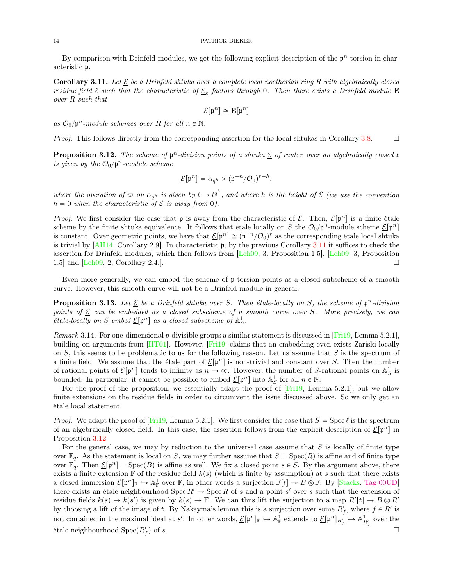By comparison with Drinfeld modules, we get the following explicit description of the  $p<sup>n</sup>$ -torsion in characteristic p.

<span id="page-13-2"></span>**Corollary 3.11.** Let  $\underline{\mathcal{E}}$  be a Drinfeld shtuka over a complete local noetherian ring R with algebraically closed residue field  $\ell$  such that the characteristic of  $\underline{\mathcal{E}}_{\ell}$  factors through 0. Then there exists a Drinfeld module **E** over R such that

$$
\underline{\mathcal{E}}[\mathfrak{p}^n] \cong \mathbf{E}[\mathfrak{p}^n]
$$

as  $\mathcal{O}_0/\mathfrak{p}^n$ -module schemes over R for all  $n \in \mathbb{N}$ .

*Proof.* This follows directly from the corresponding assertion for the local shtukas in Corollary [3.8.](#page-12-1)

<span id="page-13-3"></span>**Proposition 3.12.** The scheme of  $\mathfrak{p}^n$ -division points of a shtuka  $\underline{\mathcal{E}}$  of rank r over an algebraically closed  $\ell$ is given by the  $\mathcal{O}_0/\mathfrak{p}^n$ -module scheme

$$
\underline{\mathcal{E}}[\mathfrak{p}^n] = \alpha_{q^h} \times (\mathfrak{p}^{-n}/\mathcal{O}_0)^{r-h},
$$

where the operation of  $\varpi$  on  $\alpha_{q^h}$  is given by  $t \mapsto t^{q^h}$ , and where h is the height of  $\underline{\mathcal{E}}$  (we use the convention  $h = 0$  when the characteristic of  $\underline{\mathcal{E}}$  is away from 0).

*Proof.* We first consider the case that  $\mathfrak p$  is away from the characteristic of  $\underline{\mathcal E}$ . Then,  $\underline{\mathcal E}[\mathfrak p^n]$  is a finite étale scheme by the finite shtuka equivalence. It follows that étale locally on S the  $\mathcal{O}_0/\mathfrak{p}^n$ -module scheme  $\underline{\mathcal{E}}[\mathfrak{p}^n]$ is constant. Over geometric points, we have that  $\underline{\mathcal{E}}[\mathfrak{p}^n] \cong (\mathfrak{p}^{-n}/\mathcal{O}_0)^r$  as the corresponding étale local shtuka is trivial by  $[AH14, Corollary 2.9]$ . In characteristic  $\mathfrak{p}$ , by the previous Corollary [3.11](#page-13-2) it suffices to check the assertion for Drinfeld modules, which then follows from [\[Leh09,](#page-31-7) 3, Proposition 1.5], [\[Leh09,](#page-31-7) 3, Proposition 1.5] and  $\text{Leh09, 2, Corollary 2.4.}$ .

Even more generally, we can embed the scheme of  $\mathfrak p$ -torsion points as a closed subscheme of a smooth curve. However, this smooth curve will not be a Drinfeld module in general.

<span id="page-13-0"></span>**Proposition 3.13.** Let  $\underline{\mathcal{E}}$  be a Drinfeld shtuka over S. Then étale-locally on S, the scheme of  $\mathfrak{p}^n$ -division points of  $\underline{\mathcal{E}}$  can be embedded as a closed subscheme of a smooth curve over S. More precisely, we can *étale-locally on* S embed  $\underline{\mathcal{E}}[\mathfrak{p}^n]$  as a closed subscheme of  $\mathbb{A}^1_S$ .

<span id="page-13-1"></span>Remark 3.14. For one-dimensional p-divisible groups a similar statement is discussed in [\[Fri19,](#page-30-6) Lemma 5.2.1], building on arguments from [\[HT01](#page-30-23)]. However, [\[Fri19](#page-30-6)] claims that an embedding even exists Zariski-locally on  $S$ , this seems to be problematic to us for the following reason. Let us assume that  $S$  is the spectrum of a finite field. We assume that the étale part of  $\underline{\mathcal{E}}[\mathfrak{p}^n]$  is non-trivial and constant over S. Then the number of rational points of  $\underline{\mathcal{E}}[\mathfrak{p}^n]$  tends to infinity as  $n \to \infty$ . However, the number of S-rational points on  $\mathbb{A}^1_S$  is bounded. In particular, it cannot be possible to embed  $\underline{\mathcal{E}}[\mathfrak{p}^n]$  into  $\mathbb{A}^1_S$  for all  $n \in \mathbb{N}$ .

For the proof of the proposition, we essentially adapt the proof of  $[Fit19, Lemma 5.2.1]$ , but we allow finite extensions on the residue fields in order to circumvent the issue discussed above. So we only get an étale local statement.

*Proof.* We adapt the proof of [\[Fri19](#page-30-6), Lemma 5.2.1]. We first consider the case that  $S = \text{Spec } \ell$  is the spectrum of an algebraically closed field. In this case, the assertion follows from the explicit description of  $\underline{\mathcal{E}}[\mathfrak{p}^n]$  in Proposition [3.12.](#page-13-3)

For the general case, we may by reduction to the universal case assume that  $S$  is locally of finite type over  $\mathbb{F}_q$ . As the statement is local on S, we may further assume that  $S = \text{Spec}(R)$  is affine and of finite type over  $\mathbb{F}_q$ . Then  $\underline{\mathcal{E}}[\mathfrak{p}^n] = \text{Spec}(B)$  is affine as well. We fix a closed point  $s \in S$ . By the argument above, there exists a finite extension  $\mathbb F$  of the residue field  $k(s)$  (which is finite by assumption) at s such that there exists a closed immersion  $\underline{\mathcal{E}}[\mathfrak{p}^n]_{\mathbb{F}} \hookrightarrow \mathbb{A}^1_{\mathbb{F}}$  over  $\mathbb{F}$ , in other words a surjection  $\mathbb{F}[t] \to B \otimes \mathbb{F}$ . By [\[Stacks](#page-31-12), [Tag 00UD\]](https://stacks.math.columbia.edu/tag/00UD) there exists an étale neighbourhood  $Spec R' \to Spec R$  of s and a point s' over s such that the extension of residue fields  $k(s) \to k(s')$  is given by  $k(s) \to \mathbb{F}$ . We can thus lift the surjection to a map  $R'[t] \to B \otimes R'$ by choosing a lift of the image of t. By Nakayma's lemma this is a surjection over some  $R'_f$ , where  $f \in R'$  is not contained in the maximal ideal at s'. In other words,  $\underline{\mathcal{E}}[\mathfrak{p}^n]_{\mathbb{F}} \hookrightarrow \mathbb{A}^1_{\mathbb{F}}$  extends to  $\underline{\mathcal{E}}[\mathfrak{p}^n]_{R'_f} \hookrightarrow \mathbb{A}^1_{R'_f}$  over the étale neighbourhood  $\text{Spec}(R_f^{\prime})$ ) of s.  $\Box$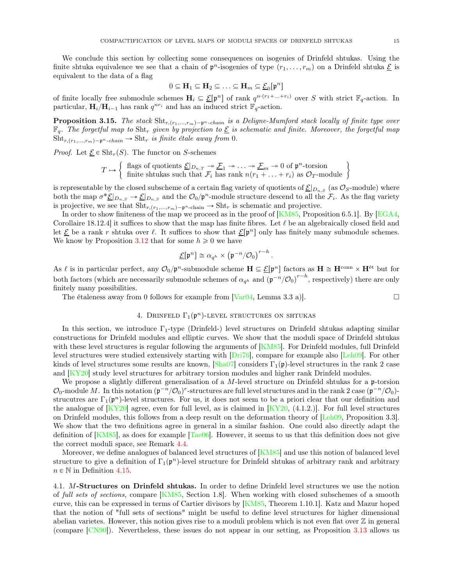We conclude this section by collecting some consequences on isogenies of Drinfeld shtukas. Using the finite shtuka equivalence we see that a chain of  $\mathfrak{p}^n$ -isogenies of type  $(r_1, \ldots, r_m)$  on a Drinfeld shtuka  $\underline{\mathcal{E}}$  is equivalent to the data of a flag

$$
0 \subseteq \mathbf{H}_1 \subseteq \mathbf{H}_2 \subseteq \ldots \subseteq \mathbf{H}_m \subseteq \underline{\mathcal{E}}_0[\mathfrak{p}^n]
$$

of finite locally free submodule schemes  $H_i \subseteq \underline{\mathcal{E}}[\mathfrak{p}^n]$  of rank  $q^{n \cdot (r_1 + \ldots + r_i)}$  over S with strict  $\mathbb{F}_q$ -action. In particular,  $\mathbf{H}_{i}/\mathbf{H}_{i-1}$  has rank  $q^{nr_i}$  and has an induced strict  $\mathbb{F}_q$ -action.

<span id="page-14-1"></span>**Proposition 3.15.** The stack  $\text{Sht}_{r,(r_1,...,r_m)-p^n\text{-}chain}$  is a Deligne-Mumford stack locally of finite type over  $\mathbb{F}_q$ . The forgetful map to Sht<sub>r</sub> given by projection to  $\underline{\mathcal{E}}$  is schematic and finite. Moreover, the forgetful map  $\text{Sht}_{r,(r_1,...,r_m)-\mathfrak{p}^n\text{-}chain} \to \text{Sht}_r$  is finite étale away from 0.

*Proof.* Let  $\underline{\mathcal{E}} \in \text{Sht}_r(S)$ . The functor on S-schemes

$$
T \mapsto \left\{ \begin{array}{l} \text{flags of quotients } \underline{\mathcal{E}}|_{D_{n,T}} \twoheadrightarrow \underline{\mathcal{F}}_1 \twoheadrightarrow \ldots \twoheadrightarrow \underline{\mathcal{F}}_m \twoheadrightarrow 0 \text{ of } \mathfrak{p}^n\text{-torsion} \\ \text{finite shtukas such that } \mathcal{F}_i \text{ has rank } n(r_1 + \ldots + r_i) \text{ as } \mathcal{O}_T\text{-module} \end{array} \right\}
$$

is representable by the closed subscheme of a certain flag variety of quotients of  $\underline{\mathcal{E}}|_{D_{n,S}}$  (as  $\mathcal{O}_S$ -module) where both the map  $\sigma^* \underline{\mathcal{E}}|_{D_{n,S}} \to \underline{\mathcal{E}}|_{D_{n,S}}$  and the  $\mathcal{O}_0/\mathfrak{p}^n$ -module structure descend to all the  $\mathcal{F}_i$ . As the flag variety is projective, we see that  $\text{Sht}_{r,(r_1,...,r_m)-p^n\text{-chain}} \to \text{Sht}_r$  is schematic and projective.

In order to show finiteness of the map we proceed as in the proof of  $[KM85,$  Proposition 6.5.1]. By  $[EGA4,$ Corollaire 18.12.4] it suffices to show that the map has finite fibres. Let  $\ell$  be an algebraically closed field and let  $\underline{\mathcal{E}}$  be a rank r shtuka over  $\ell$ . It suffices to show that  $\underline{\mathcal{E}}[\mathfrak{p}^n]$  only has finitely many submodule schemes. We know by Proposition [3.12](#page-13-3) that for some  $h \geq 0$  we have

$$
\underline{\mathcal{E}}[\mathfrak{p}^n] \cong \alpha_{q^h} \times \big(\mathfrak{p}^{-n}/\mathcal{O}_0\big)^{r-h}
$$

.

As  $\ell$  is in particular perfect, any  $\mathcal{O}_0/p^n$ -submodule scheme  $\mathbf{H} \subseteq \mathcal{E}[p^n]$  factors as  $\mathbf{H} \cong \mathbf{H}^{\text{conn}} \times \mathbf{H}^{\text{\'et}}$  but for both factors (which are necessarily submodule schemes of  $\alpha_{q^h}$  and  $(\mathfrak{p}^{-n}/\mathcal{O}_0)^{r-h}$ , respectively) there are only finitely many possibilities.

<span id="page-14-0"></span>The étaleness away from 0 follows for example from  $Var(04)$ , Lemma 3.3 a).

# 4. DRINFELD  $\Gamma_1(\mathfrak{p}^n)$ -LEVEL STRUCTURES ON SHTUKAS

In this section, we introduce  $\Gamma_1$ -type (Drinfeld-) level structures on Drinfeld shtukas adapting similar constructions for Drinfeld modules and elliptic curves. We show that the moduli space of Drinfeld shtukas with these level structures is regular following the arguments of [\[KM85\]](#page-30-3). For Drinfeld modules, full Drinfeld level structures were studied extensively starting with [\[Dri76](#page-30-4)], compare for example also [\[Leh09](#page-31-7)]. For other kinds of level structures some results are known,  $[\text{Sha07}]$  considers  $\Gamma_1(\mathfrak{p})$ -level structures in the rank 2 case and [\[KY20](#page-30-20)] study level structures for arbitrary torsion modules and higher rank Drinfeld modules.

We propose a slightly different generalisation of a M-level structure on Drinfeld shtukas for a p-torsion  $\mathcal{O}_0$ -module M. In this notation  $(\mathfrak{p}^{-n}/\mathcal{O}_0)^r$ -structures are full level structures and in the rank 2 case  $(\mathfrak{p}^{-n}/\mathcal{O}_0)$ strucutres are  $\Gamma_1(\mathfrak{p}^n)$ -level structures. For us, it does not seem to be a priori clear that our definition and the analogue of  $[KY20]$  agree, even for full level, as is claimed in  $[KY20, (4.1.2.)]$ . For full level structures on Drinfeld modules, this follows from a deep result on the deformation theory of [\[Leh09,](#page-31-7) Proposition 3.3]. We show that the two definitions agree in general in a similar fashion. One could also directly adapt the definition of  $[KM85]$ , as does for example  $[Tae06]$ . However, it seems to us that this definition does not give the correct moduli space, see Remark [4.4.](#page-16-0)

Moreover, we define analogues of balanced level structures of [\[KM85](#page-30-3)] and use this notion of balanced level structure to give a definition of  $\Gamma_1(\mathfrak{p}^n)$ -level structure for Drinfeld shtukas of arbitrary rank and arbitrary  $n \in \mathbb{N}$  in Definition [4.15.](#page-20-0)

4.1. M-Structures on Drinfeld shtukas. In order to define Drinfeld level structures we use the notion of full sets of sections, compare [\[KM85,](#page-30-3) Section 1.8]. When working with closed subschemes of a smooth curve, this can be expressed in terms of Cartier divisors by [\[KM85,](#page-30-3) Theorem 1.10.1]. Katz and Mazur hoped that the notion of "full sets of sections" might be useful to define level structures for higher dimensional abelian varietes. However, this notion gives rise to a moduli problem which is not even flat over  $\mathbb Z$  in general (compare [\[CN90](#page-30-25)]). Nevertheless, these issues do not appear in our setting, as Proposition [3.13](#page-13-0) allows us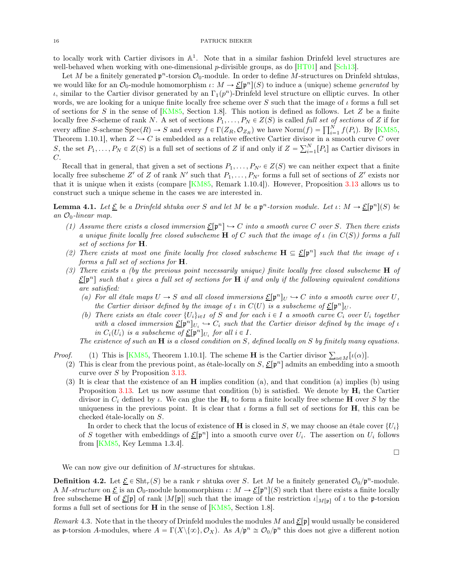to locally work with Cartier divisors in  $\mathbb{A}^1$ . Note that in a similar fashion Drinfeld level structures are well-behaved when working with one-dimensional  $p$ -divisible groups, as do [\[HT01](#page-30-23)] and [\[Sch13\]](#page-31-15).

Let M be a finitely generated  $\mathfrak{p}^n$ -torsion  $\mathcal{O}_0$ -module. In order to define M-structures on Drinfeld shtukas, we would like for an  $\mathcal{O}_0$ -module homomorphism  $\iota: M \to \underline{\mathcal{E}}[\mathfrak{p}^n](S)$  to induce a (unique) scheme *generated* by  $\iota$ , similar to the Cartier divisor generated by an  $\Gamma_1(p^n)$ -Drinfeld level structure on elliptic curves. In other words, we are looking for a unique finite locally free scheme over S such that the image of  $\iota$  forms a full set of sections for S in the sense of  $[KM85,$  Section 1.8. This notion is defined as follows. Let Z be a finite locally free S-scheme of rank N. A set of sections  $P_1, \ldots, P_N \in Z(S)$  is called full set of sections of Z if for every affine S-scheme  $Spec(R) \to S$  and every  $f \in \Gamma(Z_R, \mathcal{O}_{Z_R})$  we have  $Norm(f) = \prod_{i=1}^N f(P_i)$ . By [\[KM85](#page-30-3), Theorem 1.10.1], when  $Z \hookrightarrow C$  is embedded as a relative effective Cartier divisor in a smooth curve C over S, the set  $P_1, \ldots, P_N \in Z(S)$  is a full set of sections of Z if and only if  $Z = \sum_{i=1}^N [P_i]$  as Cartier divisors in C.

Recall that in general, that given a set of sections  $P_1, \ldots, P_{N'} \in Z(S)$  we can neither expect that a finite locally free subscheme Z' of Z of rank N' such that  $P_1, \ldots, P_{N'}$  forms a full set of sections of Z' exists nor that it is unique when it exists (compare [\[KM85](#page-30-3), Remark 1.10.4]). However, Proposition [3.13](#page-13-0) allows us to construct such a unique scheme in the cases we are interested in.

<span id="page-15-0"></span>**Lemma 4.1.** Let  $\underline{\mathcal{E}}$  be a Drinfeld shtuka over S and let M be a  $\mathfrak{p}^n$ -torsion module. Let  $\iota: M \to \underline{\mathcal{E}}[\mathfrak{p}^n](S)$  be an  $\mathcal{O}_0$ -linear map.

- (1) Assume there exists a closed immersion  $\underline{\mathcal{E}}[\mathfrak{p}^n] \hookrightarrow C$  into a smooth curve C over S. Then there exists a unique finite locally free closed subscheme H of C such that the image of  $\iota$  (in  $C(S)$ ) forms a full set of sections for **H**.
- (2) There exists at most one finite locally free closed subscheme  $H \subseteq \underline{\mathcal{E}}[\mathfrak{p}^n]$  such that the image of  $\iota$ forms a full set of sections for H.
- (3) There exists a (by the previous point necessarily unique) finite locally free closed subscheme H of  $\mathcal{E}[\mathfrak{p}^n]$  such that *i* gives a full set of sections for **H** if and only if the following equivalent conditions are satisfied:
	- (a) For all étale maps  $U \to S$  and all closed immersions  $\underline{\mathcal{E}}[\mathfrak{p}^n]_U \hookrightarrow C$  into a smooth curve over U, the Cartier divisor defined by the image of  $\iota$  in  $C(U)$  is a subscheme of  $\underline{\mathcal{E}}[\mathfrak{p}^n]_U$ .
	- (b) There exists an étale cover  $\{U_i\}_{i\in I}$  of S and for each  $i \in I$  a smooth curve  $C_i$  over  $U_i$  together with a closed immersion  $\underline{\mathcal{E}}[\mathfrak{p}^n]_{U_i} \hookrightarrow C_i$  such that the Cartier divisor defined by the image of  $\iota$ in  $C_i(U_i)$  is a subscheme of  $\underline{\mathcal{E}}[\mathfrak{p}^n]_{U_i}$  for all  $i \in I$ .

The existence of such an  $\bf{H}$  is a closed condition on S, defined locally on S by finitely many equations.

*Proof.* (1) This is [\[KM85](#page-30-3), Theorem 1.10.1]. The scheme **H** is the Cartier divisor  $\sum_{\alpha \in M} [\iota(\alpha)]$ .

- (2) This is clear from the previous point, as étale-locally on  $S, \mathcal{E}[\mathfrak{p}^n]$  admits an embedding into a smooth curve over S by Proposition [3.13.](#page-13-0)
- (3) It is clear that the existence of an H implies condition (a), and that condition (a) implies (b) using Proposition [3.13.](#page-13-0) Let us now assume that condition (b) is satisfied. We denote by  $H_i$  the Cartier divisor in  $C_i$  defined by  $\iota$ . We can glue the  $H_i$  to form a finite locally free scheme H over S by the uniqueness in the previous point. It is clear that  $\iota$  forms a full set of sections for **H**, this can be checked étale-locally on S.

In order to check that the locus of existence of **H** is closed in S, we may choose an étale cover  $\{U_i\}$ of S together with embeddings of  $\underline{\mathcal{E}}[\mathfrak{p}^n]$  into a smooth curve over  $U_i$ . The assertion on  $U_i$  follows from [\[KM85,](#page-30-3) Key Lemma 1.3.4].

$$
\Box
$$

We can now give our definition of M-structures for shtukas.

<span id="page-15-1"></span>**Definition 4.2.** Let  $\underline{\mathcal{E}} \in \text{Sht}_r(S)$  be a rank r shtuka over S. Let M be a finitely generated  $\mathcal{O}_0/\mathfrak{p}^n$ -module. A M-structure on  $\underline{\mathcal{E}}$  is an  $\mathcal{O}_0$ -module homomorphism  $\iota: M \to \underline{\mathcal{E}}[\mathfrak{p}^n](S)$  such that there exists a finite locally free subscheme H of  $\underline{\mathcal{E}}[\mathfrak{p}]$  of rank  $|M[\mathfrak{p}]|$  such that the image of the restriction  $\iota|_{M[\mathfrak{p}]}$  of  $\iota$  to the p-torsion forms a full set of sections for H in the sense of [\[KM85](#page-30-3), Section 1.8].

Remark 4.3. Note that in the theory of Drinfeld modules the modules M and  $\Sigma[\mathfrak{p}]$  would usually be considered as p-torsion A-modules, where  $A = \Gamma(X \setminus \{\infty\}, \mathcal{O}_X)$ . As  $A/\mathfrak{p}^n \cong \mathcal{O}_0/\mathfrak{p}^n$  this does not give a different notion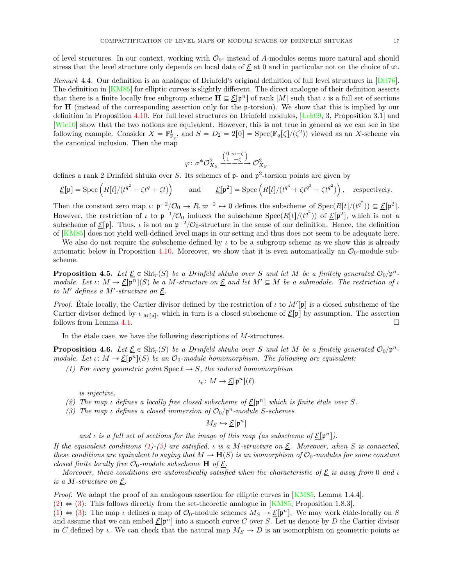of level structures. In our context, working with  $\mathcal{O}_0$ - instead of A-modules seems more natural and should

stress that the level structure only depends on local data of  $\mathcal{E}$  at 0 and in particular not on the choice of  $\infty$ . Remark 4.4. Our definition is an analogue of Drinfeld's original definition of full level structures in [\[Dri76\]](#page-30-4).

<span id="page-16-0"></span>The definition in [\[KM85](#page-30-3)] for elliptic curves is slightly different. The direct analogue of their definition asserts that there is a finite locally free subgroup scheme  $\mathbf{H} \subseteq \mathcal{E}[\mathfrak{p}^n]$  of rank |M| such that  $\iota$  is a full set of sections for H (instead of the corresponding assertion only for the p-torsion). We show that this is implied by our definition in Proposition [4.10.](#page-19-0) For full level structures on Drinfeld modules, [\[Leh09,](#page-31-7) 3, Proposition 3.1] and [\[Wie10](#page-31-16)] show that the two notions are equivalent. However, this is not true in general as we can see in the following example. Consider  $X = \mathbb{P}^1_{\mathbb{F}_q}$ , and  $S = D_2 = 2[0] = \text{Spec}(\mathbb{F}_q[\zeta]/(\zeta^2))$  viewed as an X-scheme via the canonical inclusion. Then the map

$$
\varphi \colon \sigma^* \mathcal{O}_{X_S}^2 \xrightarrow{\begin{pmatrix} 0 & \varpi - \zeta \\ 1 & -\zeta \end{pmatrix}} \mathcal{O}_{X_S}^2
$$

defines a rank 2 Drinfeld shtuka over S. Its schemes of  $\mathfrak{p}$ - and  $\mathfrak{p}^2$ -torsion points are given by

$$
\underline{\mathcal{E}}[\mathfrak{p}] = \mathrm{Spec}\left(R[t]/(t^{q^2} + \zeta t^q + \zeta t)\right) \qquad \text{and} \qquad \underline{\mathcal{E}}[\mathfrak{p}^2] = \mathrm{Spec}\left(R[t]/(t^{q^4} + \zeta t^{q^3} + \zeta t^{q^2})\right), \quad \text{respectively.}
$$

Then the constant zero map  $\iota: \mathfrak{p}^{-2}/\mathcal{O}_0 \to R, \varpi^{-2} \to 0$  defines the subscheme of  $\mathrm{Spec}(R[t]/(t^{q^2})) \subseteq \underline{\mathcal{E}}[\mathfrak{p}^2]$ . However, the restriction of  $\iota$  to  $p^{-1}/\mathcal{O}_0$  induces the subscheme  $Spec(R[t]/(t^{q^2}))$  of  $\underline{\mathcal{E}}[p^2]$ , which is not a subscheme of  $\underline{\mathcal{E}}[\mathfrak{p}]$ . Thus,  $\iota$  is not an  $\mathfrak{p}^{-2}/\mathcal{O}_0$ -structure in the sense of our definition. Hence, the definition of [\[KM85\]](#page-30-3) does not yield well-defined level maps in our setting and thus does not seem to be adequate here.

We also do not require the subscheme defined by  $\iota$  to be a subgroup scheme as we show this is already automatic below in Proposition [4.10.](#page-19-0) Moreover, we show that it is even automatically an  $\mathcal{O}_0$ -module subscheme.

<span id="page-16-5"></span>**Proposition 4.5.** Let  $\underline{\mathcal{E}} \in \text{Sht}_r(S)$  be a Drinfeld shtuka over S and let M be a finitely generated  $\mathcal{O}_0/\mathfrak{p}^n$ . module. Let  $\iota: M \to \underline{\mathcal{E}}[\mathfrak{p}^n](S)$  be a M-structure on  $\underline{\mathcal{E}}$  and let  $M' \subseteq M$  be a submodule. The restriction of  $\iota$ to M' defines a M'-structure on  $\underline{\mathcal{E}}$ .

*Proof.* Étale locally, the Cartier divisor defined by the restriction of  $\iota$  to  $M'[\mathfrak{p}]$  is a closed subscheme of the Cartier divisor defined by  $\iota|_{M[\mathfrak{p}]}$ , which in turn is a closed subscheme of  $\underline{\mathcal{E}}[\mathfrak{p}]$  by assumption. The assertion follows from Lemma [4.1.](#page-15-0)

In the étale case, we have the following descriptions of M-structures.

<span id="page-16-4"></span><span id="page-16-1"></span>**Proposition 4.6.** Let  $\underline{\mathcal{E}} \in \text{Sht}_r(S)$  be a Drinfeld shtuka over S and let M be a finitely generated  $\mathcal{O}_0/\mathfrak{p}^n$ . module. Let  $\iota: M \to \underline{\mathcal{E}}[\mathfrak{p}^n](S)$  be an  $\mathcal{O}_0$ -module homomorphism. The following are equivalent:

(1) For every geometric point  $\text{Spec } \ell \to S$ , the induced homomorphism

$$
\iota_{\ell} \colon M \to \underline{\mathcal{E}}[\mathfrak{p}^n](\ell)
$$

is injective.

- <span id="page-16-3"></span><span id="page-16-2"></span>(2) The map *ι* defines a locally free closed subscheme of  $\underline{\mathcal{E}}[\mathfrak{p}^n]$  which is finite étale over S.
- (3) The map  $\iota$  defines a closed immersion of  $\mathcal{O}_0/\mathfrak{p}^n$ -module S-schemes

$$
M_S \hookrightarrow \underline{\mathcal{E}}[\mathfrak{p}^n]
$$

and *i* is a full set of sections for the image of this map (as subscheme of  $\underline{\mathcal{E}}[\mathfrak{p}^n]$ ).

If the equivalent conditions [\(1\)](#page-16-1)-[\(3\)](#page-16-2) are satisfied,  $\iota$  is a M-structure on  $\mathcal{E}$ . Moreover, when S is connected, these conditions are equivalent to saying that  $M \to \mathbf{H}(S)$  is an isomorphism of  $\mathcal{O}_0$ -modules for some constant closed finite locally free  $\mathcal{O}_0$ -module subscheme **H** of <u> $\mathcal{E}$ </u>.

Moreover, these conditions are automatically satisfied when the characteristic of  $\underline{\mathcal{E}}$  is away from 0 and *ι* is a M-structure on  $\underline{\mathcal{E}}$ .

Proof. We adapt the proof of an analogous assertion for elliptic curves in [\[KM85](#page-30-3), Lemma 1.4.4].

 $(2) \Leftrightarrow (3)$  $(2) \Leftrightarrow (3)$  $(2) \Leftrightarrow (3)$ : This follows directly from the set-theoretic analogue in [\[KM85,](#page-30-3) Proposition 1.8.3].

 $(1) \Leftrightarrow (3)$  $(1) \Leftrightarrow (3)$  $(1) \Leftrightarrow (3)$ : The map *ι* defines a map of  $\mathcal{O}_0$ -module schemes  $M_S \to \underline{\mathcal{E}}[\mathfrak{p}^n]$ . We may work étale-locally on S and assume that we can embed  $\underline{\mathcal{E}}[\mathfrak{p}^n]$  into a smooth curve C over S. Let us denote by D the Cartier divisor in C defined by  $\iota$ . We can check that the natural map  $M_S \to D$  is an isomorphism on geometric points as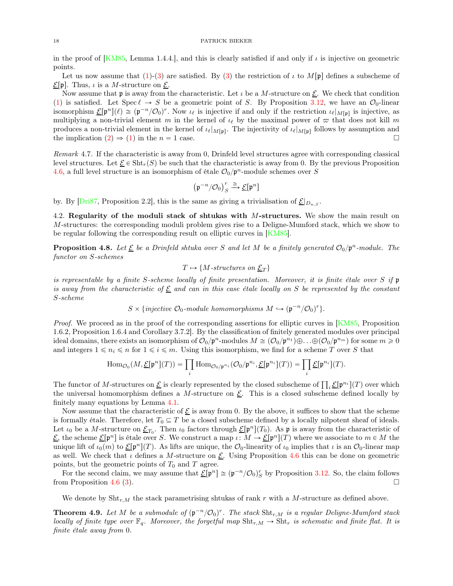in the proof of [\[KM85](#page-30-3), Lemma 1.4.4.], and this is clearly satisfied if and only if  $\iota$  is injective on geometric points.

Let us now assume that  $(1)-(3)$  $(1)-(3)$  are satisfied. By [\(3\)](#page-16-2) the restriction of  $\iota$  to  $M[\mathfrak{p}]$  defines a subscheme of  $\underline{\mathcal{E}}[\mathfrak{p}].$  Thus,  $\iota$  is a *M*-structure on  $\underline{\mathcal{E}}$ .

Now assume that **p** is away from the characteristic. Let  $\iota$  be a M-structure on  $\underline{\mathcal{E}}$ . We check that condition [\(1\)](#page-16-1) is satisfied. Let  $Spec \ell \rightarrow S$  be a geometric point of S. By Proposition [3.12,](#page-13-3) we have an  $\mathcal{O}_0$ -linear isomorphism  $\underline{\mathcal{E}}[\mathfrak{p}^n](\ell) \cong (\mathfrak{p}^{-n}/\mathcal{O}_0)^r$ . Now  $\iota_{\ell}$  is injective if and only if the restriction  $\iota_{\ell}|_{M[\mathfrak{p}]}$  is injective, as multiplying a non-trivial element m in the kernel of  $\iota_{\ell}$  by the maximal power of  $\varpi$  that does not kill m produces a non-trivial element in the kernel of  $\iota_{\ell}|_{M[\mathfrak{p}]}$ . The injectivity of  $\iota_{\ell}|_{M[\mathfrak{p}]}$  follows by assumption and the implication  $(2) \Rightarrow (1)$  $(2) \Rightarrow (1)$  in the  $n = 1$  case.

Remark 4.7. If the characteristic is away from 0, Drinfeld level structures agree with corresponding classical level structures. Let  $\underline{\mathcal{E}} \in \text{Sht}_{r}(S)$  be such that the characteristic is away from 0. By the previous Proposition [4.6,](#page-16-4) a full level structure is an isomorphism of étale  $\mathcal{O}_0/p^n$ -module schemes over S

$$
\left(\mathfrak{p}^{-n}/\mathcal{O}_0\right)^r_S \xrightarrow{\cong} \underline{\mathcal{E}}[\mathfrak{p}^n]
$$

by. By  $\text{Dris7}$ , Proposition 2.2, this is the same as giving a trivialisation of  $\underline{\mathcal{E}}|_{D_{n,S}}$ .

4.2. Regularity of the moduli stack of shtukas with M-structures. We show the main result on M-structures: the corresponding moduli problem gives rise to a Deligne-Mumford stack, which we show to be regular following the corresponding result on elliptic curves in [\[KM85\]](#page-30-3).

<span id="page-17-0"></span>**Proposition 4.8.** Let  $\underline{\mathcal{E}}$  be a Drinfeld shtuka over S and let M be a finitely generated  $\mathcal{O}_0/\mathfrak{p}^n$ -module. The functor on S-schemes

$$
T \mapsto \{M\text{-}structures on } \underline{\mathcal{E}}_T\}
$$

is representable by a finite S-scheme locally of finite presentation. Moreover, it is finite étale over S if p is away from the characteristic of  $\underline{\mathcal{E}}$  and can in this case étale locally on S be represented by the constant S-scheme

$$
S \times \{injective \ O_0-module \ homomorphisms \ M \hookrightarrow (\mathfrak{p}^{-n}/\mathcal{O}_0)^r\}.
$$

Proof. We proceed as in the proof of the corresponding assertions for elliptic curves in [\[KM85,](#page-30-3) Proposition] 1.6.2, Proposition 1.6.4 and Corollary 3.7.2]. By the classification of finitely generated modules over principal ideal domains, there exists an isomorphism of  $\mathcal{O}_0/\mathfrak{p}^n$ -modules  $M \cong (\mathcal{O}_0/\mathfrak{p}^{n_1}) \oplus \ldots \oplus (\mathcal{O}_0/\mathfrak{p}^{n_m})$  for some  $m \geq 0$ and integers  $1 \leq n_i \leq n$  for  $1 \leq i \leq m$ . Using this isomorphism, we find for a scheme T over S that

$$
\operatorname{Hom}_{\mathcal{O}_0}(M,\underline{\mathcal{E}}[\mathfrak{p}^n](T)) = \prod_i \operatorname{Hom}_{\mathcal{O}_0/\mathfrak{p}^{n_i}}(\mathcal{O}_0/\mathfrak{p}^{n_i},\underline{\mathcal{E}}[\mathfrak{p}^{n_i}](T)) = \prod_i \underline{\mathcal{E}}[\mathfrak{p}^{n_i}](T).
$$

The functor of M-structures on  $\underline{\mathcal{E}}$  is clearly represented by the closed subscheme of  $\prod_i \underline{\mathcal{E}}[\mathfrak{p}^{n_i}](T)$  over which the universal homomorphism defines a M-structure on  $\underline{\mathcal{E}}$ . This is a closed subscheme defined locally by finitely many equations by Lemma [4.1.](#page-15-0)

Now assume that the characteristic of  $\underline{\mathcal{E}}$  is away from 0. By the above, it suffices to show that the scheme is formally étale. Therefore, let  $T_0 \subseteq T$  be a closed subscheme defined by a locally nilpotent sheaf of ideals. Let  $\iota_0$  be a M-structure on  $\underline{\mathcal{E}}_{T_0}$ . Then  $\iota_0$  factors through  $\underline{\mathcal{E}}[\mathfrak{p}^n](T_0)$ . As  $\mathfrak{p}$  is away from the characteristic of  $\underline{\mathcal{E}}$ , the scheme  $\underline{\mathcal{E}}[\mathfrak{p}^n]$  is étale over S. We construct a map  $\iota: M \to \underline{\mathcal{E}}[\mathfrak{p}^n](T)$  where we associate to  $m \in M$  the unique lift of  $\iota_0(m)$  to  $\underline{\mathcal{E}}[\mathfrak{p}^n](T)$ . As lifts are unique, the  $\mathcal{O}_0$ -linearity of  $\iota_0$  implies that  $\iota$  is an  $\mathcal{O}_0$ -linear map as well. We check that  $\iota$  defines a M-structure on  $\underline{\mathcal{E}}$ . Using Proposition [4.6](#page-16-4) this can be done on geometric points, but the geometric points of  $T_0$  and  $T$  agree.

For the second claim, we may assume that  $\underline{\mathcal{E}}[\mathfrak{p}^n] \cong (\mathfrak{p}^{-n}/\mathcal{O}_0)_S^r$  by Proposition [3.12.](#page-13-3) So, the claim follows from Proposition [4.6](#page-16-4) [\(3\)](#page-16-2).

We denote by  $\text{Sht}_{r,M}$  the stack parametrising shtukas of rank r with a M-structure as defined above.

<span id="page-17-1"></span>**Theorem 4.9.** Let M be a submodule of  $(\mathfrak{p}^{-n}/\mathcal{O}_0)^r$ . The stack  $\text{Sht}_{r,M}$  is a regular Deligne-Mumford stack locally of finite type over  $\mathbb{F}_q$ . Moreover, the forgetful map  $\text{Sht}_{r,M} \to \text{Sht}_{r}$  is schematic and finite flat. It is finite étale away from 0.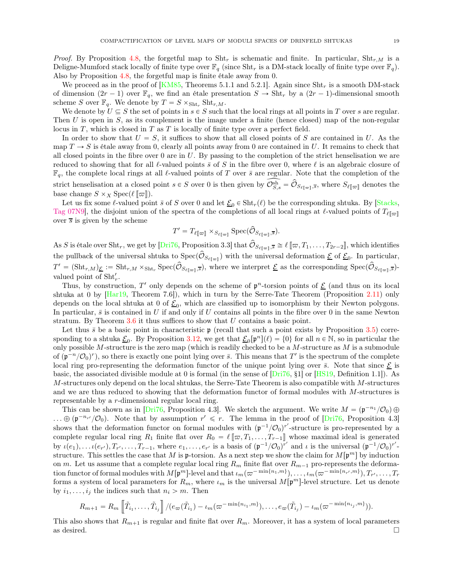*Proof.* By Proposition [4.8,](#page-17-0) the forgetful map to  $\text{Sht}_r$  is schematic and finite. In particular,  $\text{Sht}_{r,M}$  is a Deligne-Mumford stack locally of finite type over  $\mathbb{F}_q$  (since Sht<sub>r</sub> is a DM-stack locally of finite type over  $\mathbb{F}_q$ ). Also by Proposition [4.8,](#page-17-0) the forgetful map is finite étale away from 0.

We proceed as in the proof of  $[KM85,$  Theorems 5.1.1 and 5.2.1]. Again since  $\text{Sht}_r$  is a smooth DM-stack of dimension  $(2r - 1)$  over  $\mathbb{F}_q$ , we find an étale presentation  $S \to \text{Sht}_r$  by a  $(2r - 1)$ -dimensional smooth scheme S over  $\mathbb{F}_q$ . We denote by  $T = S \times_{\text{Sht}_r} \text{Sht}_{r,M}$ .

We denote by  $U \subseteq S$  the set of points in  $s \in S$  such that the local rings at all points in T over s are regular. Then U is open in S, as its complement is the image under a finite (hence closed) map of the non-regular locus in  $T$ , which is closed in  $T$  as  $T$  is locally of finite type over a perfect field.

In order to show that  $U = S$ , it suffices to show that all closed points of S are contained in U. As the map  $T \to S$  is étale away from 0, clearly all points away from 0 are contained in U. It remains to check that all closed points in the fibre over  $0$  are in  $U$ . By passing to the completion of the strict henselisation we are reduced to showing that for all  $\ell$ -valued points  $\bar{s}$  of S in the fibre over 0, where  $\ell$  is an algebraic closure of  $\mathbb{F}_q$ , the complete local rings at all  $\ell$ -valued points of T over  $\bar{s}$  are regular. Note that the completion of the strict henselisation at a closed point  $s \in S$  over 0 is then given by  $\widehat{\mathcal{O}}_{S,s}^{sh} = \widehat{\mathcal{O}}_{S_{\ell}[\varpi],\overline{s}}$ , where  $S_{\ell}[\varpi]$  denotes the base change  $S \times_X \operatorname{Spec}(\ell \llbracket \varpi \rrbracket)$ .

Let us fix some  $\ell$ -valued point  $\bar{s}$  of S over 0 and let  $\underline{\mathcal{E}}_0 \in \text{Sht}_r(\ell)$  be the corresponding shtuka. By [\[Stacks](#page-31-12), [Tag 07N9\]](https://stacks.math.columbia.edu/tag/07N9), the disjoint union of the spectra of the completions of all local rings at  $\ell$ -valued points of  $T_{\ell \ell \varpi}$ over  $\overline{s}$  is given by the scheme

$$
T' = T_{\ell[\![\varpi]\!]} \times_{S_{\ell[\![\varpi]\!]}} \operatorname{Spec}(\widehat{\mathcal{O}}_{S_{\ell[\![\varpi]\!]},\overline{s}}).
$$

As S is étale over Sht<sub>r</sub>, we get by [\[Dri76,](#page-30-4) Proposition 3.3] that  $\hat{\mathcal{O}}_{S_{\ell[\varpi]},\bar{s}} \cong \ell[\varpi, T_1, \ldots, T_{2r-2}],$  which identifies the pullback of the universal shtuka to  $Spec(\mathcal{O}_{S_{\ell[\nabla]}})$  with the universal deformation  $\underline{\mathcal{E}}$  of  $\underline{\mathcal{E}}_0$ . In particular,  $T' = (\text{Sht}_{r,M})_{\underline{\mathcal{E}}} := \text{Sht}_{r,M} \times_{\text{Sht}_r} \text{Spec}(\hat{\mathcal{O}}_{S_{\ell[\varpi]},\overline{s}}),$  where we interpret  $\underline{\mathcal{E}}$  as the corresponding  $\text{Spec}(\hat{\mathcal{O}}_{S_{\ell[\varpi]},\overline{s}})$ valued point of  $\text{Sht}'_r$ .

Thus, by construction, T' only depends on the scheme of  $\mathfrak{p}^n$ -torsion points of  $\underline{\mathcal{E}}$  (and thus on its local shtuka at 0 by [\[Har19,](#page-30-15) Theorem 7.6]), which in turn by the Serre-Tate Theorem (Proposition [2.11\)](#page-5-0) only depends on the local shtuka at 0 of  $\underline{\mathcal{E}}_0$ , which are classified up to isomorphism by their Newton polygons. In particular,  $\bar{s}$  is contained in U if and only if U contains all points in the fibre over 0 in the same Newton stratum. By Theorem  $3.6$  it thus suffices to show that  $U$  contains a basic point.

Let thus  $\bar{s}$  be a basic point in characteristic p (recall that such a point exists by Proposition [3.5\)](#page-11-0) corresponding to a shtuka  $\underline{\mathcal{E}}_0$ . By Proposition [3.12,](#page-13-3) we get that  $\underline{\mathcal{E}}_0[\mathfrak{p}^n](\ell) = \{0\}$  for all  $n \in \mathbb{N}$ , so in particular the only possible  $M$ -structure is the zero map (which is readily checked to be a  $M$ -structure as  $M$  is a submodule of  $(\mathfrak{p}^{-n}/\mathcal{O}_0)^r$ , so there is exactly one point lying over  $\bar{s}$ . This means that T' is the spectrum of the complete local ring pro-representing the deformation functor of the unique point lying over  $\bar{s}$ . Note that since  $\underline{\mathcal{E}}$  is basic, the associated divisible module at 0 is formal (in the sense of  $\text{Dri76, §1}$  or  $\text{[HS19, Definition 1.1]}$ ). As M-structures only depend on the local shtukas, the Serre-Tate Theorem is also compatible with M-structures and we are thus reduced to showing that the deformation functor of formal modules with M-structures is representable by a r-dimensional regular local ring.

This can be shown as in [\[Dri76,](#page-30-4) Proposition 4.3]. We sketch the argument. We write  $M = (\mathfrak{p}^{-n_1} / O_0) \oplus$  $\ldots \oplus (\mathfrak{p}^{-n_{r'}/\mathcal{O}_0})$ . Note that by assumption  $r' \leq r$ . The lemma in the proof of  $\boxed{\text{Dri76}}$ , Proposition 4.3 shows that the deformation functor on formal modules with  $(\mathfrak{p}^{-1}/\mathcal{O}_0)^{r'}$ -structure is pro-represented by a complete regular local ring  $R_1$  finite flat over  $R_0 = \ell \llbracket \varpi, T_1, \ldots, T_{r-1} \rrbracket$  whose maximal ideal is generated by  $\iota(e_1), \ldots \iota(e_{r'}), T_{r'}, \ldots, T_{r-1}$ , where  $e_1, \ldots, e_{r'}$  is a basis of  $(\mathfrak{p}^{-1}/\mathcal{O}_0)^{r'}$  and  $\iota$  is the universal  $(\mathfrak{p}^{-1}/\mathcal{O}_0)^{r'}$ structure. This settles the case that M is p-torsion. As a next step we show the claim for  $M[\mathfrak{p}^m]$  by induction on m. Let us assume that a complete regular local ring  $R_m$  finite flat over  $R_{m-1}$  pro-represents the deformation functor of formal modules with  $M[\mathfrak{p}^m]$ -level and that  $\iota_m(\varpi^{-\min\{n_1,m\}}),\ldots,\iota_m(\varpi^{-\min\{n_{r'},m\}}),T_{r'},\ldots,T_{r'}$ forms a system of local parameters for  $R_m$ , where  $\iota_m$  is the universal  $M[\mathfrak{p}^m]$ -level structure. Let us denote by  $i_1, \ldots, i_j$  the indices such that  $n_i > m$ . Then

$$
R_{m+1}=R_m\left[\tilde{T}_{i_1},\ldots,\tilde{T}_{i_j}\right]/(e_{\varpi}(\tilde{T}_{i_1})-t_m(\varpi^{-\min\{n_{i_1},m\}}),\ldots,e_{\varpi}(\tilde{T}_{i_j})-t_m(\varpi^{-\min\{n_{i_j},m\}})).
$$

This also shows that  $R_{m+1}$  is regular and finite flat over  $R_m$ . Moreover, it has a system of local parameters as desired.  $\square$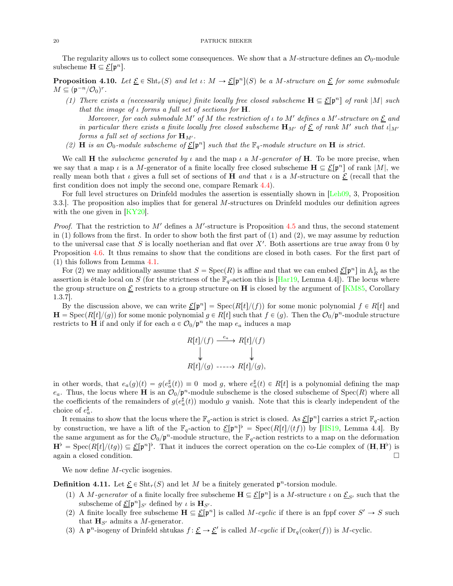The regularity allows us to collect some consequences. We show that a M-structure defines an  $\mathcal{O}_0$ -module subscheme  $\mathbf{H} \subseteq \underline{\mathcal{E}}[\mathfrak{p}^n]$ .

<span id="page-19-0"></span>**Proposition 4.10.** Let  $\underline{\mathcal{E}} \in \text{Sht}_r(S)$  and let  $\iota: M \to \underline{\mathcal{E}}[\mathfrak{p}^n](S)$  be a M-structure on  $\underline{\mathcal{E}}$  for some submodule  $M \subseteq (\mathfrak{p}^{-n}/\mathcal{O}_0)^r$ .

(1) There exists a (necessarily unique) finite locally free closed subscheme  $\mathbf{H} \subseteq \underline{\mathcal{E}}[\mathfrak{p}^n]$  of rank |M| such that the image of  $\iota$  forms a full set of sections for **H**.

Moreover, for each submodule M' of M the restriction of  $\iota$  to M' defines a M'-structure on  $\underline{\mathcal{E}}$  and in particular there exists a finite locally free closed subscheme  $\mathbf{H}_{M'}$  of  $\underline{\mathcal{E}}$  of rank  $M'$  such that  $\iota|_{M'}$ forms a full set of sections for  $\mathbf{H}_{M'}$ .

(2) **H** is an  $\mathcal{O}_0$ -module subscheme of  $\underline{\mathcal{E}}[\mathfrak{p}^n]$  such that the  $\mathbb{F}_q$ -module structure on **H** is strict.

We call **H** the *subscheme generated by*  $\iota$  and the map  $\iota$  a M-generator of **H**. To be more precise, when we say that a map  $\iota$  is a M-generator of a finite locally free closed subscheme  $\mathbf{H} \subseteq \underline{\mathcal{E}}[\mathfrak{p}^n]$  of rank  $|M|$ , we really mean both that  $\iota$  gives a full set of sections of H and that  $\iota$  is a M-structure on  $\underline{\mathcal{E}}$  (recall that the first condition does not imply the second one, compare Remark [4.4\)](#page-16-0).

For full level structures on Drinfeld modules the assertion is essentially shown in [\[Leh09,](#page-31-7) 3, Proposition 3.3.]. The proposition also implies that for general M-structures on Drinfeld modules our definition agrees with the one given in [\[KY20\]](#page-30-20).

*Proof.* That the restriction to M' defines a M'-structure is Proposition  $4.5$  and thus, the second statement in  $(1)$  follows from the first. In order to show both the first part of  $(1)$  and  $(2)$ , we may assume by reduction to the universal case that  $S$  is locally noetherian and flat over  $X'$ . Both assertions are true away from 0 by Proposition [4.6.](#page-16-4) It thus remains to show that the conditions are closed in both cases. For the first part of (1) this follows from Lemma [4.1.](#page-15-0)

For (2) we may additionally assume that  $S = \text{Spec}(R)$  is affine and that we can embed  $\underline{\mathcal{E}}[\mathfrak{p}^n]$  in  $\mathbb{A}^1_R$  as the assertion is étale local on S (for the strictness of the  $\mathbb{F}_q$ -action this is [\[Har19,](#page-30-15) Lemma 4.4]). The locus where the group structure on  $\underline{\mathcal{E}}$  restricts to a group structure on H is closed by the argument of [\[KM85](#page-30-3), Corollary 1.3.7].

By the discussion above, we can write  $\underline{\mathcal{E}}[\mathfrak{p}^n] = \text{Spec}(R[t]/(f))$  for some monic polynomial  $f \in R[t]$  and  $H = \text{Spec}(R[t]/(g))$  for some monic polynomial  $g \in R[t]$  such that  $f \in (g)$ . Then the  $\mathcal{O}_0/p^n$ -module structure restricts to **H** if and only if for each  $a \in \mathcal{O}_0/\mathfrak{p}^n$  the map  $e_a$  induces a map

$$
R[t]/(f) \xrightarrow{e_a} R[t]/(f)
$$
  
\n
$$
\downarrow \qquad \qquad \downarrow
$$
  
\n
$$
R[t]/(g) \xrightarrow{...} R[t]/(g),
$$

in other words, that  $e_a(g)(t) = g(e_a^{\sharp}(t)) \equiv 0 \mod g$ , where  $e_a^{\sharp}(t) \in R[t]$  is a polynomial defining the map  $e_a$ . Thus, the locus where **H** is an  $\mathcal{O}_0/\mathfrak{p}^n$ -module subscheme is the closed subscheme of Spec(R) where all the coefficients of the remainders of  $g(e^{\sharp}_{a}(t))$  modulo g vanish. Note that this is clearly independent of the choice of  $e_a^{\sharp}$ .

It remains to show that the locus where the  $\mathbb{F}_q$ -action is strict is closed. As  $\underline{\mathcal{E}}[\mathfrak{p}^n]$  carries a strict  $\mathbb{F}_q$ -action by construction, we have a lift of the  $\mathbb{F}_q$ -action to  $\underline{\mathcal{E}}[\mathfrak{p}^n]^{\flat} = \text{Spec}(R[t]/(tf))$  by [\[HS19](#page-30-9), Lemma 4.4]. By the same argument as for the  $\mathcal{O}_0/\mathfrak{p}^n$ -module structure, the  $\mathbb{F}_q$ -action restricts to a map on the deformation  $\mathbf{H}^{\flat} = \text{Spec}(R[t]/(tg)) \subseteq \underline{\mathcal{E}}[\mathfrak{p}^n]^{\flat}$ . That it induces the correct operation on the co-Lie complex of  $(\mathbf{H}, \mathbf{H}^{\flat})$  is again a closed condition.

We now define *M*-cyclic isogenies.

<span id="page-19-1"></span>**Definition 4.11.** Let  $\underline{\mathcal{E}} \in \text{Sht}_r(S)$  and let M be a finitely generated  $\mathfrak{p}^n$ -torsion module.

- (1) A M-generator of a finite locally free subscheme  $\mathbf{H} \subseteq \underline{\mathcal{E}}[\mathfrak{p}^n]$  is a M-structure  $\iota$  on  $\underline{\mathcal{E}}_{S'}$  such that the subscheme of  $\underline{\mathcal{E}}[\mathfrak{p}^n]_{S'}$  defined by  $\iota$  is  $\mathbf{H}_{S'}$ .
- (2) A finite locally free subscheme  $\mathbf{H} \subseteq \underline{\mathcal{E}}[\mathfrak{p}^n]$  is called M-cyclic if there is an fppf cover  $S' \to S$  such that  $\mathbf{H}_{S'}$  admits a *M*-generator.
- (3) A  $\mathfrak{p}^n$ -isogeny of Drinfeld shtukas  $f: \underline{\mathcal{E}} \to \underline{\mathcal{E}}'$  is called M-cyclic if  $Dr_q(\mathrm{coker}(f))$  is M-cyclic.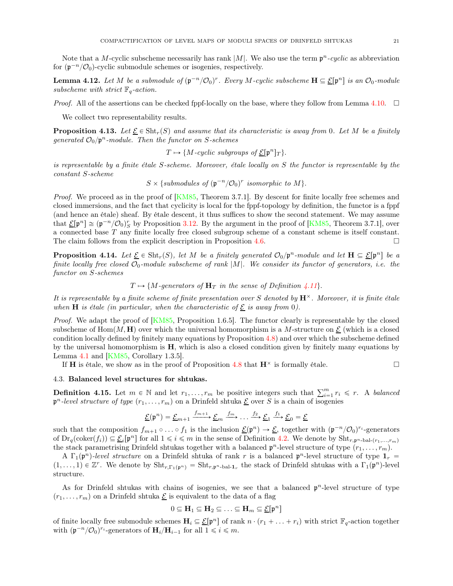Note that a M-cyclic subscheme necessarily has rank |M|. We also use the term  $p^n$ -cyclic as abbreviation for  $(p^{-n}/\mathcal{O}_0)$ -cyclic submodule schemes or isogenies, respectively.

**Lemma 4.12.** Let M be a submodule of  $(\mathfrak{p}^{-n}/\mathcal{O}_0)^r$ . Every M-cyclic subscheme  $\mathbf{H} \subseteq \underline{\mathcal{E}}[\mathfrak{p}^n]$  is an  $\mathcal{O}_0$ -module subscheme with strict  $\mathbb{F}_q$ -action.

*Proof.* All of the assertions can be checked fppf-locally on the base, where they follow from Lemma [4.10.](#page-19-0)  $\Box$ 

We collect two representability results.

**Proposition 4.13.** Let  $\underline{\mathcal{E}} \in \text{Sht}_r(S)$  and assume that its characteristic is away from 0. Let M be a finitely generated  $\mathcal{O}_0/\mathfrak{p}^n$ -module. Then the functor on S-schemes

 $T \mapsto \{M\text{-}cyclic\ subgroups\ of\ }\underline{\mathcal{E}}[\mathfrak{p}^n]_T\}.$ 

is representable by a finite étale S-scheme. Moreover, étale locally on S the functor is representable by the constant S-scheme

 $S \times \{submodules \ of \ (\mathfrak{p}^{-n}/\mathcal{O}_0)^r \ isomorphic \ to \ M \}.$ 

Proof. We proceed as in the proof of [\[KM85](#page-30-3), Theorem 3.7.1]. By descent for finite locally free schemes and closed immersions, and the fact that cyclicity is local for the fppf-topology by definition, the functor is a fppf (and hence an étale) sheaf. By étale descent, it thus suffices to show the second statement. We may assume that  $\underline{\mathcal{E}}[\mathfrak{p}^n] \cong (\mathfrak{p}^{-n}/\mathcal{O}_0)_S^r$  by Proposition [3.12.](#page-13-3) By the argument in the proof of [\[KM85,](#page-30-3) Theorem 3.7.1], over a connected base T any finite locally free closed subgroup scheme of a constant scheme is itself constant. The claim follows from the explicit description in Proposition [4.6.](#page-16-4)  $\Box$ 

<span id="page-20-1"></span>**Proposition 4.14.** Let  $\underline{\mathcal{E}} \in \text{Sht}_r(S)$ , let M be a finitely generated  $\mathcal{O}_0/\mathfrak{p}^n$ -module and let  $\mathbf{H} \subseteq \underline{\mathcal{E}}[\mathfrak{p}^n]$  be a finite locally free closed  $\mathcal{O}_0$ -module subscheme of rank |M|. We consider its functor of generators, i.e. the functor on S-schemes

 $T \mapsto \{M\text{-}generators of } H_T \text{ in the sense of Definition 4.11}\}.$  $T \mapsto \{M\text{-}generators of } H_T \text{ in the sense of Definition 4.11}\}.$  $T \mapsto \{M\text{-}generators of } H_T \text{ in the sense of Definition 4.11}\}.$ 

It is representable by a finite scheme of finite presentation over S denoted by  $\mathbf{H}^{\times}$ . Moreover, it is finite étale when **H** is étale (in particular, when the characteristic of  $\underline{\mathcal{E}}$  is away from 0).

Proof. We adapt the proof of [\[KM85,](#page-30-3) Proposition 1.6.5]. The functor clearly is representable by the closed subscheme of  $\text{Hom}(M, H)$  over which the universal homomorphism is a M-structure on  $\mathcal{L}$  (which is a closed condition locally defined by finitely many equations by Proposition [4.8\)](#page-17-0) and over which the subscheme defined by the universal homomorphism is  $H$ , which is also a closed condition given by finitely many equations by Lemma [4.1](#page-15-0) and [\[KM85,](#page-30-3) Corollary 1.3.5].

If **H** is étale, we show as in the proof of Proposition [4.8](#page-17-0) that  $\mathbf{H}^{\times}$  is formally étale.

### 4.3. Balanced level structures for shtukas.

<span id="page-20-0"></span>**Definition 4.15.** Let  $m \in \mathbb{N}$  and let  $r_1, \ldots, r_m$  be positive integers such that  $\sum_{i=1}^{m} r_i \leq r$ . A balanced  $\mathfrak{p}^n$ -level structure of type  $(r_1, \ldots, r_m)$  on a Drinfeld shtuka  $\underline{\mathcal{E}}$  over S is a chain of isogenies

$$
\underline{\mathcal{E}}(\mathfrak{p}^n) = \underline{\mathcal{E}}_{m+1} \xrightarrow{f_{m+1}} \underline{\mathcal{E}}_m \xrightarrow{f_m} \dots \xrightarrow{f_2} \underline{\mathcal{E}}_1 \xrightarrow{f_1} \underline{\mathcal{E}}_0 = \underline{\mathcal{E}}
$$

such that the composition  $f_{m+1} \circ \ldots \circ f_1$  is the inclusion  $\underline{\mathcal{E}}(\mathfrak{p}^n) \to \underline{\mathcal{E}}$ , together with  $(\mathfrak{p}^{-n}/\mathcal{O}_0)^{r_i}$ -generators of  $Dr_q(\text{coker}(f_i)) \subseteq \underline{\mathcal{E}}_i[\mathfrak{p}^n]$  for all  $1 \leq i \leq m$  in the sense of Definition [4.2.](#page-15-1) We denote by  $\text{Sht}_{r,\mathfrak{p}^n\text{-bal-(}r_1,\ldots,r_m)}$ the stack parametrising Drinfeld shtukas together with a balanced  $p^n$ -level structure of type  $(r_1, \ldots, r_m)$ .

A  $\Gamma_1(\mathfrak{p}^n)$ -level structure on a Drinfeld shtuka of rank r is a balanced  $\mathfrak{p}^n$ -level structure of type  $\mathbf{1}_r =$  $(1,\ldots,1) \in \mathbb{Z}^r$ . We denote by  $\text{Sht}_{r,\Gamma_1(\mathfrak{p}^n)} = \text{Sht}_{r,\mathfrak{p}^n-\text{bal-1}_r}$  the stack of Drinfeld shtukas with a  $\Gamma_1(\mathfrak{p}^n)$ -level structure.

As for Drinfeld shtukas with chains of isogenies, we see that a balanced  $p<sup>n</sup>$ -level structure of type  $(r_1, \ldots, r_m)$  on a Drinfeld shtuka  $\underline{\mathcal{E}}$  is equivalent to the data of a flag

$$
0 \subseteq \mathbf{H}_1 \subseteq \mathbf{H}_2 \subseteq \ldots \subseteq \mathbf{H}_m \subseteq \underline{\mathcal{E}}[\mathfrak{p}^n]
$$

of finite locally free submodule schemes  $H_i \subseteq \mathcal{E}[\mathfrak{p}^n]$  of rank  $n \cdot (r_1 + \ldots + r_i)$  with strict  $\mathbb{F}_q$ -action together with  $(\mathfrak{p}^{-n}/\mathcal{O}_0)^{r_i}$ -generators of  $\mathbf{H}_i/\mathbf{H}_{i-1}$  for all  $1 \leq i \leq m$ .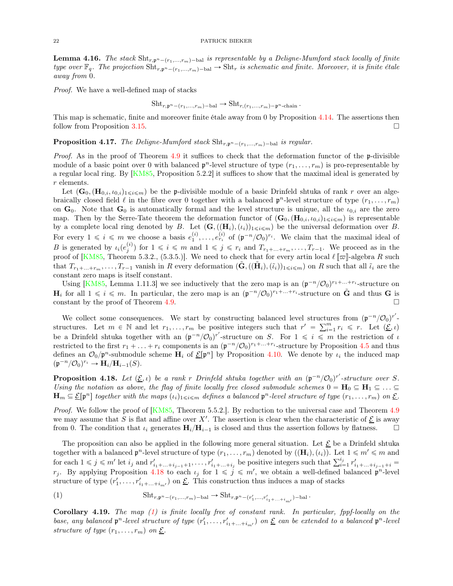**Lemma 4.16.** The stack  $\text{Sht}_{r,p^n-(r_1,...,r_m)-\text{bal}}$  is representable by a Deligne-Mumford stack locally of finite type over  $\mathbb{F}_q$ . The projection  $\text{Sht}_{r,p^n-(r_1,...,r_m)-bal} \to \text{Sht}_r$  is schematic and finite. Moreover, it is finite étale away from 0.

Proof. We have a well-defined map of stacks

$$
Sht_{r,\mathfrak{p}^n-(r_1,\ldots,r_m)-bal} \to Sht_{r,(r_1,\ldots,r_m)-\mathfrak{p}^n\text{-chain}}.
$$

This map is schematic, finite and moreover finite étale away from 0 by Proposition [4.14.](#page-20-1) The assertions then follow from Proposition [3.15.](#page-14-1)

<span id="page-21-3"></span>**Proposition 4.17.** The Deligne-Mumford stack  $\text{Sht}_{r,p^n-(r_1,...,r_m)-\text{bal}}$  is regular.

*Proof.* As in the proof of Theorem [4.9](#page-17-1) it suffices to check that the deformation functor of the p-divisible module of a basic point over 0 with balanced  $p^n$ -level structure of type  $(r_1, \ldots, r_m)$  is pro-representable by a regular local ring. By [\[KM85,](#page-30-3) Proposition 5.2.2] it suffices to show that the maximal ideal is generated by r elements.

Let  $(G_0,(\mathbf{H}_{0,i},\iota_{0,i})_{1\leq i\leq m})$  be the p-divisible module of a basic Drinfeld shtuka of rank r over an algebraically closed field  $\ell$  in the fibre over 0 together with a balanced  $p^n$ -level structure of type  $(r_1, \ldots, r_m)$ on  $\mathbf{G}_0$ . Note that  $\mathbf{G}_0$  is automatically formal and the level structure is unique, all the  $\iota_{0,i}$  are the zero map. Then by the Serre-Tate theorem the deformation functor of  $(G_0,(\mathbf{H}_{0,i},\iota_{0,i})_{1\leqslant i\leqslant m})$  is representable by a complete local ring denoted by B. Let  $(G,((\mathbf{H}_i),(i_i))_{1\leqslant i\leqslant m})$  be the universal deformation over B. For every  $1 \leq i \leq m$  we choose a basis  $e_1^{(i)}, \ldots, e_{r_i}^{(i)}$  of  $(\mathfrak{p}^{-n}/\mathcal{O}_0)^{r_i}$ . We claim that the maximal ideal of B is generated by  $\iota_i(e_j^{(i)})$  for  $1 \leqslant i \leqslant m$  and  $1 \leqslant j \leqslant r_i$  and  $T_{r_1+\ldots+r_m}, \ldots, T_{r-1}$ . We proceed as in the proof of [\[KM85](#page-30-3), Theorem 5.3.2., (5.3.5.)]. We need to check that for every artin local  $\ell \llbracket \varpi \rrbracket$ -algebra R such that  $T_{r_1+\ldots+r_m}, \ldots, T_{r-1}$  vanish in R every deformation  $(\tilde{G},((\tilde{H}_i),(\tilde{\iota}_i))_{1\leqslant i\leqslant m})$  on R such that all  $\tilde{\iota}_i$  are the constant zero maps is itself constant.

Using [\[KM85,](#page-30-3) Lemma 1.11.3] we see inductively that the zero map is an  $(\mathfrak{p}^{-n}/\mathcal{O}_0)^{r_1+\ldots+r_i}$ -structure on  $H_i$  for all  $1 \leq i \leq m$ . In particular, the zero map is an  $(\mathfrak{p}^{-n}/\mathcal{O}_0)^{r_1+\ldots+r_i}$ -structure on  $\tilde{G}$  and thus G is constant by the proof of Theorem [4.9.](#page-17-1)

We collect some consequences. We start by constructing balanced level structures from  $(\mathfrak{p}^{-n}/\mathcal{O}_0)^{r'}$ structures. Let  $m \in \mathbb{N}$  and let  $r_1, \ldots, r_m$  be positive integers such that  $r' = \sum_{i=1}^m r_i \leq r$ . Let  $(\underline{\mathcal{E}}, \iota)$ be a Drinfeld shtuka together with an  $(\mathfrak{p}^{-n}/\mathcal{O}_0)^{r'}$ -structure on S. For  $1 \leq i \leq m$  the restriction of  $\iota$ restricted to the first  $r_1 + \ldots + r_i$  components is an  $(\mathfrak{p}^{-n}/\mathcal{O}_0)^{r_1 + \ldots + r_i}$ -structure by Proposition [4.5](#page-16-5) and thus defines an  $\mathcal{O}_0/\mathfrak{p}^n$ -submodule scheme  $H_i$  of  $\underline{\mathcal{E}}[\mathfrak{p}^n]$  by Proposition [4.10.](#page-19-0) We denote by  $\iota_i$  the induced map  $(\mathfrak{p}^{-n}/\mathcal{O}_0)^{r_i} \to \mathbf{H}_i/\mathbf{H}_{i-1}(S).$ 

<span id="page-21-0"></span>**Proposition 4.18.** Let  $(\underline{\mathcal{E}}, \iota)$  be a rank r Drinfeld shtuka together with an  $(\mathfrak{p}^{-n}/\mathcal{O}_0)^{r'}$ -structure over S. Using the notation as above, the flag of finite locally free closed submodule schemes  $0 = H_0 \subseteq H_1 \subseteq ... \subseteq$  $\mathbf{H}_m \subseteq \underline{\mathcal{E}}[\mathfrak{p}^n]$  together with the maps  $(\iota_i)_{1 \leq i \leq m}$  defines a balanced  $\mathfrak{p}^n$ -level structure of type  $(r_1, \ldots, r_m)$  on  $\underline{\mathcal{E}}$ .

*Proof.* We follow the proof of [\[KM85,](#page-30-3) Theorem 5.5.2.]. By reduction to the universal case and Theorem [4.9](#page-17-1) we may assume that S is flat and affine over  $X'$ . The assertion is clear when the characteristic of  $\underline{\mathcal{E}}$  is away from 0. The condition that  $\iota_i$  generates  $H_i/H_{i-1}$  is closed and thus the assertion follows by flatness.

The proposition can also be applied in the following more general situation. Let  $\mathcal{E}$  be a Drinfeld shtuka together with a balanced  $\mathfrak{p}^n$ -level structure of type  $(r_1, \ldots, r_m)$  denoted by  $((\mathbf{H}_i), (\iota_i))$ . Let  $1 \leqslant m' \leqslant m$  and for each  $1 \leq j \leq m'$  let  $i_j$  and  $r'_{i_1+\ldots+i_{j-1}+1}, \ldots, r'_{i_1+\ldots+i_j}$  be positive integers such that  $\sum_{i=1}^{i_j} r'_{i_1+\ldots+i_{j-1}+i}$  $r_j$ . By applying Proposition [4.18](#page-21-0) to each  $\iota_j$  for  $1 \leqslant j \leqslant m'$ , we obtain a well-defined balanced  $\mathfrak{p}^n$ -level structure of type  $(r'_1, \ldots, r'_{i_1+\ldots+i_{m'}})$  on  $\underline{\mathcal{E}}$ . This construction thus induces a map of stacks

<span id="page-21-1"></span>
$$
\text{(1)} \qquad \qquad \text{Sht}_{r,\mathfrak{p}^n-(r_1,\ldots,r_m)-\text{bal}} \to \text{Sht}_{r,\mathfrak{p}^n-(r'_1,\ldots,r'_{i_1+\ldots+i_{m'}})-\text{bal}}.
$$

<span id="page-21-2"></span>Corollary 4.19. The map  $(1)$  is finite locally free of constant rank. In particular, fppf-locally on the base, any balanced  $\mathfrak{p}^n$ -level structure of type  $(r'_1,\ldots,r'_{i_1+\ldots+i_{m'}})$  on  $\underline{\mathcal{E}}$  can be extended to a balanced  $\mathfrak{p}^n$ -level structure of type  $(r_1, \ldots, r_m)$  on  $\underline{\mathcal{E}}$ .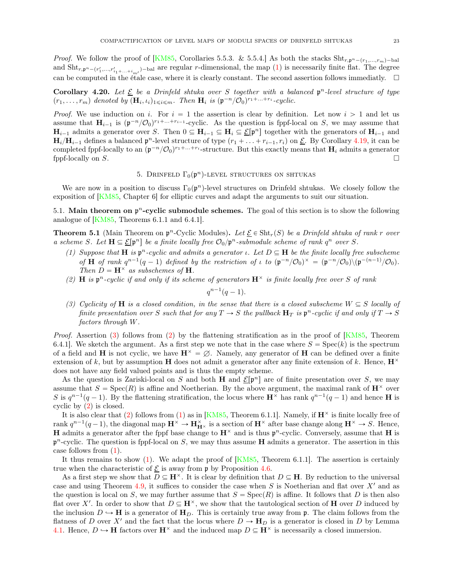*Proof.* We follow the proof of [\[KM85](#page-30-3), Corollaries 5.5.3. & 5.5.4.] As both the stacks  $\text{Sht}_{r,p^n-(r_1,...,r_m)-\text{bal}}$ and  $\text{Sht}_{r,p^n-(r'_1,...,r'_{i_1+...+i_{m'}})$ -bal are regular r-dimensional, the map  $(1)$  is necessarily finite flat. The degree can be computed in the étale case, where it is clearly constant. The second assertion follows immediatly.  $\Box$ 

Corollary 4.20. Let  $\underline{\mathcal{E}}$  be a Drinfeld shtuka over S together with a balanced  $\mathfrak{p}^n$ -level structure of type  $(r_1, \ldots, r_m)$  denoted by  $(\mathbf{H}_i, \iota_i)_{1 \leqslant i \leqslant m}$ . Then  $\mathbf{H}_i$  is  $(\mathfrak{p}^{-n}/\mathcal{O}_0)^{r_1 + \ldots + r_i}$ -cyclic.

*Proof.* We use induction on i. For  $i = 1$  the assertion is clear by definition. Let now  $i > 1$  and let us assume that  $H_{i-1}$  is  $(\mathfrak{p}^{-n}/\mathcal{O}_0)^{r_1+\ldots+r_{i-1}}$ -cyclic. As the question is fppf-local on S, we may assume that  $H_{i-1}$  admits a generator over S. Then  $0 \subseteq H_{i-1} \subseteq H_i \subseteq \mathcal{L}[\mathfrak{p}^n]$  together with the generators of  $H_{i-1}$  and  $H_i/H_{i-1}$  defines a balanced  $\mathfrak{p}^n$ -level structure of type  $(r_1 + \ldots + r_{i-1}, r_i)$  on  $\underline{\mathcal{E}}$ . By Corollary [4.19,](#page-21-2) it can be completed fppf-locally to an  $(\mathfrak{p}^{-n}/\mathcal{O}_0)^{r_1+\ldots+r_i}$ -structure. But this exactly means that  $H_i$  admits a generator fppf-locally on  $S$ .

# 5. DRINFELD  $\Gamma_0(\mathfrak{p}^n)$ -LEVEL STRUCTURES ON SHTUKAS

<span id="page-22-0"></span>We are now in a position to discuss  $\Gamma_0(\mathfrak{p}^n)$ -level structures on Drinfeld shtukas. We closely follow the exposition of [\[KM85,](#page-30-3) Chapter 6] for elliptic curves and adapt the arguments to suit our situation.

5.1. Main theorem on  $p^n$ -cyclic submodule schemes. The goal of this section is to show the following analogue of [\[KM85,](#page-30-3) Theorems 6.1.1 and 6.4.1].

<span id="page-22-4"></span><span id="page-22-3"></span>**Theorem 5.1** (Main Theorem on  $\mathfrak{p}^n$ -Cyclic Modules). Let  $\underline{\mathcal{E}} \in \text{Sht}_r(S)$  be a Drinfeld shtuka of rank r over a scheme S. Let  $\mathbf{H} \subseteq \underline{\mathcal{E}}[\mathfrak{p}^n]$  be a finite locally free  $\mathcal{O}_0/\mathfrak{p}^n$ -submodule scheme of rank  $q^n$  over S.

- (1) Suppose that H is  $\mathfrak{p}^n$ -cyclic and admits a generator *ι*. Let  $D \subseteq H$  be the finite locally free subscheme of **H** of rank  $q^{n-1}(q-1)$  defined by the restriction of  $\iota$  to  $(\mathfrak{p}^{-n}/\mathcal{O}_0)^\times = (\mathfrak{p}^{-n}/\mathcal{O}_0) \setminus (\mathfrak{p}^{-(n-1)}/\mathcal{O}_0)$ . Then  $D = \mathbf{H}^{\times}$  as subschemes of **H**.
- <span id="page-22-2"></span>(2) **H** is  $\mathfrak{p}^n$ -cyclic if and only if its scheme of generators  $\mathbf{H}^{\times}$  is finite locally free over S of rank

$$
q^{n-1}(q-1).
$$

<span id="page-22-1"></span>(3) Cyclicity of **H** is a closed condition, in the sense that there is a closed subscheme  $W \subseteq S$  locally of finite presentation over S such that for any  $T \to S$  the pullback  $H_T$  is  $\mathfrak{p}^n$ -cyclic if and only if  $T \to S$ factors through W.

*Proof.* Assertion [\(3\)](#page-22-1) follows from [\(2\)](#page-22-2) by the flattening stratification as in the proof of  $\overline{KN85}$ , Theorem 6.4.1]. We sketch the argument. As a first step we note that in the case where  $S = \text{Spec}(k)$  is the spectrum of a field and H is not cyclic, we have  $H^{\times} = \emptyset$ . Namely, any generator of H can be defined over a finite extension of k, but by assumption H does not admit a generator after any finite extension of k. Hence,  $\mathbf{H}^{\times}$ does not have any field valued points and is thus the empty scheme.

As the question is Zariski-local on S and both H and  $\mathcal{E}[\mathfrak{p}^n]$  are of finite presentation over S, we may assume that  $S = \text{Spec}(R)$  is affine and Noetherian. By the above argument, the maximal rank of  $\mathbf{H}^{\times}$  over S is  $q^{n-1}(q-1)$ . By the flattening stratification, the locus where  $\mathbf{H}^{\times}$  has rank  $q^{n-1}(q-1)$  and hence H is cyclic by [\(2\)](#page-22-2) is closed.

It is also clear that [\(2\)](#page-22-2) follows from [\(1\)](#page-22-3) as in [\[KM85,](#page-30-3) Theorem 6.1.1]. Namely, if  $\mathbf{H}^{\times}$  is finite locally free of rank  $q^{n-1}(q-1)$ , the diagonal map  $\mathbf{H}^{\times} \to \mathbf{H}_{\mathbf{H}^{\times}}^{\times}$  is a section of  $\mathbf{H}^{\times}$  after base change along  $\mathbf{H}^{\times} \to S$ . Hence, **H** admits a generator after the fppf base change to  $\mathbf{H}^{\times}$  and is thus  $\mathfrak{p}^n$ -cyclic. Conversely, assume that **H** is  $p<sup>n</sup>$ -cyclic. The question is fppf-local on S, we may thus assume **H** admits a generator. The assertion in this case follows from [\(1\)](#page-22-3).

It thus remains to show  $(1)$ . We adapt the proof of  $[KM85,$  Theorem 6.1.1]. The assertion is certainly true when the characteristic of  $\underline{\mathcal{E}}$  is away from p by Proposition [4.6.](#page-16-4)

As a first step we show that  $D \subseteq \mathbf{H}^{\times}$ . It is clear by definition that  $D \subseteq \mathbf{H}$ . By reduction to the universal case and using Theorem [4.9,](#page-17-1) it suffices to consider the case when S is Noetherian and flat over  $X'$  and as the question is local on S, we may further assume that  $S = Spec(R)$  is affine. It follows that D is then also flat over X'. In order to show that  $D \subseteq \mathbf{H}^{\times}$ , we show that the tautological section of H over D induced by the inclusion  $D \hookrightarrow H$  is a generator of  $H_D$ . This is certainly true away from p. The claim follows from the flatness of D over X' and the fact that the locus where  $D \to \mathbf{H}_D$  is a generator is closed in D by Lemma [4.1.](#page-15-0) Hence,  $D \hookrightarrow H$  factors over  $H^{\times}$  and the induced map  $D \subseteq H^{\times}$  is necessarily a closed immersion.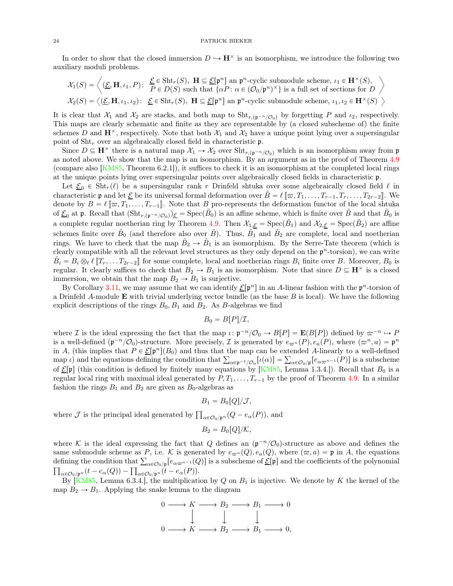In order to show that the closed immersion  $D \hookrightarrow \mathbf{H}^{\times}$  is an isomorphism, we introduce the following two auxiliary moduli problems.

$$
\mathcal{X}_1(S) = \left\langle (\underline{\mathcal{E}}, \mathbf{H}, \iota_1, P) \colon \begin{array}{l} \underline{\mathcal{E}} \in \text{Sht}_r(S), \ \mathbf{H} \subseteq \underline{\mathcal{E}}[\mathfrak{p}^n] \ \text{an} \ \mathfrak{p}^n\text{-cyclic submodule scheme, } \iota_1 \in \mathbf{H}^\times(S), \\ P \in D(S) \ \text{such that } \{\alpha P \colon \alpha \in (\mathcal{O}_0/\mathfrak{p}^n)^\times\} \ \text{is a full set of sections for } D \end{array} \right\rangle
$$
  

$$
\mathcal{X}_2(S) = \left\langle (\underline{\mathcal{E}}, \mathbf{H}, \iota_1, \iota_2) \colon \underline{\mathcal{E}} \in \text{Sht}_r(S), \ \mathbf{H} \subseteq \underline{\mathcal{E}}[\mathfrak{p}^n] \ \text{an} \ \mathfrak{p}^n\text{-cyclic submodule scheme, } \iota_1, \iota_2 \in \mathbf{H}^\times(S) \end{array} \right\rangle
$$

It is clear that  $\mathcal{X}_1$  and  $\mathcal{X}_2$  are stacks, and both map to  $\text{Sht}_{r,(\mathfrak{p}^{-n}/\mathcal{O}_0)}$  by forgetting P and  $\iota_2$ , respectively. This maps are clearly schematic and finite as they are representable by (a closed subscheme of) the finite schemes D and  $\mathbf{H}^{\times}$ , respectively. Note that both  $\mathcal{X}_1$  and  $\mathcal{X}_2$  have a unique point lying over a supersingular point of  $\text{Sht}_r$  over an algebraically closed field in characteristic p.

Since  $D \subseteq \mathbf{H}^{\times}$  there is a natural map  $\mathcal{X}_1 \to \mathcal{X}_2$  over  $\text{Sht}_{r,(\mathfrak{p}^{-n}/\mathcal{O}_0)}$  which is an isomorphism away from  $\mathfrak{p}$ as noted above. We show that the map is an isomorphism. By an argument as in the proof of Theorem [4.9](#page-17-1) (compare also [\[KM85](#page-30-3), Theorem 6.2.1]), it suffices to check it is an isomorphism at the completed local rings at the unique points lying over supersingular points over algebraically closed fields in characteristic p.

Let  $\mathcal{E}_0 \in \text{Sht}_r(\ell)$  be a supersingular rank r Drinfeld shtuka over some algebraically closed field  $\ell$  in characteristic **p** and let  $\underline{\mathcal{E}}$  be its universal formal deformation over  $\tilde{B} = \ell [\![\varpi, T_1, \ldots, T_{r-1}, T_r, \ldots, T_{2r-2}]\!]$ . We denote by  $B = \ell [\![\varpi, T_1, \ldots, T_{r-1}]\!]$ . Note that B pro-represents the deformation functor of the local shtuka of  $\underline{\mathcal{E}}_0$  at p. Recall that  $(\text{Sht}_{r,(\mathfrak{p}^{-n}/\mathcal{O}_0)})_{\underline{\mathcal{E}}} = \text{Spec}(\tilde{B}_0)$  is an affine scheme, which is finite over  $\tilde{B}$  and that  $\tilde{B}_0$  is a complete regular noetherian ring by Theorem [4.9.](#page-17-1) Then  $\mathcal{X}_{1,\underline{\mathcal{E}}} = \text{Spec}(\tilde{B}_1)$  and  $\mathcal{X}_{2,\underline{\mathcal{E}}} = \text{Spec}(\tilde{B}_2)$  are affine schemes finite over  $\tilde{B}_0$  (and therefore also over  $\tilde{B}$ ). Thus,  $\tilde{B}_1$  and  $\tilde{B}_2$  are complete, local and noetherian rings. We have to check that the map  $\tilde{B}_2 \to \tilde{B}_1$  is an isomorphism. By the Serre-Tate theorem (which is clearly compatible with all the relevant level structures as they only depend on the  $\mathfrak{p}^n$ -torsion), we can write  $\tilde{B}_i = B_i \otimes_{\ell} \ell \llbracket T_r, \ldots T_{2r-2} \rrbracket$  for some complete, local and noetherian rings  $B_i$  finite over B. Moreover,  $B_0$  is regular. It clearly suffices to check that  $B_2 \to B_1$  is an isomorphism. Note that since  $D \subseteq \mathbf{H}^\times$  is a closed immersion, we obtain that the map  $B_2 \rightarrow B_1$  is surjective.

By Corollary [3.11,](#page-13-2) we may assume that we can identify  $\mathcal{E}[\mathfrak{p}^n]$  in an A-linear fashion with the  $\mathfrak{p}^n$ -torsion of a Drinfeld A-module **E** with trivial underlying vector bundle (as the base  $B$  is local). We have the following explicit descriptions of the rings  $B_0$ ,  $B_1$  and  $B_2$ . As B-algebras we find

$$
B_0 = B[P]/\mathcal{I},
$$

where *I* is the ideal expressing the fact that the map  $\iota : \mathfrak{p}^{-n}/\mathcal{O}_0 \to B[P] = \mathbf{E}(B[P])$  defined by  $\varpi^{-n} \to P$ is a well-defined  $(\mathfrak{p}^{-n}/\mathcal{O}_0)$ -structure. More precisely,  $\mathcal I$  is generated by  $e_{\varpi^n}(P), e_a(P)$ , where  $(\varpi^n, a) = \mathfrak{p}^n$ in A, (this implies that  $P \in \mathcal{E}[\mathfrak{p}^n](B_0)$  and thus that the map can be extended A-linearly to a well-defined map  $\iota$ ) and the equations defining the condition that  $\sum_{\alpha \in \mathfrak{p}^{-1}/\mathcal{O}_0} [\iota(\alpha)] = \sum_{\alpha \in \mathcal{O}_0/\mathfrak{p}} [e_{\alpha \varpi^{n-1}}(P)]$  is a subscheme of  $\underline{\mathcal{E}}[\mathfrak{p}]$  (this condition is defined by finitely many equations by [\[KM85,](#page-30-3) Lemma 1.3.4.]). Recall that  $B_0$  is a regular local ring with maximal ideal generated by  $P, T_1, \ldots, T_{r-1}$  by the proof of Theorem [4.9.](#page-17-1) In a similar fashion the rings  $B_1$  and  $B_2$  are given as  $B_0$ -algebras as

$$
B_1 = B_0[Q]/\mathcal{J},
$$

where  $\mathcal J$  is the principal ideal generated by  $\prod_{\alpha\in\mathcal O_0/\mathfrak{p}^n}(Q-e_\alpha(P))$ , and

$$
B_2 = B_0[Q]/\mathcal{K},
$$

where K is the ideal expressing the fact that Q defines an  $(\mathfrak{p}^{-n}/\mathcal{O}_0)$ -structure as above and defines the same submodule scheme as P, i.e. K is generated by  $e_{\varpi^n}(Q), e_a(Q)$ , where  $(\varpi, a) = \mathfrak{p}$  in A, the equations defining the condition that  $\sum_{\alpha \in \mathcal{O}_0/\mathfrak{p}} [e_{\alpha \varpi^{n-1}}(Q)]$  is a subscheme of  $\underline{\mathcal{E}}[\mathfrak{p}]$  and the coefficients of the polynomial  $\prod_{\alpha\in\mathcal{O}_0/\mathfrak{p}^n}(t-e_\alpha(Q))-\prod_{\alpha\in\mathcal{O}_0/\mathfrak{p}^n}(t-e_\alpha(P)).$ 

By  $[KM85, Lemma 6.3.4.]$ , the multiplication by Q on  $B_1$  is injective. We denote by K the kernel of the map  $B_2 \rightarrow B_1$ . Applying the snake lemma to the diagram

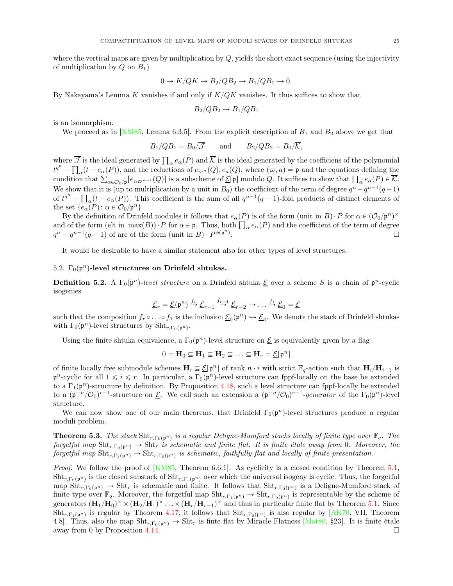where the vertical maps are given by multiplication by  $Q$ , yields the short exact sequence (using the injectivity of multiplication by  $Q$  on  $B_1$ )

$$
0 \to K/QK \to B_2/QB_2 \to B_1/QB_1 \to 0.
$$

By Nakayama's Lemma K vanishes if and only if  $K/QK$  vanishes. It thus suffices to show that

$$
B_2/QB_2 \to B_1/QB_1
$$

is an isomorphism.

We proceed as in [\[KM85,](#page-30-3) Lemma 6.3.5]. From the explicit description of  $B_1$  and  $B_2$  above we get that

$$
B_1/QB_1 = B_0/\overline{J}
$$
 and  $B_2/QB_2 = B_0/\overline{K}$ ,

where  $\overline{\mathcal{J}}$  is the ideal generated by  $\prod_{\alpha}e_\alpha(P)$  and  $\overline{\mathcal{K}}$  is the ideal generated by the coefficiens of the polynomial  $t^{q^n} - \prod_\alpha (t - e_\alpha(P))$ , and the reductions of  $e_{\varpi^n}(Q), e_a(Q)$ , where  $(\varpi, a) = \mathfrak{p}$  and the equations defining the condition that  $\sum_{\alpha\in\mathcal{O}_0/\mathfrak{p}} [e_{\alpha\varpi^{n-1}}(Q)]$  is a subscheme of  $\underline{\mathcal{E}}[\mathfrak{p}]$  modulo  $Q$ . It suffices to show that  $\prod_{\alpha}e_{\alpha}(P)\in\overline{\mathcal{K}}$ . We show that it is (up to multiplication by a unit in  $B_0$ ) the coefficient of the term of degree  $q^n - q^{n-1}(q-1)$ of  $t^{q^n} - \prod_{\alpha} (t - e_{\alpha}(P))$ . This coefficient is the sum of all  $q^{n-1}(q-1)$ -fold products of distinct elements of the set  $\{e_{\alpha}(P): \alpha \in \mathcal{O}_0/\mathfrak{p}^n\}.$ 

By the definition of Drinfeld modules it follows that  $e_{\alpha}(P)$  is of the form (unit in B) · P for  $\alpha \in (O_0/p^n)^{\times}$ and of the form  $(\text{elt in } \max(B)) \cdot P$  for  $\alpha \in \mathfrak{p}$ . Thus, both  $\prod_{\alpha} e_{\alpha}(P)$  and the coefficient of the term of degree  $q^{n} - q^{n-1}(q-1)$  of are of the form (unit in B) ·  $P^{\phi(\mathfrak{p}^{n})}$ .

It would be desirable to have a similar statement also for other types of level structures.

### 5.2.  $\Gamma_0(\mathfrak{p}^n)$ -level structures on Drinfeld shtukas.

<span id="page-24-0"></span>**Definition 5.2.** A  $\Gamma_0(\mathfrak{p}^n)$ -level structure on a Drinfeld shtuka  $\underline{\mathcal{E}}$  over a scheme S is a chain of  $\mathfrak{p}^n$ -cyclic isogenies

$$
\underline{\mathcal{E}}_r = \underline{\mathcal{E}}(\mathfrak{p}^n) \xrightarrow{f_r} \underline{\mathcal{E}}_{r-1} \xrightarrow{f_{r-1}} \underline{\mathcal{E}}_{r-2} \to \dots \xrightarrow{f_1} \underline{\mathcal{E}}_0 = \underline{\mathcal{E}}
$$

such that the composition  $f_r \circ \ldots \circ f_1$  is the inclusion  $\underline{\mathcal{E}}_0(\mathfrak{p}^n) \hookrightarrow \underline{\mathcal{E}}_0$ . We denote the stack of Drinfeld shtukas with  $\Gamma_0(\mathfrak{p}^n)$ -level structures by  $\text{Sht}_{r,\Gamma_0(\mathfrak{p}^n)}$ .

Using the finite shtuka equivalence, a  $\Gamma_0(p^n)$ -level structure on  $\underline{\mathcal{E}}$  is equivalently given by a flag

$$
0 = \mathbf{H}_0 \subseteq \mathbf{H}_1 \subseteq \mathbf{H}_2 \subseteq \ldots \subseteq \mathbf{H}_r = \underline{\mathcal{E}}[\mathfrak{p}^n]
$$

of finite locally free submodule schemes  $H_i \subseteq \mathcal{L}[\mathfrak{p}^n]$  of rank  $n \cdot i$  with strict  $\mathbb{F}_q$ -action such that  $H_i/H_{i-1}$  is  $\mathfrak{p}^n$ -cyclic for all  $1 \leq i \leq r$ . In particular, a  $\Gamma_0(\mathfrak{p}^n)$ -level structure can fppf-locally on the base be extended to a  $\Gamma_1(\mathfrak{p}^n)$ -structure by definition. By Proposition [4.18,](#page-21-0) such a level structure can fppf-locally be extended to a  $(\mathfrak{p}^{-n}/\mathcal{O}_0)^{r-1}$ -structure on <u>E</u>. We call such an extension a  $(\mathfrak{p}^{-n}/\mathcal{O}_0)^{r-1}$ -generator of the  $\Gamma_0(\mathfrak{p}^n)$ -level structure.

We can now show one of our main theorems, that Drinfeld  $\Gamma_0(\mathfrak{p}^n)$ -level structures produce a regular moduli problem.

<span id="page-24-1"></span>**Theorem 5.3.** The stack  $\text{Sht}_{r,\Gamma_0(p^n)}$  is a regular Deligne-Mumford stacks locally of finite type over  $\mathbb{F}_q$ . The forgetful map  $\text{Sht}_{r,\Gamma_0(p^n)} \to \text{Sht}_r$  is schematic and finite flat. It is finite étale away from 0. Moreover, the forgetful map  $\text{Sht}_{r,\Gamma_1(\mathfrak{p}^n)} \to \text{Sht}_{r,\Gamma_0(\mathfrak{p}^n)}$  is schematic, faithfully flat and locally of finite presentation.

*Proof.* We follow the proof of  $[KM85, Theorem 6.6.1]$ . As cyclicity is a closed condition by Theorem [5.1,](#page-22-4)  $\text{Sht}_{r,\Gamma_0(p^n)}$  is the closed substack of  $\text{Sht}_{r,\Gamma_1(p^n)}$  over which the universal isogeny is cyclic. Thus, the forgetful map  $\text{Sht}_{r,\Gamma_0(p^n)} \to \text{Sht}_r$  is schematic and finite. It follows that  $\text{Sht}_{r,\Gamma_0(p^n)}$  is a Deligne-Mumford stack of finite type over  $\mathbb{F}_q$ . Moreover, the forgetful map  $\text{Sht}_{r,\Gamma_1(p^n)} \to \text{Sht}_{r,\Gamma_0(p^n)}$  is representable by the scheme of generators  $(\mathbf{H}_1/\mathbf{H}_0)^{\times} \times (\mathbf{H}_2/\mathbf{H}_1)^{\times} \dots \times (\mathbf{H}_r/\mathbf{H}_{r-1})^{\times}$  and thus in particular finite flat by Theorem [5.1.](#page-22-4) Since  $\text{Sht}_{r,\Gamma_1(p^n)}$  is regular by Theorem [4.17,](#page-21-3) it follows that  $\text{Sht}_{r,\Gamma_0(p^n)}$  is also regular by [\[AK70,](#page-29-5) VII, Theorem 4.8]. Thus, also the map  $\text{Sht}_{r,\Gamma_0(\mathfrak{p}^n)} \to \text{Sht}_r$  is finite flat by Miracle Flatness [\[Mat86,](#page-31-17) §23]. It is finite étale away from 0 by Proposition [4.14.](#page-20-1)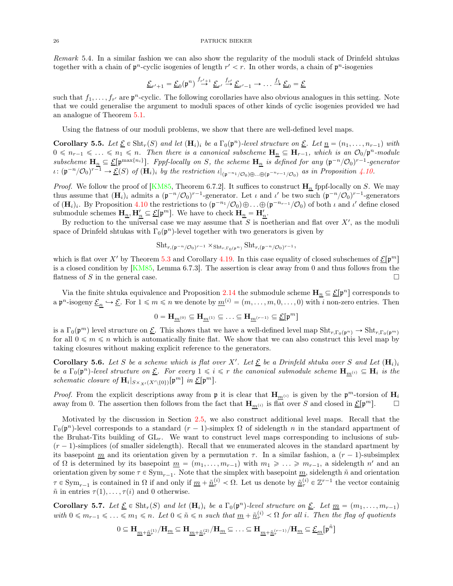Remark 5.4. In a similar fashion we can also show the regularity of the moduli stack of Drinfeld shtukas together with a chain of  $p^n$ -cyclic isogenies of length  $r' < r$ . In other words, a chain of  $p^n$ -isogenies

$$
\underline{\mathcal{E}}_{r'+1} = \underline{\mathcal{E}}_0(\mathfrak{p}^n) \stackrel{f_{r'+1}}{\rightarrow} \underline{\mathcal{E}}_{r'} \stackrel{f_{r'}}{\rightarrow} \underline{\mathcal{E}}_{r'-1} \rightarrow \dots \stackrel{f_1}{\rightarrow} \underline{\mathcal{E}}_0 = \underline{\mathcal{E}}
$$

such that  $f_1, \ldots, f_{r'}$  are  $\mathfrak{p}^n$ -cyclic. The following corollaries have also obvious analogues in this setting. Note that we could generalise the argument to moduli spaces of other kinds of cyclic isogenies provided we had an analogue of Theorem [5.1.](#page-22-4)

Using the flatness of our moduli problems, we show that there are well-defined level maps.

<span id="page-25-0"></span>**Corollary 5.5.** Let  $\underline{\mathcal{E}} \in \text{Sht}_r(S)$  and let  $(\mathbf{H}_i)_i$  be a  $\Gamma_0(\mathfrak{p}^n)$ -level structure on  $\underline{\mathcal{E}}$ . Let  $\underline{n} = (n_1, \ldots, n_{r-1})$  with  $0 \leq n_{r-1} \leq \ldots \leq n_1 \leq n$ . Then there is a canonical subscheme  $H_n \subseteq H_{r-1}$ , which is an  $\mathcal{O}_0/\mathfrak{p}^n$ -module subscheme  $H_n \subseteq \mathcal{E}[\mathfrak{p}^{\max\{n_i\}}]$ . Fppf-locally on S, the scheme  $H_n$  is defined for any  $(\mathfrak{p}^{-n}/\mathcal{O}_0)^{r-1}$ -generator  $\iota: (\mathfrak{p}^{-n}/\mathcal{O}_0)^{r-1} \to \underline{\mathcal{E}}(S)$  of  $(\mathbf{H}_i)_i$  by the restriction  $\iota|_{(\mathfrak{p}^{-n_1}/\mathcal{O}_0)\oplus...\oplus(\mathfrak{p}^{-n_r-1}/\mathcal{O}_0)}$  as in Proposition [4.10.](#page-19-0)

*Proof.* We follow the proof of [\[KM85,](#page-30-3) Theorem 6.7.2]. It suffices to construct  $\mathbf{H}_n$  fppf-locally on S. We may thus assume that  $(\mathbf{H}_i)_i$  admits a  $(\mathfrak{p}^{-n}/\mathcal{O}_0)^{r-1}$ -generator. Let  $\iota$  and  $\iota'$  be two such  $(\mathfrak{p}^{-n}/\mathcal{O}_0)^{r-1}$ -generators of  $(\mathbf{H}_i)_i$ . By Proposition [4.10](#page-19-0) the restrictions to  $(\mathfrak{p}^{-n_1}/\mathcal{O}_0) \oplus \ldots \oplus (\mathfrak{p}^{-n_{r-1}}/\mathcal{O}_0)$  of both  $\iota$  and  $\iota'$  define closed submodule schemes  $\mathbf{H}_{\underline{n}}, \mathbf{H}'_{\underline{n}} \subseteq \underline{\mathcal{E}}[\mathfrak{p}^m]$ . We have to check  $\mathbf{H}_{\underline{n}} = \mathbf{H}'_{\underline{n}}$ .

By reduction to the universal case we may assume that S is noetherian and flat over  $X'$ , as the moduli space of Drinfeld shtukas with  $\Gamma_0(p^n)$ -level together with two generators is given by

$$
\mathrm{Sht}_{r,(\mathfrak{p}^{-n}/\mathcal{O}_0)^{r-1}} \times_{\mathrm{Sht}_{r,\Gamma_0(\mathfrak{p}^n)}} \mathrm{Sht}_{r,(\mathfrak{p}^{-n}/\mathcal{O}_0)^{r-1}},
$$

which is flat over X' by Theorem [5.3](#page-24-1) and Corollary [4.19.](#page-21-2) In this case equality of closed subschemes of  $\underline{\mathcal{E}}[\mathfrak{p}^m]$ is a closed condition by  $[KM85, Lemma 6.7.3]$ . The assertion is clear away from 0 and thus follows from the flatness of S in the general case.

Via the finite shtuka equivalence and Proposition [2.14](#page-6-0) the submodule scheme  $H_n \subseteq \mathcal{E}[\mathfrak{p}^n]$  corresponds to a  $\mathfrak{p}^n$ -isogeny  $\underline{\mathcal{E}}_n \hookrightarrow \underline{\mathcal{E}}$ . For  $1 \leqslant m \leqslant n$  we denote by  $\underline{m}^{(i)} = (m, \ldots, m, 0, \ldots, 0)$  with i non-zero entries. Then

$$
0=\mathbf{H}_{\underline{m}^{(0)}}\subseteq \mathbf{H}_{\underline{m}^{(1)}}\subseteq \ldots \subseteq \mathbf{H}_{\underline{m}^{(r-1)}}\subseteq \underline{\mathcal{E}}[\mathfrak{p}^m]
$$

is a  $\Gamma_0(\mathfrak{p}^m)$  level structure on  $\underline{\mathcal{E}}$ . This shows that we have a well-defined level map  $\textnormal{Sht}_{r,\Gamma_0(\mathfrak{p}^n)} \to \textnormal{Sht}_{r,\Gamma_0(\mathfrak{p}^m)}$ for all  $0 \leq m \leq n$  which is automatically finite flat. We show that we can also construct this level map by taking closures without making explicit reference to the generators.

**Corollary 5.6.** Let S be a scheme which is flat over X'. Let  $\underline{\mathcal{E}}$  be a Drinfeld shtuka over S and Let  $(\mathbf{H}_i)_i$ be a  $\Gamma_0(\mathfrak{p}^n)$ -level structure on <u>E</u>. For every  $1 \leq i \leq r$  the canonical submodule scheme  $\mathbf{H}_{m^{(i)}} \subseteq \mathbf{H}_i$  is the schematic closure of  $\mathbf{H}_i|_{S \times_{X'} (X' \setminus \{0\})} [\mathfrak{p}^m]$  in  $\underline{\mathcal{E}}[\mathfrak{p}^m]$ .

*Proof.* From the explicit descriptions away from  $\mathfrak{p}$  it is clear that  $\mathbf{H}_{m^{(i)}}$  is given by the  $\mathfrak{p}^m$ -torsion of  $\mathbf{H}_i$ away from 0. The assertion then follows from the fact that  $\mathbf{H}_{m^{(i)}}$  is flat over S and closed in  $\underline{\mathcal{E}}[\mathfrak{p}^m]$ .

Motivated by the discussion in Section [2.5,](#page-7-0) we also construct additional level maps. Recall that the  $\Gamma_0(\mathfrak{p}^n)$ -level corresponds to a standard  $(r-1)$ -simplex  $\Omega$  of sidelength n in the standard appartment of the Bruhat-Tits building of  $GL_r$ . We want to construct level maps corresponding to inclusions of sub- $(r - 1)$ -simplices (of smaller sidelength). Recall that we enumerated alcoves in the standard apartment by its basepoint m and its orientation given by a permutation  $\tau$ . In a similar fashion, a  $(r - 1)$ -subsimplex of  $\Omega$  is determined by its basepoint  $\underline{m} = (m_1, \ldots, m_{r-1})$  with  $m_1 \geq \ldots \geq m_{r-1}$ , a sidelength n' and an orientation given by some  $\tau \in Sym_{r-1}$ . Note that the simplex with basepoint  $\underline{m}$ , sidelength  $\tilde{n}$  and orientation  $\tau \in \text{Sym}_{r-1}$  is contained in  $\Omega$  if and only if  $\underline{m} + \underline{\tilde{n}}_{\tau}^{(i)} < \Omega$ . Let us denote by  $\underline{\tilde{n}}_{\tau}^{(i)} \in \mathbb{Z}^{r-1}$  the vector containig  $\tilde{n}$  in entries  $\tau(1), \ldots, \tau(i)$  and 0 otherwise.

Corollary 5.7. Let  $\underline{\mathcal{E}} \in \text{Sht}_r(S)$  and let  $(\mathbf{H}_i)_i$  be a  $\Gamma_0(\mathfrak{p}^n)$ -level structure on  $\underline{\mathcal{E}}$ . Let  $\underline{m} = (m_1, \ldots, m_{r-1})$ with  $0 \leq m_{r-1} \leq \ldots \leq m_1 \leq n$ . Let  $0 \leq \tilde{n} \leq n$  such that  $\underline{m} + \underline{\tilde{n}}_{\tau}^{(i)} < \Omega$  for all i. Then the flag of quotients

$$
0\subseteq \mathbf{H}_{\underline{m}+\underline{\tilde{n}}_{\tau}^{(1)}}/\mathbf{H}_{\underline{m}}\subseteq \mathbf{H}_{\underline{m}+\underline{\tilde{n}}_{\tau}^{(2)}}/\mathbf{H}_{\underline{m}}\subseteq \ldots \subseteq \mathbf{H}_{\underline{m}+\underline{\tilde{n}}_{\tau}^{(r-1)}}/\mathbf{H}_{\underline{m}}\subseteq \underline{\mathcal{E}}_{\underline{m}}[\mathfrak{p}^{\tilde{n}}]
$$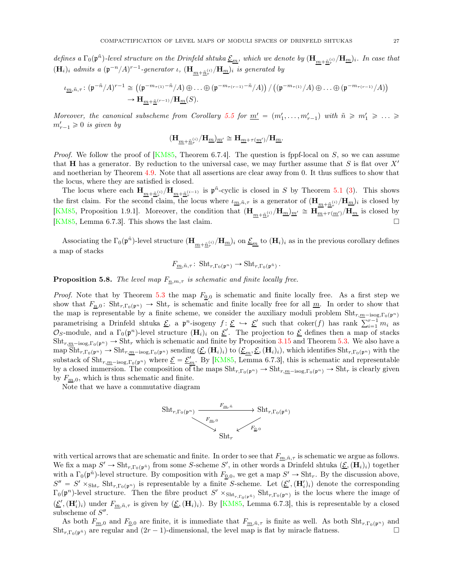defines a  $\Gamma_0(\mathfrak{p}^{\tilde{n}})$ -level structure on the Drinfeld shtuka  $\underline{\mathcal{E}}_{\underline{m}},$  which we denote by  $(\mathbf{H}_{\underline{m}+\tilde{\underline{n}}_{r}^{(i)}}/\mathbf{H}_{\underline{m}})$ . In case that  $({\bf H}_i)_i$  admits a  $({\frak p}^{-n}/A)^{r-1}$ -generator  $\iota$ ,  $({\bf H}_{\underline{m}+\underline{\tilde{n}}_r^{(i)}}/{\bf H}_{\underline{m}})_i$  is generated by

$$
\iota_{\underline{m},\tilde{n},\tau} \colon (\mathfrak{p}^{-\tilde{n}}/A)^{r-1} \cong \left( (\mathfrak{p}^{-m_{\tau(1)} - \tilde{n}}/A) \oplus \ldots \oplus (\mathfrak{p}^{-m_{\tau(r-1)} - \tilde{n}}/A) \right) / \left( (\mathfrak{p}^{-m_{\tau(1)}}/A) \oplus \ldots \oplus (\mathfrak{p}^{-m_{\tau(r-1)}}/A) \right) \to \mathbf{H}_{\underline{m} + \underline{\tilde{n}}^{(r-1)}} / \mathbf{H}_{\underline{m}}(S).
$$

Moreover, the canonical subscheme from Corollary [5.5](#page-25-0) for  $\underline{m'} = (m'_1, \ldots, m'_{r-1})$  with  $\tilde{n} \geq m'_1 \geq \ldots \geq$  $m'_{r-1} \geqslant 0$  is given by

$$
(\mathbf{H}_{\underline{m}+\underline{\tilde{n}}_{\tau}^{(i)}}/\mathbf{H}_{\underline{m}})_{\underline{m}'}\cong\mathbf{H}_{\underline{m}+\tau(\underline{m}')}/\mathbf{H}_{\underline{m}}.
$$

*Proof.* We follow the proof of  $[KMS5, Theorem 6.7.4]$ . The question is fppf-local on S, so we can assume that **H** has a generator. By reduction to the universal case, we may further assume that S is flat over  $X'$ and noetherian by Theorem [4.9.](#page-17-1) Note that all assertions are clear away from 0. It thus suffices to show that the locus, where they are satisfied is closed.

The locus where each  $\mathbf{H}_{m+\tilde{n}_{\tau}^{(i)}}/\mathbf{H}_{m+\tilde{n}_{\tau}^{(i-1)}}$  is  $\mathfrak{p}^{\tilde{n}}$ -cyclic is closed in S by Theorem [5.1](#page-22-4) [\(3\)](#page-22-1). This shows the first claim. For the second claim, the locus where  $\iota_{\underline{m},\tilde{n},\tau}$  is a generator of  $(\mathbf{H}_{\underline{m}+\tilde{\underline{n}}_{\tau}^{(i)}}/\mathbf{H}_{\underline{m}})_{i}$  is closed by [\[KM85,](#page-30-3) Proposition 1.9.1]. Moreover, the condition that  $(\mathbf{H}_{\underline{m}+\underline{\hat{n}}_{\tau}^{(i)}}/\mathbf{H}_{\underline{m}})_{\underline{m'}} \cong \mathbf{H}_{\underline{m}+\tau(\underline{m'})}$   $/\mathbf{H}_{\underline{m}}$  is closed by [\[KM85,](#page-30-3) Lemma 6.7.3]. This shows the last claim.

Associating the  $\Gamma_0(\mathfrak{p}^{\tilde{n}})$ -level structure  $(\mathbf{H}_{\underline{m}+\underline{\tilde{n}}_r^{(i)}}/\mathbf{H}_{\underline{m}})_i$  on  $\underline{\mathcal{E}}_{\underline{m}}$  to  $(\mathbf{H}_i)_i$  as in the previous corollary defines a map of stacks

$$
F_{\underline{m},\tilde{n},\tau} \colon \operatorname{Sht}_{r,\Gamma_0(\mathfrak{p}^n)} \to \operatorname{Sht}_{r,\Gamma_0(\mathfrak{p}^{\tilde{n}})}.
$$

<span id="page-26-0"></span>**Proposition 5.8.** The level map  $F_{n,m,\tau}$  is schematic and finite locally free.

*Proof.* Note that by Theorem [5.3](#page-24-1) the map  $F_{0,0}$  is schematic and finite locally free. As a first step we show that  $F_{\underline{n},0}$ : Sht<sub>r</sub>,<sub>Γ0</sub>(p<sup>n</sup>)  $\rightarrow$  Sht<sub>r</sub> is schematic and finite locally free for all <u>m</u>. In order to show that the map is representable by a finite scheme, we consider the auxiliary moduli problem  $\text{Sht}_{r,m-\text{isog},\Gamma_0(p^n)}$ parametrising a Drinfeld shtuka  $\underline{\mathcal{E}}$ , a p<sup>n</sup>-isogeny  $f: \underline{\mathcal{E}} \hookrightarrow \underline{\mathcal{E}}'$  such that coker(f) has rank  $\sum_{i=1}^{r-1} m_i$  as  $\mathcal{O}_S$ -module, and a  $\Gamma_0(\mathfrak{p}^n)$ -level structure  $(\mathbf{H}_i)_i$  on  $\underline{\mathcal{E}}'$ . The projection to  $\underline{\mathcal{E}}$  defines then a map of stacks  $\text{Sht}_{r,\underline{m}-\text{isog},\Gamma_0(\mathfrak{p}^n)} \to \text{Sht}_r$  which is schematic and finite by Proposition [3.15](#page-14-1) and Theorem [5.3.](#page-24-1) We also have a  $\text{map} \ \overline{\text{Sht}}_{r,\Gamma_0(p^n)} \to \text{Sht}_{r,\underline{m}-\text{isog},\Gamma_0(p^n)}$  sending  $(\underline{\mathcal{E}},(\mathbf{H}_i)_i)$  to  $(\underline{\mathcal{E}}_{\underline{m}},\underline{\mathcal{E}},(\mathbf{H}_i)_i)$ , which identifies  $\text{Sht}_{r,\Gamma_0(p^n)}$  with the substack of  $\text{Sht}_{r,m-\text{isog},\Gamma_0(\mathfrak{p}^n)}$  where  $\underline{\mathcal{E}} = \underline{\mathcal{E}}'_m$ . By [\[KM85,](#page-30-3) Lemma 6.7.3], this is schematic and representable by a closed immersion. The composition of the maps  $\text{Sht}_{r,\Gamma_0(\mathfrak{p}^n)} \to \text{Sht}_{r,\underline{m}-\text{isog},\Gamma_0(\mathfrak{p}^n)} \to \text{Sht}_r$  is clearly given by  $F_{m,0}$ , which is thus schematic and finite.

Note that we have a commutative diagram

$$
\begin{array}{ccc}\n\operatorname{Sht}_{r,\Gamma_0(\mathfrak{p}^n)} & \xrightarrow{F_{\underline{m},\tilde{n}}} & \operatorname{Sht}_{r,\Gamma_0(\mathfrak{p}^{\tilde{n}})} \\
\downarrow^{F_{\underline{m},0}} & & \downarrow^{F_{\underline{0},0}} \\
\operatorname{Sht}_{r} & & & \downarrow^{F_{\underline{0},0}}\n\end{array}
$$

with vertical arrows that are schematic and finite. In order to see that  $F_{m,n,\tau}$  is schematic we argue as follows. We fix a map  $S' \to \text{Sht}_{r, \Gamma_0(p^{\bar{n}})}$  from some S-scheme S', in other words a Drinfeld shtuka  $(\underline{\mathcal{E}}, (\mathbf{H}_i)_i)$  together with a  $\Gamma_0(\mathfrak{p}^n)$ -level structure. By composition with  $F_{\mathbf{0},0}$ , we get a map  $S' \to \text{Sht}_r$ . By the discussion above,  $S'' = S' \times_{\text{Sht}_r} \text{Sht}_{r,\Gamma_0(\mathfrak{p}^n)}$  is representable by a finite S-scheme. Let  $(\underline{\mathcal{E}}', (\mathbf{H}'_i)_i)$  denote the corresponding  $\Gamma_0(\mathfrak{p}^n)$ -level structure. Then the fibre product  $S' \times_{\text{Sht}_{r,\Gamma_0(\mathfrak{p}^n)}} \text{Sht}_{r,\Gamma_0(\mathfrak{p}^n)}$  is the locus where the image of  $(\underline{\mathcal{E}}', (\mathbf{H}'_i)_i)$  under  $F_{m,n,\tau}$  is given by  $(\underline{\mathcal{E}}', (\mathbf{H}_i)_i)$ . By [\[KM85](#page-30-3), Lemma 6.7.3], this is representable by a closed subscheme of  $S''$ .

As both  $F_{m,0}$  and  $F_{0,0}$  are finite, it is immediate that  $F_{m,\tilde{n},\tau}$  is finite as well. As both  $\text{Sht}_{r,\Gamma_0(\mathfrak{p}^n)}$  and  $\text{Sht}_{r,\Gamma_0(p^{\tilde{n}})}$  are regular and  $(2r - 1)$ -dimensional, the level map is flat by miracle flatness.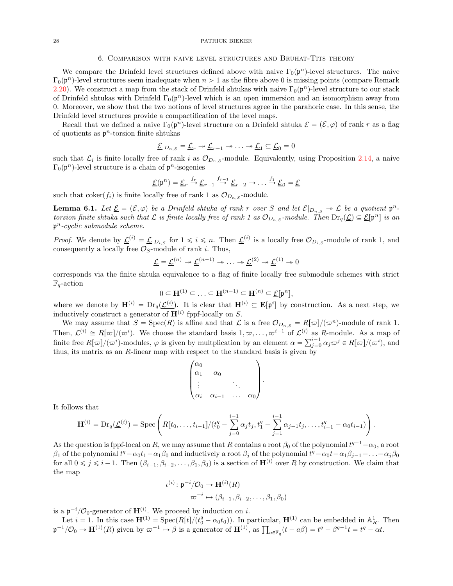#### 6. Comparison with naive level structures and Bruhat-Tits theory

<span id="page-27-0"></span>We compare the Drinfeld level structures defined above with naive  $\Gamma_0(\mathfrak{p}^n)$ -level structures. The naive  $\Gamma_0(\mathfrak{p}^n)$ -level structures seem inadequate when  $n > 1$  as the fibre above 0 is missing points (compare Remark [2.20\)](#page-9-1). We construct a map from the stack of Drinfeld shtukas with naive  $\Gamma_0(\mathfrak{p}^n)$ -level structure to our stack of Drinfeld shtukas with Drinfeld  $\Gamma_0(\mathfrak{p}^n)$ -level which is an open immersion and an isomorphism away from 0. Moreover, we show that the two notions of level structures agree in the parahoric case. In this sense, the Drinfeld level structures provide a compactification of the level maps.

Recall that we defined a naive  $\Gamma_0(\mathfrak{p}^n)$ -level structure on a Drinfeld shtuka  $\underline{\mathcal{E}} = (\mathcal{E}, \varphi)$  of rank r as a flag of quotients as  $p^n$ -torsion finite shtukas

$$
\underline{\mathcal{E}}|_{D_{n,S}} = \underline{\mathcal{L}}_r \twoheadrightarrow \underline{\mathcal{L}}_{r-1} \twoheadrightarrow \ldots \twoheadrightarrow \underline{\mathcal{L}}_1 \subseteq \underline{\mathcal{L}}_0 = 0
$$

such that  $\mathcal{L}_i$  is finite locally free of rank i as  $\mathcal{O}_{D_{n,S}}$ -module. Equivalently, using Proposition [2.14,](#page-6-0) a naive  $\Gamma_0(\mathfrak{p}^n)$ -level structure is a chain of  $\mathfrak{p}^n$ -isogenies

$$
\underline{\mathcal{E}}(\mathfrak{p}^n) = \underline{\mathcal{E}}_r \stackrel{f_r}{\rightarrow} \underline{\mathcal{E}}_{r-1} \stackrel{f_{r-1}}{\rightarrow} \underline{\mathcal{E}}_{r-2} \rightarrow \dots \stackrel{f_1}{\rightarrow} \underline{\mathcal{E}}_0 = \underline{\mathcal{E}}
$$

such that  $\text{coker}(f_i)$  is finite locally free of rank 1 as  $\mathcal{O}_{D_{n,S}}$ -module.

<span id="page-27-1"></span>**Lemma 6.1.** Let  $\underline{\mathcal{E}} = (\mathcal{E}, \varphi)$  be a Drinfeld shtuka of rank r over S and let  $\mathcal{E}|_{D_{n,S}} \to \mathcal{L}$  be a quotient  $\mathfrak{p}^n$ . torsion finite shtuka such that  $\mathcal L$  is finite locally free of rank 1 as  $\mathcal O_{D_n,S}$ -module. Then  $\mathrm{Dr}_q(\underline{\mathcal L}) \subseteq \underline{\mathcal E}[\mathfrak p^n]$  is an  $p^n$ -cyclic submodule scheme.

*Proof.* We denote by  $\underline{\mathcal{L}}^{(i)} = \underline{\mathcal{L}}|_{D_{i,S}}$  for  $1 \leqslant i \leqslant n$ . Then  $\underline{\mathcal{L}}^{(i)}$  is a locally free  $\mathcal{O}_{D_{i,S}}$ -module of rank 1, and consequently a locally free  $\mathcal{O}_S$ -module of rank *i*. Thus,

$$
\underline{\mathcal{L}} = \underline{\mathcal{L}}^{(n)} \twoheadrightarrow \underline{\mathcal{L}}^{(n-1)} \twoheadrightarrow \ldots \twoheadrightarrow \underline{\mathcal{L}}^{(2)} \twoheadrightarrow \underline{\mathcal{L}}^{(1)} \twoheadrightarrow 0
$$

corresponds via the finite shtuka equivalence to a flag of finite locally free submodule schemes with strict  $\mathbb{F}_q$ -action

$$
0 \subseteq \mathbf{H}^{(1)} \subseteq \ldots \subseteq \mathbf{H}^{(n-1)} \subseteq \mathbf{H}^{(n)} \subseteq \underline{\mathcal{E}}[\mathfrak{p}^n],
$$

where we denote by  $\mathbf{H}^{(i)} = \mathrm{Dr}_q(\underline{\mathcal{L}}^{(i)})$ . It is clear that  $\mathbf{H}^{(i)} \subseteq \mathbf{E}[\mathfrak{p}^i]$  by construction. As a next step, we inductively construct a generator of  $\mathbf{H}^{(i)}$  fppf-locally on S.

We may assume that  $S = \text{Spec}(R)$  is affine and that  $\mathcal L$  is a free  $\mathcal O_{D_n,S} = R[\varpi]/(\varpi^n)$ -module of rank 1. Then,  $\mathcal{L}^{(i)} \cong R[\varpi]/(\varpi^i)$ . We choose the standard basis  $1, \varpi, \ldots, \varpi^{i-1}$  of  $\mathcal{L}^{(i)}$  as R-module. As a map of finite free  $R[\varpi]/(\varpi^i)$ -modules,  $\varphi$  is given by multplication by an element  $\alpha = \sum_{j=0}^{i-1} \alpha_j \varpi^j \in R[\varpi]/(\varpi^i)$ , and thus, its matrix as an  $R$ -linear map with respect to the standard basis is given by

$$
\begin{pmatrix} \alpha_0 & & & \\ \alpha_1 & \alpha_0 & & \\ \vdots & & \ddots & \\ \alpha_i & \alpha_{i-1} & \dots & \alpha_0 \end{pmatrix}
$$

.

It follows that

$$
\mathbf{H}^{(i)} = \mathrm{Dr}_q(\underline{\mathcal{L}}^{(i)}) = \mathrm{Spec}\left(R[t_0,\ldots,t_{i-1}]/(t_0^q - \sum_{j=0}^{i-1} \alpha_j t_j, t_1^q - \sum_{j=1}^{i-1} \alpha_{j-1} t_j, \ldots, t_{i-1}^q - \alpha_0 t_{i-1})\right).
$$

As the question is fppf-local on R, we may assume that R contains a root  $\beta_0$  of the polynomial  $t^{q-1}-\alpha_0$ , a root  $\beta_1$  of the polynomial  $t^q - \alpha_0 t_1 - \alpha_1 \beta_0$  and inductively a root  $\beta_j$  of the polynomial  $t^q - \alpha_0 t - \alpha_1 \beta_{j-1} - \ldots - \alpha_j \beta_0$ for all  $0 \leq j \leq i-1$ . Then  $(\beta_{i-1}, \beta_{i-2}, \ldots, \beta_1, \beta_0)$  is a section of  $\mathbf{H}^{(i)}$  over R by construction. We claim that the map

$$
\iota^{(i)}: \mathfrak{p}^{-i}/\mathcal{O}_0 \to \mathbf{H}^{(i)}(R)
$$

$$
\varpi^{-i} \mapsto (\beta_{i-1}, \beta_{i-2}, \dots, \beta_1, \beta_0)
$$

is a  $\mathfrak{p}^{-i}/\mathcal{O}_0$ -generator of  $\mathbf{H}^{(i)}$ . We proceed by induction on i.

Let  $i = 1$ . In this case  $\mathbf{H}^{(1)} = \text{Spec}(R[t]/(t_0^q - \alpha_0 t_0))$ . In particular,  $\mathbf{H}^{(1)}$  can be embedded in  $\mathbb{A}_R^1$ . Then  $\mathfrak{p}^{-1}/\mathcal{O}_0 \to \mathbf{H}^{(1)}(R)$  given by  $\varpi^{-1} \mapsto \beta$  is a generator of  $\mathbf{H}^{(1)}$ , as  $\prod_{a \in \mathbb{F}_q} (t - a\beta) = t^q - \beta^{q-1}t = t^q - \alpha t$ .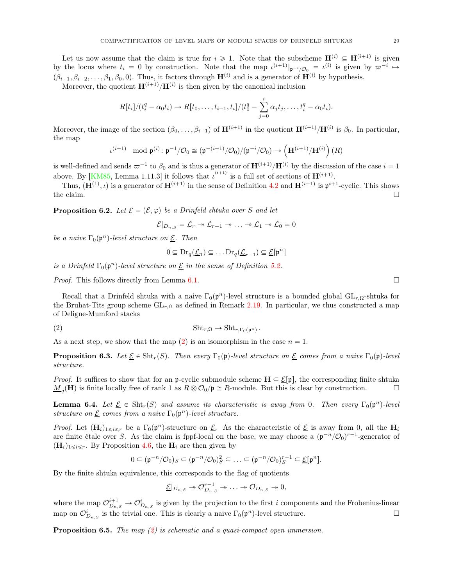Let us now assume that the claim is true for  $i \geq 1$ . Note that the subscheme  $\mathbf{H}^{(i)} \subseteq \mathbf{H}^{(i+1)}$  is given by the locus where  $t_i = 0$  by construction. Note that the map  $\iota^{(i+1)}|_{\mathfrak{p}^{-i}/\mathcal{O}_0} = \iota^{(i)}$  is given by  $\varpi^{-i} \mapsto$  $(\beta_{i-1}, \beta_{i-2}, \ldots, \beta_1, \beta_0, 0)$ . Thus, it factors through  $\mathbf{H}^{(i)}$  and is a generator of  $\mathbf{H}^{(i)}$  by hypothesis.

Moreover, the quotient  $\mathbf{H}^{(i+1)}/\mathbf{H}^{(i)}$  is then given by the canonical inclusion

$$
R[t_i]/(t_i^q - \alpha_0 t_i) \to R[t_0, \ldots, t_{i-1}, t_i]/(t_0^q - \sum_{j=0}^i \alpha_j t_j, \ldots, t_i^q - \alpha_0 t_i).
$$

Moreover, the image of the section  $(\beta_0, \ldots, \beta_{i-1})$  of  $\mathbf{H}^{(i+1)}$  in the quotient  $\mathbf{H}^{(i+1)}/\mathbf{H}^{(i)}$  is  $\beta_0$ . In particular, the map

$$
\iota^{(i+1)} \mod \mathfrak{p}^{(i)} : \mathfrak{p}^{-1} / \mathcal{O}_0 \cong (\mathfrak{p}^{-(i+1)} / \mathcal{O}_0) / (\mathfrak{p}^{-i} / \mathcal{O}_0) \to \left(\mathbf{H}^{(i+1)} / \mathbf{H}^{(i)}\right)(R)
$$

is well-defined and sends  $\varpi^{-1}$  to  $\beta_0$  and is thus a generator of  $\mathbf{H}^{(i+1)}/\mathbf{H}^{(i)}$  by the discussion of the case  $i = 1$ above. By [\[KM85,](#page-30-3) Lemma 1.11.3] it follows that  $\iota^{(i+1)}$  is a full set of sections of  $\mathbf{H}^{(i+1)}$ .

Thus,  $(\mathbf{H}^{(1)}, \iota)$  is a generator of  $\mathbf{H}^{(i+1)}$  in the sense of Definition [4.2](#page-15-1) and  $\mathbf{H}^{(i+1)}$  is  $\mathfrak{p}^{i+1}$ -cyclic. This shows the claim.  $\Box$ 

**Proposition 6.2.** Let  $\underline{\mathcal{E}} = (\mathcal{E}, \varphi)$  be a Drinfeld shtuka over S and let

$$
\mathcal{E}|_{D_{n,S}} = \mathcal{L}_{r} \twoheadrightarrow \mathcal{L}_{r-1} \twoheadrightarrow \ldots \twoheadrightarrow \mathcal{L}_{1} \twoheadrightarrow \mathcal{L}_{0} = 0
$$

be a naive  $\Gamma_0(\mathfrak{p}^n)$ -level structure on  $\underline{\mathcal{E}}$ . Then

<span id="page-28-0"></span>
$$
0 \subseteq \mathrm{Dr}_q(\underline{\mathcal{L}}_1) \subseteq \dots \mathrm{Dr}_q(\underline{\mathcal{L}}_{r-1}) \subseteq \underline{\mathcal{E}}[\mathfrak{p}^n]
$$

is a Drinfeld  $\Gamma_0(\mathfrak{p}^n)$ -level structure on  $\underline{\mathcal{E}}$  in the sense of Definition [5.2.](#page-24-0)

*Proof.* This follows directly from Lemma [6.1.](#page-27-1)  $\Box$ 

Recall that a Drinfeld shtuka with a naive  $\Gamma_0(\mathfrak{p}^n)$ -level structure is a bounded global  $\text{GL}_{r,\Omega}$ -shtuka for the Bruhat-Tits group scheme  $GL_{r,\Omega}$  as defined in Remark [2.19.](#page-7-3) In particular, we thus constructed a map of Deligne-Mumford stacks

$$
(2) \t\t\t\t \t\text{Sht}_{r,\Omega} \to \text{Sht}_{r,\Gamma_0(\mathfrak{p}^n)}.
$$

As a next step, we show that the map  $(2)$  is an isomorphism in the case  $n = 1$ .

<span id="page-28-1"></span>**Proposition 6.3.** Let  $\underline{\mathcal{E}} \in \text{Sht}_r(S)$ . Then every  $\Gamma_0(\mathfrak{p})$ -level structure on  $\underline{\mathcal{E}}$  comes from a naive  $\Gamma_0(\mathfrak{p})$ -level structure.

*Proof.* It suffices to show that for an p-cyclic submodule scheme  $H \subseteq \mathcal{E}[p]$ , the corresponding finite shtuka  $\underline{M}_q(\mathbf{H})$  is finite locally free of rank 1 as  $R \otimes \mathcal{O}_0/\mathfrak{p} \cong R$ -module. But this is clear by construction.

<span id="page-28-3"></span>**Lemma 6.4.** Let  $\underline{\mathcal{E}} \in \text{Sht}_r(S)$  and assume its characteristic is away from 0. Then every  $\Gamma_0(\mathfrak{p}^n)$ -level structure on  $\underline{\mathcal{E}}$  comes from a naive  $\Gamma_0(\mathfrak{p}^n)$ -level structure.

*Proof.* Let  $(\mathbf{H}_i)_{1\leqslant i\leqslant r}$  be a  $\Gamma_0(\mathfrak{p}^n)$ -structure on  $\underline{\mathcal{E}}$ . As the characteristic of  $\underline{\mathcal{E}}$  is away from 0, all the  $\mathbf{H}_i$ are finite étale over S. As the claim is fppf-local on the base, we may choose a  $(\mathfrak{p}^{-n}/\mathcal{O}_0)^{r-1}$ -generator of  $(H_i)_{1\leq i\leq r}$ . By Proposition [4.6,](#page-16-4) the  $H_i$  are then given by

$$
0 \subseteq (\mathfrak{p}^{-n}/\mathcal{O}_0)_S \subseteq (\mathfrak{p}^{-n}/\mathcal{O}_0)_S^2 \subseteq \ldots \subseteq (\mathfrak{p}^{-n}/\mathcal{O}_0)_S^{r-1} \subseteq \underline{\mathcal{E}}[\mathfrak{p}^n].
$$

By the finite shtuka equivalence, this corresponds to the flag of quotients

$$
\underline{\mathcal{E}}|_{D_{n,S}} \twoheadrightarrow \mathcal{O}_{D_{n,S}}^{r-1} \twoheadrightarrow \ldots \twoheadrightarrow \mathcal{O}_{D_{n,S}} \twoheadrightarrow 0,
$$

where the map  $\mathcal{O}_{D_{n,S}}^{i+1} \to \mathcal{O}_{D_{n,S}}^{i}$  is given by the projection to the first i components and the Frobenius-linear map on  $\mathcal{O}_{D_{n,S}}^i$  is the trivial one. This is clearly a naive  $\Gamma_0(\mathfrak{p}^n)$ -level structure.

<span id="page-28-2"></span>**Proposition 6.5.** The map  $(2)$  is schematic and a quasi-compact open immersion.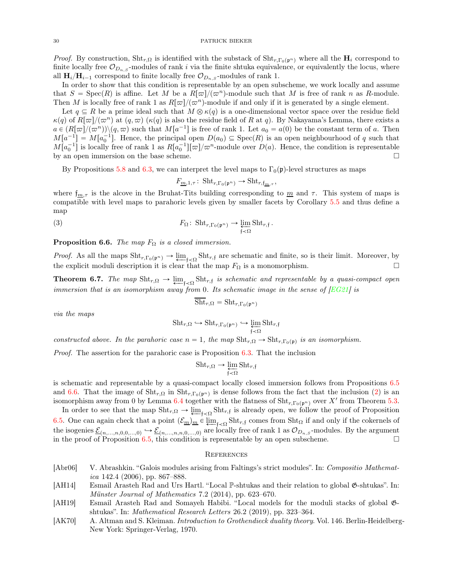*Proof.* By construction,  $\text{Sht}_{r,\Omega}$  is identified with the substack of  $\text{Sht}_{r,\Gamma_0(p^n)}$  where all the  $H_i$  correspond to finite locally free  $\mathcal{O}_{D_n, S}$ -modules of rank i via the finite shtuka equivalence, or equivalently the locus, where all  $\mathbf{H}_{i}/\mathbf{H}_{i-1}$  correspond to finite locally free  $\mathcal{O}_{D_{n,S}}$ -modules of rank 1.

In order to show that this condition is representable by an open subscheme, we work locally and assume that  $S = \text{Spec}(R)$  is affine. Let M be a  $R[\varpi]/(\varpi^n)$ -module such that M is free of rank n as R-module. Then M is locally free of rank 1 as  $R[\varpi]/(\varpi^n)$ -module if and only if it is generated by a single element.

Let  $q \subseteq R$  be a prime ideal such that  $M \otimes \kappa(q)$  is a one-dimensional vector space over the residue field  $\kappa(q)$  of  $R[\varpi]/(\varpi^n)$  at  $(q,\varpi)$  ( $\kappa(q)$  is also the residue field of R at q). By Nakayama's Lemma, there exists a  $a \in (R[\varpi]/(\varpi^n)) \setminus (q, \varpi)$  such that  $M[a^{-1}]$  is free of rank 1. Let  $a_0 = a(0)$  be the constant term of a. Then  $M[a^{-1}] = M[a_0^{-1}]$ . Hence, the principal open  $D(a_0) \subseteq \text{Spec}(R)$  is an open neighbourhood of q such that  $M[a_0^{-1}]$  is locally free of rank 1 as  $R[a_0^{-1}][\varpi]/\varpi^n$ -module over  $D(a)$ . Hence, the condition is representable by an open immersion on the base scheme.

By Propositions [5.8](#page-26-0) and [6.3,](#page-28-1) we can interpret the level maps to  $\Gamma_0(\mathfrak{p})$ -level structures as maps

$$
F_{\underline{m},1,\tau} \colon \operatorname{Sht}_{r,\Gamma_0(\mathfrak{p}^n)} \to \operatorname{Sht}_{r,\mathfrak{f}_{\underline{m},\tau}},
$$

where  $f_{m,\tau}$  is the alcove in the Bruhat-Tits building corresponding to  $m$  and  $\tau$ . This system of maps is compatible with level maps to parahoric levels given by smaller facets by Corollary [5.5](#page-25-0) and thus define a map

(3) 
$$
F_{\Omega} \colon \operatorname{Sht}_{r, \Gamma_0(\mathfrak{p}^n)} \to \varprojlim_{\mathfrak{f} \prec \Omega} \operatorname{Sht}_{r, \mathfrak{f}}.
$$

<span id="page-29-6"></span>**Proposition 6.6.** The map  $F_{\Omega}$  is a closed immersion.

*Proof.* As all the maps  $\text{Sht}_{r,\Gamma_0(\mathfrak{p}^n)} \to \varprojlim_{f \prec \Omega} \text{Sht}_{r,f}$  are schematic and finite, so is their limit. Moreover, by the explicit moduli description it is clear that the map  $F_{\Omega}$  is a monomorphism.

<span id="page-29-3"></span>**Theorem 6.7.** The map  $\text{Sht}_{r,\Omega} \to \underleftarrow{\lim}_{f \prec \Omega} \text{Sht}_{r,f}$  is schematic and representable by a quasi-compact open immersion that is an isomorphism away from 0. Its schematic image in the sense of  $[EG21]$  is

$$
Sht_{r,\Omega} = Sht_{r,\Gamma_0(\mathfrak{p}^n)}
$$

via the maps

$$
\textnormal{Sht}_{r,\Omega}\hookrightarrow \textnormal{Sht}_{r,\Gamma_0(\mathfrak{p}^n)}\hookrightarrow \varprojlim_{\mathfrak{f}\prec\Omega}\textnormal{Sht}_{r,\mathfrak{f}}
$$

constructed above. In the parahoric case  $n = 1$ , the map  $\text{Sht}_{r,\Omega} \to \text{Sht}_{r,\Gamma_0(\mathfrak{p})}$  is an isomorphism.

*Proof.* The assertion for the parahoric case is Proposition  $6.3$ . That the inclusion

$$
Sht_{r,\Omega} \to \varprojlim_{\mathfrak{f} \prec \Omega} Sht_{r,\mathfrak{f}}
$$

is schematic and representable by a quasi-compact locally closed immersion follows from Propositions [6.5](#page-28-2) and [6.6.](#page-29-6) That the image of  $\text{Sht}_{r,\Omega}$  in  $\text{Sht}_{r,\Gamma_0(p^n)}$  is dense follows from the fact that the inclusion [\(2\)](#page-28-0) is an isomorphism away from 0 by Lemma [6.4](#page-28-3) together with the flatness of  $\text{Sht}_{r,\Gamma_0(\mathfrak{p}^n)}$  over X' from Theorem [5.3.](#page-24-1)

In order to see that the map  $\text{Sht}_{r,\Omega} \to \underleftarrow{\lim}_{f \prec \Omega} \text{Sht}_{r,f}$  is already open, we follow the proof of Proposition [6.5.](#page-28-2) One can again check that a point  $(\mathcal{E}_{\underline{m}})_{\underline{m}} \in \underleftarrow{\lim}_{f \prec \Omega} \text{Sht}_{r,f}$  comes from Sht<sub>Ω</sub> if and only if the cokernels of the isogenies  $\underline{\mathcal{E}}_{(n,\ldots,n,0,0,\ldots,0)} \hookrightarrow \underline{\mathcal{E}}_{(n,\ldots,n,n,0,\ldots,0)}$  are locally free of rank 1 as  $\mathcal{O}_{D_{n,S}}$ -modules. By the argument in the proof of Proposition [6.5,](#page-28-2) this condition is representable by an open subscheme.  $\Box$ 

### <span id="page-29-0"></span>**REFERENCES**

- <span id="page-29-4"></span>[Abr06] V. Abrashkin. "Galois modules arising from Faltings's strict modules". In: Compositio Mathematica 142.4 (2006), pp. 867–888.
- <span id="page-29-1"></span>[AH14] Esmail Arasteh Rad and Urs Hartl. "Local P-shtukas and their relation to global G-shtukas". In: Münster Journal of Mathematics 7.2 (2014), pp. 623–670.
- <span id="page-29-2"></span>[AH19] Esmail Arasteh Rad and Somayeh Habibi. "Local models for the moduli stacks of global Gshtukas". In: Mathematical Research Letters 26.2 (2019), pp. 323–364.
- <span id="page-29-5"></span>[AK70] A. Altman and S. Kleiman. *Introduction to Grothendieck duality theory*. Vol. 146. Berlin-Heidelberg-New York: Springer-Verlag, 1970.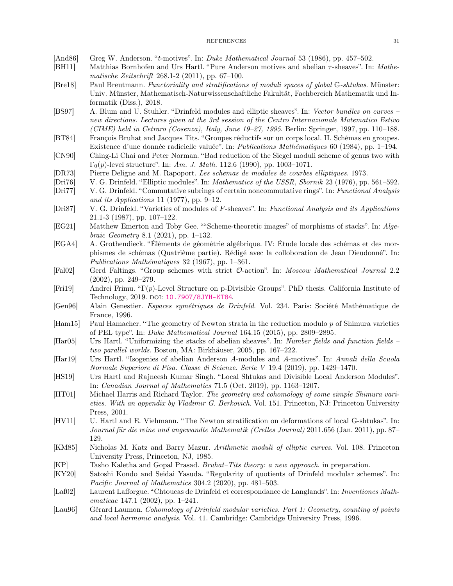- <span id="page-30-19"></span><span id="page-30-13"></span>[And86] Greg W. Anderson. "t-motives". In: Duke Mathematical Journal 53 (1986), pp. 457–502.
- <span id="page-30-0"></span>[BH11] Matthias Bornhofen and Urs Hartl. "Pure Anderson motives and abelian τ-sheaves". In: Mathematische Zeitschrift 268.1-2 (2011), pp. 67–100.
- [Bre18] Paul Breutmann. Functoriality and stratifications of moduli spaces of global G-shtukas. Münster: Univ. Münster, Mathematisch-Naturwissenschaftliche Fakultät, Fachbereich Mathematik und Informatik (Diss.), 2018.
- <span id="page-30-17"></span>[BS97] A. Blum and U. Stuhler. "Drinfeld modules and elliptic sheaves". In: Vector bundles on curves – new directions. Lectures given at the 3rd session of the Centro Internazionale Matematico Estivo (CIME) held in Cetraro (Cosenza), Italy, June 19–27, 1995. Berlin: Springer, 1997, pp. 110–188.
- <span id="page-30-25"></span><span id="page-30-16"></span>[BT84] François Bruhat and Jacques Tits. "Groupes réductifs sur un corps local. II. Schémas en groupes. Existence d'une donnée radicielle valuée". In: Publications Mathématiques 60 (1984), pp. 1–194.
- <span id="page-30-2"></span>[CN90] Ching-Li Chai and Peter Norman. "Bad reduction of the Siegel moduli scheme of genus two with  $\Gamma_0(p)$ -level structure". In: Am. J. Math. 112.6 (1990), pp. 1003–1071.
- <span id="page-30-4"></span>[DR73] Pierre Deligne and M. Rapoport. Les schemas de modules de courbes elliptiques. 1973.
- <span id="page-30-18"></span>[Dri76] V. G. Drinfeld. "Elliptic modules". In: Mathematics of the USSR, Sbornik 23 (1976), pp. 561–592.
- [Dri77] V. G. Drinfeld. "Commutative subrings of certain noncommutative rings". In: Functional Analysis and its Applications 11 (1977), pp. 9–12.
- <span id="page-30-7"></span><span id="page-30-5"></span>[Dri87] V. G. Drinfeld. "Varieties of modules of F-sheaves". In: Functional Analysis and its Applications 21.1-3 (1987), pp. 107–122.
- [EG21] Matthew Emerton and Toby Gee. " "Scheme-theoretic images" of morphisms of stacks". In: Algebraic Geometry 8.1 (2021), pp. 1–132.
- <span id="page-30-24"></span>[EGA4] A. Grothendieck. "Éléments de géométrie algébrique. IV: Étude locale des schémas et des morphismes de schémas (Quatrième partie). Rédigé avec la colloboration de Jean Dieudonné". In: Publications Mathématiques 32 (1967), pp. 1–361.
- <span id="page-30-22"></span>[Fal02] Gerd Faltings. "Group schemes with strict O-action". In: Moscow Mathematical Journal 2.2 (2002), pp. 249–279.
- <span id="page-30-14"></span><span id="page-30-6"></span>[Fri19] Andrei Frimu. "Γ(p)-Level Structure on p-Divisible Groups". PhD thesis. California Institute of Technology, 2019. DOI: [10.7907/8JYH-KT84](https://doi.org/10.7907/8JYH-KT84).
- <span id="page-30-21"></span>[Gen96] Alain Genestier. Espaces symétriques de Drinfeld. Vol. 234. Paris: Société Mathématique de France, 1996.
- [Ham15] Paul Hamacher. "The geometry of Newton strata in the reduction modulo p of Shimura varieties of PEL type". In: Duke Mathematical Journal 164.15 (2015), pp. 2809–2895.
- <span id="page-30-10"></span>[Har05] Urs Hartl. "Uniformizing the stacks of abelian sheaves". In: Number fields and function fields – two parallel worlds. Boston, MA: Birkhäuser, 2005, pp. 167–222.
- <span id="page-30-15"></span>[Har19] Urs Hartl. "Isogenies of abelian Anderson A-modules and A-motives". In: Annali della Scuola Normale Superiore di Pisa. Classe di Scienze. Serie V 19.4 (2019), pp. 1429–1470.
- <span id="page-30-9"></span>[HS19] Urs Hartl and Rajneesh Kumar Singh. "Local Shtukas and Divisible Local Anderson Modules". In: Canadian Journal of Mathematics 71.5 (Oct. 2019), pp. 1163–1207.
- <span id="page-30-23"></span>[HT01] Michael Harris and Richard Taylor. The geometry and cohomology of some simple Shimura varieties. With an appendix by Vladimir G. Berkovich. Vol. 151. Princeton, NJ: Princeton University Press, 2001.
- <span id="page-30-11"></span>[HV11] U. Hartl and E. Viehmann. "The Newton stratification on deformations of local G-shtukas". In: Journal für die reine und angewandte Mathematik (Crelles Journal) 2011.656 (Jan. 2011), pp. 87– 129.
- <span id="page-30-3"></span>[KM85] Nicholas M. Katz and Barry Mazur. Arithmetic moduli of elliptic curves. Vol. 108. Princeton University Press, Princeton, NJ, 1985.
- <span id="page-30-20"></span><span id="page-30-8"></span>[KP] Tasho Kaletha and Gopal Prasad. Bruhat–Tits theory: a new approach. in preparation.
- [KY20] Satoshi Kondo and Seidai Yasuda. "Regularity of quotients of Drinfeld modular schemes". In: Pacific Journal of Mathematics 304.2 (2020), pp. 481–503.
- <span id="page-30-1"></span>[Laf02] Laurent Lafforgue. "Chtoucas de Drinfeld et correspondance de Langlands". In: Inventiones Mathematicae 147.1 (2002), pp. 1–241.
- <span id="page-30-12"></span>[Lau96] Gérard Laumon. Cohomology of Drinfeld modular varieties. Part 1: Geometry, counting of points and local harmonic analysis. Vol. 41. Cambridge: Cambridge University Press, 1996.